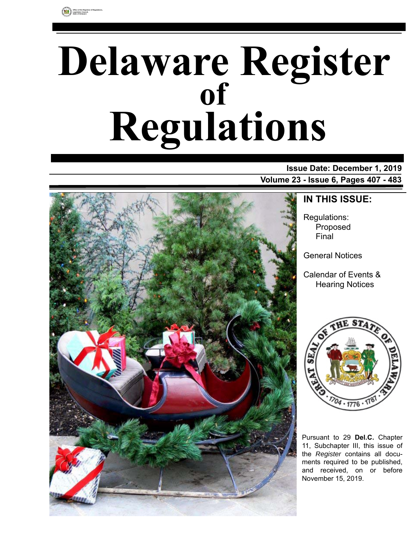

# **Delaware Register Regulations of**

# **Issue Date: December 1, 2019 Volume 23 - Issue 6, Pages 407 - 483**



**IN THIS ISSUE:**

Regulations: Proposed Final

General Notices

Calendar of Events & Hearing Notices



Pursuant to 29 **Del.C.** Chapter 11, Subchapter III, this issue of the *Register* contains all documents required to be published, and received, on or before November 15, 2019.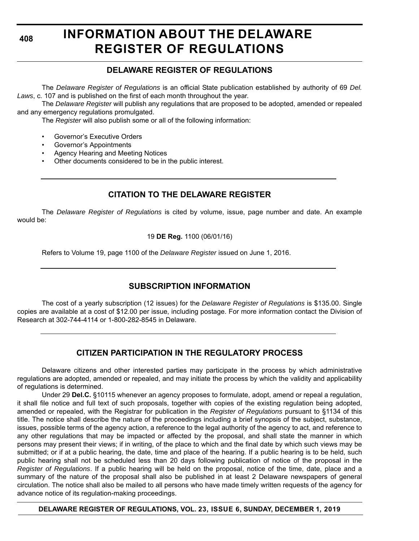**408**

# **INFORMATION ABOUT THE DELAWARE REGISTER OF REGULATIONS**

# **DELAWARE REGISTER OF REGULATIONS**

The *Delaware Register of Regulations* is an official State publication established by authority of 69 *Del. Laws*, c. 107 and is published on the first of each month throughout the year.

The *Delaware Register* will publish any regulations that are proposed to be adopted, amended or repealed and any emergency regulations promulgated.

The *Register* will also publish some or all of the following information:

- Governor's Executive Orders
- Governor's Appointments
- Agency Hearing and Meeting Notices
- Other documents considered to be in the public interest.

# **CITATION TO THE DELAWARE REGISTER**

The *Delaware Register of Regulations* is cited by volume, issue, page number and date. An example would be:

19 **DE Reg.** 1100 (06/01/16)

Refers to Volume 19, page 1100 of the *Delaware Register* issued on June 1, 2016.

# **SUBSCRIPTION INFORMATION**

The cost of a yearly subscription (12 issues) for the *Delaware Register of Regulations* is \$135.00. Single copies are available at a cost of \$12.00 per issue, including postage. For more information contact the Division of Research at 302-744-4114 or 1-800-282-8545 in Delaware.

# **CITIZEN PARTICIPATION IN THE REGULATORY PROCESS**

Delaware citizens and other interested parties may participate in the process by which administrative regulations are adopted, amended or repealed, and may initiate the process by which the validity and applicability of regulations is determined.

Under 29 **Del.C.** §10115 whenever an agency proposes to formulate, adopt, amend or repeal a regulation, it shall file notice and full text of such proposals, together with copies of the existing regulation being adopted, amended or repealed, with the Registrar for publication in the *Register of Regulations* pursuant to §1134 of this title. The notice shall describe the nature of the proceedings including a brief synopsis of the subject, substance, issues, possible terms of the agency action, a reference to the legal authority of the agency to act, and reference to any other regulations that may be impacted or affected by the proposal, and shall state the manner in which persons may present their views; if in writing, of the place to which and the final date by which such views may be submitted; or if at a public hearing, the date, time and place of the hearing. If a public hearing is to be held, such public hearing shall not be scheduled less than 20 days following publication of notice of the proposal in the *Register of Regulations*. If a public hearing will be held on the proposal, notice of the time, date, place and a summary of the nature of the proposal shall also be published in at least 2 Delaware newspapers of general circulation. The notice shall also be mailed to all persons who have made timely written requests of the agency for advance notice of its regulation-making proceedings.

**DELAWARE REGISTER OF REGULATIONS, VOL. 23, ISSUE 6, SUNDAY, DECEMBER 1, 2019**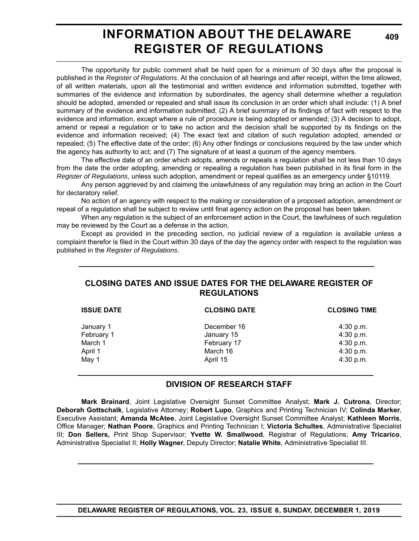# **INFORMATION ABOUT THE DELAWARE REGISTER OF REGULATIONS**

**409**

The opportunity for public comment shall be held open for a minimum of 30 days after the proposal is published in the *Register of Regulations*. At the conclusion of all hearings and after receipt, within the time allowed, of all written materials, upon all the testimonial and written evidence and information submitted, together with summaries of the evidence and information by subordinates, the agency shall determine whether a regulation should be adopted, amended or repealed and shall issue its conclusion in an order which shall include: (1) A brief summary of the evidence and information submitted; (2) A brief summary of its findings of fact with respect to the evidence and information, except where a rule of procedure is being adopted or amended; (3) A decision to adopt, amend or repeal a regulation or to take no action and the decision shall be supported by its findings on the evidence and information received; (4) The exact text and citation of such regulation adopted, amended or repealed; (5) The effective date of the order; (6) Any other findings or conclusions required by the law under which the agency has authority to act; and (7) The signature of at least a quorum of the agency members.

The effective date of an order which adopts, amends or repeals a regulation shall be not less than 10 days from the date the order adopting, amending or repealing a regulation has been published in its final form in the *Register of Regulations*, unless such adoption, amendment or repeal qualifies as an emergency under §10119.

Any person aggrieved by and claiming the unlawfulness of any regulation may bring an action in the Court for declaratory relief.

No action of an agency with respect to the making or consideration of a proposed adoption, amendment or repeal of a regulation shall be subject to review until final agency action on the proposal has been taken.

When any regulation is the subject of an enforcement action in the Court, the lawfulness of such regulation may be reviewed by the Court as a defense in the action.

Except as provided in the preceding section, no judicial review of a regulation is available unless a complaint therefor is filed in the Court within 30 days of the day the agency order with respect to the regulation was published in the *Register of Regulations*.

# **CLOSING DATES AND ISSUE DATES FOR THE DELAWARE REGISTER OF REGULATIONS**

| <b>ISSUE DATE</b> | <b>CLOSING DATE</b> | <b>CLOSING TIME</b> |  |
|-------------------|---------------------|---------------------|--|
| January 1         | December 16         | $4:30$ p.m.         |  |
| February 1        | January 15          | 4:30 p.m.           |  |
| March 1           | February 17         | 4:30 p.m.           |  |
| April 1           | March 16            | 4:30 p.m.           |  |
| May 1             | April 15            | $4:30$ p.m.         |  |
|                   |                     |                     |  |

# **DIVISION OF RESEARCH STAFF**

**Mark Brainard**, Joint Legislative Oversight Sunset Committee Analyst; **Mark J. Cutrona**, Director; **Deborah Gottschalk**, Legislative Attorney; **Robert Lupo**, Graphics and Printing Technician IV; **Colinda Marker**, Executive Assistant; **Amanda McAtee**, Joint Legislative Oversight Sunset Committee Analyst; **Kathleen Morris**, Office Manager; **Nathan Poore**, Graphics and Printing Technician I; **Victoria Schultes**, Administrative Specialist III; **Don Sellers,** Print Shop Supervisor; **Yvette W. Smallwood**, Registrar of Regulations; **Amy Tricarico**, Administrative Specialist II; **Holly Wagner**, Deputy Director; **Natalie White**, Administrative Specialist III.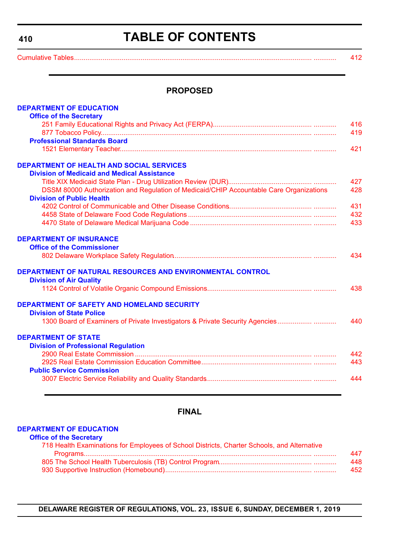<span id="page-3-0"></span>**410**

# **TABLE OF CONTENTS**

[Cumulative Tables............................................................................................................................. ............ 412](#page-5-0)

#### **PROPOSED**

| <b>DEPARTMENT OF EDUCATION</b>                                                          |     |
|-----------------------------------------------------------------------------------------|-----|
| <b>Office of the Secretary</b>                                                          |     |
|                                                                                         | 416 |
|                                                                                         | 419 |
| <b>Professional Standards Board</b>                                                     |     |
|                                                                                         | 421 |
| <b>DEPARTMENT OF HEALTH AND SOCIAL SERVICES</b>                                         |     |
| <b>Division of Medicaid and Medical Assistance</b>                                      |     |
|                                                                                         | 427 |
| DSSM 80000 Authorization and Regulation of Medicaid/CHIP Accountable Care Organizations | 428 |
| <b>Division of Public Health</b>                                                        |     |
|                                                                                         | 431 |
|                                                                                         | 432 |
|                                                                                         | 433 |
| <b>DEPARTMENT OF INSURANCE</b>                                                          |     |
| <b>Office of the Commissioner</b>                                                       |     |
|                                                                                         | 434 |
| DEPARTMENT OF NATURAL RESOURCES AND ENVIRONMENTAL CONTROL                               |     |
| <b>Division of Air Quality</b>                                                          |     |
|                                                                                         | 438 |
| <b>DEPARTMENT OF SAFETY AND HOMELAND SECURITY</b>                                       |     |
| <b>Division of State Police</b>                                                         |     |
| 1300 Board of Examiners of Private Investigators & Private Security Agencies            | 440 |
| <b>DEPARTMENT OF STATE</b>                                                              |     |
| <b>Division of Professional Regulation</b>                                              |     |
|                                                                                         | 442 |
|                                                                                         | 443 |
| <b>Public Service Commission</b>                                                        |     |
|                                                                                         | 444 |
|                                                                                         |     |

# **FINAL**

#### **[DEPARTMENT OF EDUCATION](https://www.doe.k12.de.us/)**

|  |  | <b>Office of the Secretary</b> |
|--|--|--------------------------------|
|  |  |                                |

| 718 Health Examinations for Employees of School Districts, Charter Schools, and Alternative |     |
|---------------------------------------------------------------------------------------------|-----|
|                                                                                             | 447 |
|                                                                                             | 448 |
|                                                                                             | 452 |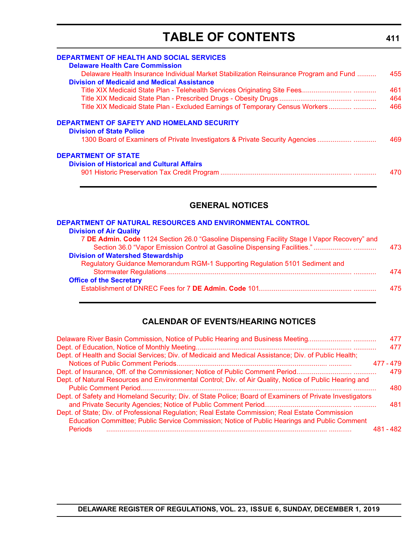# **TABLE OF CONTENTS**

| <b>DEPARTMENT OF HEALTH AND SOCIAL SERVICES</b>                                        |     |
|----------------------------------------------------------------------------------------|-----|
| <b>Delaware Health Care Commission</b>                                                 |     |
| Delaware Health Insurance Individual Market Stabilization Reinsurance Program and Fund | 455 |
| <b>Division of Medicaid and Medical Assistance</b>                                     |     |
|                                                                                        | 461 |
|                                                                                        | 464 |
| Title XIX Medicaid State Plan - Excluded Earnings of Temporary Census Workers          | 466 |
| DEPARTMENT OF SAFETY AND HOMELAND SECURITY<br><b>Division of State Police</b>          |     |
| 1300 Board of Examiners of Private Investigators & Private Security Agencies           | 469 |
| <b>DEPARTMENT OF STATE</b>                                                             |     |
| <b>Division of Historical and Cultural Affairs</b>                                     | 470 |

# **GENERAL NOTICES**

| DEPARTMENT OF NATURAL RESOURCES AND ENVIRONMENTAL CONTROL                                    |     |
|----------------------------------------------------------------------------------------------|-----|
| <b>Division of Air Quality</b>                                                               |     |
| 7 DE Admin. Code 1124 Section 26.0 "Gasoline Dispensing Facility Stage I Vapor Recovery" and |     |
|                                                                                              | 473 |
| <b>Division of Watershed Stewardship</b>                                                     |     |
| Regulatory Guidance Memorandum RGM-1 Supporting Regulation 5101 Sediment and                 |     |
|                                                                                              | 474 |
| <b>Office of the Secretary</b>                                                               |     |
|                                                                                              | 475 |

# **CALENDAR OF EVENTS/HEARING NOTICES**

| Delaware River Basin Commission, Notice of Public Hearing and Business Meeting                           | 477       |
|----------------------------------------------------------------------------------------------------------|-----------|
|                                                                                                          | 477       |
| Dept. of Health and Social Services; Div. of Medicaid and Medical Assistance; Div. of Public Health;     |           |
|                                                                                                          | 477 - 479 |
|                                                                                                          | 479       |
| Dept. of Natural Resources and Environmental Control; Div. of Air Quality, Notice of Public Hearing and  |           |
|                                                                                                          | 480       |
| Dept. of Safety and Homeland Security; Div. of State Police; Board of Examiners of Private Investigators |           |
|                                                                                                          | 481       |
| Dept. of State; Div. of Professional Regulation; Real Estate Commission; Real Estate Commission          |           |
| Education Committee; Public Service Commission; Notice of Public Hearings and Public Comment             |           |
| <b>Periods</b>                                                                                           | 481 - 482 |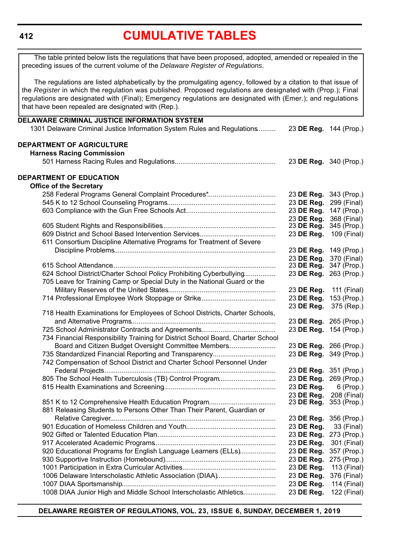#### <span id="page-5-0"></span>**412**

# **[CUMULATIVE TABLES](#page-3-0)**

The table printed below lists the regulations that have been proposed, adopted, amended or repealed in the preceding issues of the current volume of the *Delaware Register of Regulations*.

The regulations are listed alphabetically by the promulgating agency, followed by a citation to that issue of the *Register* in which the regulation was published. Proposed regulations are designated with (Prop.); Final regulations are designated with (Final); Emergency regulations are designated with (Emer.); and regulations that have been repealed are designated with (Rep.).

| DELAWARE CRIMINAL JUSTICE INFORMATION SYSTEM                                    |                          |                            |
|---------------------------------------------------------------------------------|--------------------------|----------------------------|
| 1301 Delaware Criminal Justice Information System Rules and Regulations         | 23 DE Reg. 144 (Prop.)   |                            |
| DEPARTMENT OF AGRICULTURE                                                       |                          |                            |
| <b>Harness Racing Commission</b>                                                |                          |                            |
|                                                                                 | 23 DE Reg. 340 (Prop.)   |                            |
| <b>DEPARTMENT OF EDUCATION</b>                                                  |                          |                            |
| <b>Office of the Secretary</b>                                                  |                          |                            |
|                                                                                 | 23 DE Reg.               | 343 (Prop.)                |
|                                                                                 | 23 DE Reg.               | 299 (Final)                |
|                                                                                 | 23 DE Reg.               | 147 (Prop.)                |
|                                                                                 | 23 DE Reg.               | 368 (Final)                |
|                                                                                 | 23 DE Reg.               | 345 (Prop.)                |
|                                                                                 | 23 DE Reg.               | 109 (Final)                |
| 611 Consortium Discipline Alternative Programs for Treatment of Severe          |                          |                            |
|                                                                                 | 23 DE Reg.               | 149 (Prop.)                |
|                                                                                 | 23 DE Reg.               | 370 (Final)<br>347 (Prop.) |
| 624 School District/Charter School Policy Prohibiting Cyberbullying             | 23 DE Reg.<br>23 DE Reg. | 263 (Prop.)                |
| 705 Leave for Training Camp or Special Duty in the National Guard or the        |                          |                            |
|                                                                                 | 23 DE Reg.               | 111 (Final)                |
|                                                                                 | 23 DE Reg.               | 153 (Prop.)                |
|                                                                                 | 23 DE Reg.               | 375 (Rep.)                 |
| 718 Health Examinations for Employees of School Districts, Charter Schools,     |                          |                            |
|                                                                                 | 23 DE Reg. 265 (Prop.)   |                            |
|                                                                                 | 23 DE Reg. 154 (Prop.)   |                            |
| 734 Financial Responsibility Training for District School Board, Charter School |                          |                            |
| Board and Citizen Budget Oversight Committee Members                            | 23 DE Reg. 266 (Prop.)   |                            |
| 735 Standardized Financial Reporting and Transparency                           | 23 DE Reg. 349 (Prop.)   |                            |
| 742 Compensation of School District and Charter School Personnel Under          |                          |                            |
|                                                                                 | 23 DE Reg. 351 (Prop.)   |                            |
| 805 The School Health Tuberculosis (TB) Control Program                         | 23 DE Reg.               | 269 (Prop.)                |
|                                                                                 | 23 DE Reg.               | 6 (Prop.)                  |
|                                                                                 | 23 DE Reg.               | 208 (Final)                |
|                                                                                 | 23 DE Reg.               | 353 (Prop.)                |
| 881 Releasing Students to Persons Other Than Their Parent, Guardian or          |                          |                            |
|                                                                                 | 23 DE Reg. 356 (Prop.)   |                            |
|                                                                                 | 23 DE Reg.               | 33 (Final)                 |
|                                                                                 | 23 DE Reg.               | 273 (Prop.)                |
|                                                                                 | 23 DE Reg.               | 301 (Final)                |
| 920 Educational Programs for English Language Learners (ELLs)                   | 23 DE Reg.               | 357 (Prop.)                |
|                                                                                 | 23 DE Reg.               | 275 (Prop.)                |
| 1006 Delaware Interscholastic Athletic Association (DIAA)                       | 23 DE Reg.<br>23 DE Reg. | 113 (Final)<br>376 (Final) |
|                                                                                 | 23 DE Reg.               | 114 (Final)                |
| 1008 DIAA Junior High and Middle School Interscholastic Athletics               | 23 DE Reg.               | 122 (Final)                |
|                                                                                 |                          |                            |

**DELAWARE REGISTER OF REGULATIONS, VOL. 23, ISSUE 6, SUNDAY, DECEMBER 1, 2019**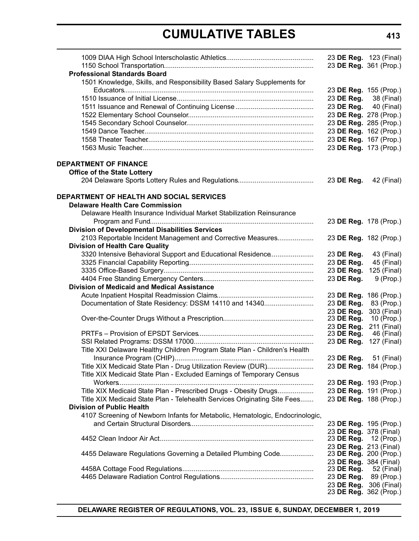# **CUMULATIVE TABLES**

|                                                                               | 23 DE Reg. 123 (Final)                          |                           |
|-------------------------------------------------------------------------------|-------------------------------------------------|---------------------------|
|                                                                               | 23 DE Reg. 361 (Prop.)                          |                           |
| <b>Professional Standards Board</b>                                           |                                                 |                           |
| 1501 Knowledge, Skills, and Responsibility Based Salary Supplements for       |                                                 |                           |
|                                                                               | 23 DE Reg. 155 (Prop.)                          |                           |
|                                                                               | 23 DE Reg.                                      | 38 (Final)                |
|                                                                               | 23 DE Reg.                                      | 40 (Final)                |
|                                                                               | 23 DE Reg. 278 (Prop.)                          |                           |
|                                                                               | 23 DE Reg. 285 (Prop.)                          |                           |
|                                                                               | 23 DE Reg. 162 (Prop.)                          |                           |
|                                                                               | 23 DE Reg. 167 (Prop.)                          |                           |
|                                                                               | 23 DE Reg. 173 (Prop.)                          |                           |
| <b>DEPARTMENT OF FINANCE</b>                                                  |                                                 |                           |
| <b>Office of the State Lottery</b>                                            |                                                 |                           |
|                                                                               | 23 DE Reg.                                      | 42 (Final)                |
|                                                                               |                                                 |                           |
| <b>DEPARTMENT OF HEALTH AND SOCIAL SERVICES</b>                               |                                                 |                           |
| <b>Delaware Health Care Commission</b>                                        |                                                 |                           |
| Delaware Health Insurance Individual Market Stabilization Reinsurance         |                                                 |                           |
|                                                                               | 23 DE Reg. 178 (Prop.)                          |                           |
| <b>Division of Developmental Disabilities Services</b>                        |                                                 |                           |
| 2103 Reportable Incident Management and Corrective Measures                   | 23 DE Reg. 182 (Prop.)                          |                           |
| <b>Division of Health Care Quality</b>                                        |                                                 |                           |
| 3320 Intensive Behavioral Support and Educational Residence                   | 23 DE Reg.                                      | 43 (Final)                |
|                                                                               | 23 DE Reg.                                      | 45 (Final)                |
|                                                                               | 23 DE Reg.                                      | 125 (Final)               |
|                                                                               | 23 DE Reg.                                      | $9$ (Prop.)               |
| <b>Division of Medicaid and Medical Assistance</b>                            |                                                 |                           |
|                                                                               | 23 DE Reg. 186 (Prop.)                          |                           |
| Documentation of State Residency: DSSM 14110 and 14340                        | 23 DE Reg.                                      | 83 (Prop.)                |
|                                                                               | 23 DE Reg.                                      | 303 (Final)               |
|                                                                               | 23 DE Reg.                                      | 10 (Prop.)                |
|                                                                               | 23 DE Reg.<br>23 DE Reg.                        | 211 (Final)<br>46 (Final) |
|                                                                               | 23 DE Reg.                                      | 127 (Final)               |
| Title XXI Delaware Healthy Children Program State Plan - Children's Health    |                                                 |                           |
|                                                                               | 23 DE Reg. 51 (Final)                           |                           |
| Title XIX Medicaid State Plan - Drug Utilization Review (DUR)                 | 23 DE Reg. 184 (Prop.)                          |                           |
| Title XIX Medicaid State Plan - Excluded Earnings of Temporary Census         |                                                 |                           |
|                                                                               | 23 DE Reg. 193 (Prop.)                          |                           |
| Title XIX Medicaid State Plan - Prescribed Drugs - Obesity Drugs              | 23 DE Reg. 191 (Prop.)                          |                           |
| Title XIX Medicaid State Plan - Telehealth Services Originating Site Fees     | 23 DE Reg. 188 (Prop.)                          |                           |
| <b>Division of Public Health</b>                                              |                                                 |                           |
| 4107 Screening of Newborn Infants for Metabolic, Hematologic, Endocrinologic, |                                                 |                           |
|                                                                               |                                                 |                           |
|                                                                               | 23 DE Reg. 195 (Prop.)                          |                           |
|                                                                               | 23 DE Reg. 378 (Final)<br>23 DE Reg. 12 (Prop.) |                           |
|                                                                               | 23 DE Reg. 213 (Final)                          |                           |
| 4455 Delaware Regulations Governing a Detailed Plumbing Code                  | 23 DE Reg. 200 (Prop.)                          |                           |
|                                                                               | 23 DE Reg. 384 (Final)                          |                           |
|                                                                               | 23 DE Reg.                                      | 52 (Final)                |
|                                                                               | 23 DE Reg.                                      | 89 (Prop.)                |
|                                                                               | 23 DE Reg. 306 (Final)                          |                           |
|                                                                               | 23 DE Reg. 362 (Prop.)                          |                           |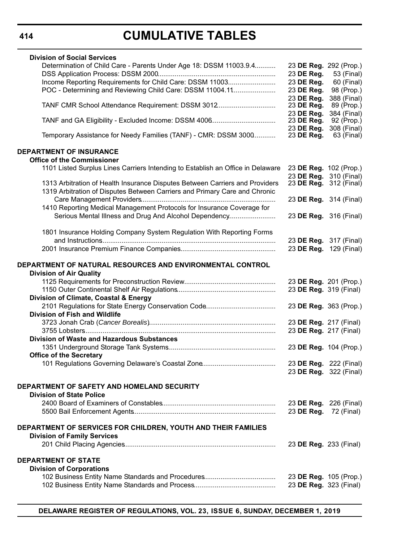# **CUMULATIVE TABLES**

| <b>Division of Social Services</b>                                              |                          |                               |
|---------------------------------------------------------------------------------|--------------------------|-------------------------------|
| Determination of Child Care - Parents Under Age 18: DSSM 11003.9.4              | 23 DE Reg. 292 (Prop.)   |                               |
|                                                                                 | 23 DE Reg.               | 53 (Final)                    |
| Income Reporting Requirements for Child Care: DSSM 11003                        | 23 DE Reg.               | 60 (Final)                    |
| POC - Determining and Reviewing Child Care: DSSM 11004.11                       | 23 DE Reg.               | 98 (Prop.)                    |
|                                                                                 | 23 DE Req.               | 388 (Final)                   |
| TANF CMR School Attendance Requirement: DSSM 3012                               | 23 DE Reg.               | 89 (Prop.)                    |
|                                                                                 | 23 DE Reg.               | 384 (Final)                   |
|                                                                                 | 23 DE Reg.               | 92 (Prop.)                    |
| Temporary Assistance for Needy Families (TANF) - CMR: DSSM 3000                 | 23 DE Reg.<br>23 DE Reg. | 308 (Final)<br>63 (Final)     |
| <b>DEPARTMENT OF INSURANCE</b>                                                  |                          |                               |
| <b>Office of the Commissioner</b>                                               |                          |                               |
| 1101 Listed Surplus Lines Carriers Intending to Establish an Office in Delaware | 23 DE Reg. 102 (Prop.)   |                               |
|                                                                                 |                          | 23 DE Reg. 310 (Final)        |
| 1313 Arbitration of Health Insurance Disputes Between Carriers and Providers    |                          | 23 <b>DE Reg.</b> 312 (Final) |
| 1319 Arbitration of Disputes Between Carriers and Primary Care and Chronic      |                          |                               |
|                                                                                 |                          | 23 DE Reg. 314 (Final)        |
| 1410 Reporting Medical Management Protocols for Insurance Coverage for          |                          |                               |
| Serious Mental Illness and Drug And Alcohol Dependency                          | 23 DE Reg. 316 (Final)   |                               |
|                                                                                 |                          |                               |
| 1801 Insurance Holding Company System Regulation With Reporting Forms           |                          |                               |
|                                                                                 |                          | 23 DE Reg. 317 (Final)        |
|                                                                                 |                          | 23 DE Reg. 129 (Final)        |
|                                                                                 |                          |                               |
| DEPARTMENT OF NATURAL RESOURCES AND ENVIRONMENTAL CONTROL                       |                          |                               |
| <b>Division of Air Quality</b>                                                  |                          |                               |
|                                                                                 | 23 DE Reg. 201 (Prop.)   |                               |
|                                                                                 | 23 DE Reg. 319 (Final)   |                               |
| Division of Climate, Coastal & Energy                                           |                          |                               |
|                                                                                 | 23 DE Reg. 363 (Prop.)   |                               |
| <b>Division of Fish and Wildlife</b>                                            |                          |                               |
|                                                                                 | 23 DE Reg. 217 (Final)   |                               |
|                                                                                 | 23 DE Reg. 217 (Final)   |                               |
| <b>Division of Waste and Hazardous Substances</b>                               |                          |                               |
|                                                                                 | 23 DE Reg. 104 (Prop.)   |                               |
| <b>Office of the Secretary</b>                                                  |                          |                               |
|                                                                                 | 23 DE Reg. 222 (Final)   |                               |
|                                                                                 |                          | 23 DE Reg. 322 (Final)        |
| DEPARTMENT OF SAFETY AND HOMELAND SECURITY                                      |                          |                               |
| <b>Division of State Police</b>                                                 |                          |                               |
|                                                                                 | 23 DE Reg. 226 (Final)   |                               |
|                                                                                 | 23 DE Reg.               | 72 (Final)                    |
|                                                                                 |                          |                               |
| DEPARTMENT OF SERVICES FOR CHILDREN, YOUTH AND THEIR FAMILIES                   |                          |                               |
| <b>Division of Family Services</b>                                              |                          |                               |
|                                                                                 | 23 DE Reg. 233 (Final)   |                               |
|                                                                                 |                          |                               |
| <b>DEPARTMENT OF STATE</b>                                                      |                          |                               |
| <b>Division of Corporations</b>                                                 |                          |                               |
|                                                                                 | 23 DE Reg. 105 (Prop.)   |                               |
|                                                                                 | 23 DE Reg. 323 (Final)   |                               |
|                                                                                 |                          |                               |

**414**

**DELAWARE REGISTER OF REGULATIONS, VOL. 23, ISSUE 6, SUNDAY, DECEMBER 1, 2019**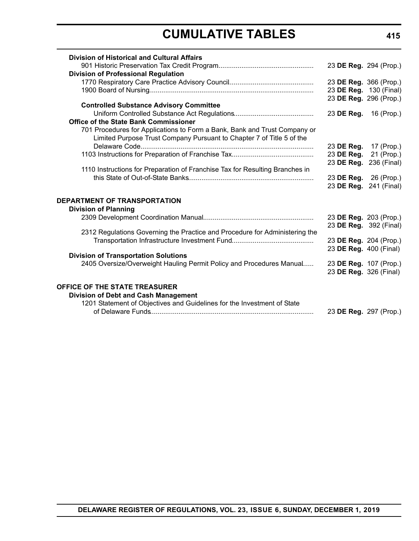# **CUMULATIVE TABLES**

| <b>Division of Historical and Cultural Affairs</b>                                                                  |                                                  |                        |
|---------------------------------------------------------------------------------------------------------------------|--------------------------------------------------|------------------------|
|                                                                                                                     |                                                  | 23 DE Reg. 294 (Prop.) |
| <b>Division of Professional Regulation</b>                                                                          |                                                  |                        |
|                                                                                                                     |                                                  | 23 DE Reg. 366 (Prop.) |
|                                                                                                                     |                                                  | 23 DE Reg. 130 (Final) |
| <b>Controlled Substance Advisory Committee</b>                                                                      |                                                  | 23 DE Reg. 296 (Prop.) |
|                                                                                                                     | 23 DE Reg. 16 (Prop.)                            |                        |
| <b>Office of the State Bank Commissioner</b>                                                                        |                                                  |                        |
| 701 Procedures for Applications to Form a Bank, Bank and Trust Company or                                           |                                                  |                        |
| Limited Purpose Trust Company Pursuant to Chapter 7 of Title 5 of the                                               |                                                  |                        |
|                                                                                                                     | 23 DE Reg.                                       | 17 (Prop.)             |
|                                                                                                                     | 23 DE Reg.                                       | 21 (Prop.)             |
|                                                                                                                     |                                                  | 23 DE Reg. 236 (Final) |
| 1110 Instructions for Preparation of Franchise Tax for Resulting Branches in                                        |                                                  |                        |
|                                                                                                                     |                                                  | 23 DE Reg. 26 (Prop.)  |
|                                                                                                                     |                                                  | 23 DE Reg. 241 (Final) |
| <b>DEPARTMENT OF TRANSPORTATION</b>                                                                                 |                                                  |                        |
| <b>Division of Planning</b>                                                                                         |                                                  |                        |
|                                                                                                                     |                                                  | 23 DE Reg. 203 (Prop.) |
|                                                                                                                     |                                                  | 23 DE Reg. 392 (Final) |
| 2312 Regulations Governing the Practice and Procedure for Administering the                                         |                                                  |                        |
|                                                                                                                     |                                                  | 23 DE Reg. 204 (Prop.) |
|                                                                                                                     | 23 DE Reg. 400 (Final)                           |                        |
| <b>Division of Transportation Solutions</b><br>2405 Oversize/Overweight Hauling Permit Policy and Procedures Manual |                                                  |                        |
|                                                                                                                     | 23 DE Reg. 107 (Prop.)<br>23 DE Reg. 326 (Final) |                        |
|                                                                                                                     |                                                  |                        |
| OFFICE OF THE STATE TREASURER                                                                                       |                                                  |                        |
| Division of Debt and Cash Management                                                                                |                                                  |                        |
| 1201 Statement of Objectives and Guidelines for the Investment of State                                             |                                                  |                        |
|                                                                                                                     |                                                  | 23 DE Reg. 297 (Prop.) |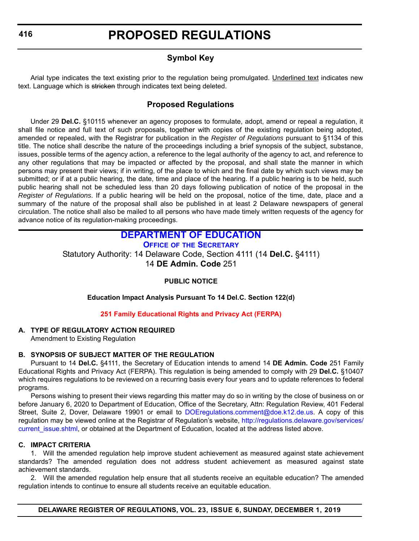# **Symbol Key**

<span id="page-9-0"></span>Arial type indicates the text existing prior to the regulation being promulgated. Underlined text indicates new text. Language which is stricken through indicates text being deleted.

# **Proposed Regulations**

Under 29 **Del.C.** §10115 whenever an agency proposes to formulate, adopt, amend or repeal a regulation, it shall file notice and full text of such proposals, together with copies of the existing regulation being adopted, amended or repealed, with the Registrar for publication in the *Register of Regulations* pursuant to §1134 of this title. The notice shall describe the nature of the proceedings including a brief synopsis of the subject, substance, issues, possible terms of the agency action, a reference to the legal authority of the agency to act, and reference to any other regulations that may be impacted or affected by the proposal, and shall state the manner in which persons may present their views; if in writing, of the place to which and the final date by which such views may be submitted; or if at a public hearing, the date, time and place of the hearing. If a public hearing is to be held, such public hearing shall not be scheduled less than 20 days following publication of notice of the proposal in the *Register of Regulations*. If a public hearing will be held on the proposal, notice of the time, date, place and a summary of the nature of the proposal shall also be published in at least 2 Delaware newspapers of general circulation. The notice shall also be mailed to all persons who have made timely written requests of the agency for advance notice of its regulation-making proceedings.

# **[DEPARTMENT OF EDUCATION](https://www.doe.k12.de.us/)**

**OFFICE OF [THE SECRETARY](https://www.doe.k12.de.us/Page/11)**

Statutory Authority: 14 Delaware Code, Section 4111 (14 **Del.C.** §4111) 14 **DE Admin. Code** 251

### **PUBLIC NOTICE**

**Education Impact Analysis Pursuant To 14 Del.C. Section 122(d)**

### **[251 Family Educational Rights and Privacy Act \(FERPA\)](#page-3-0)**

### **A. TYPE OF REGULATORY ACTION REQUIRED**

Amendment to Existing Regulation

### **B. SYNOPSIS OF SUBJECT MATTER OF THE REGULATION**

Pursuant to 14 **Del.C.** §4111, the Secretary of Education intends to amend 14 **DE Admin. Code** 251 Family Educational Rights and Privacy Act (FERPA). This regulation is being amended to comply with 29 **Del.C.** §10407 which requires regulations to be reviewed on a recurring basis every four years and to update references to federal programs.

Persons wishing to present their views regarding this matter may do so in writing by the close of business on or before January 6, 2020 to Department of Education, Office of the Secretary, Attn: Regulation Review, 401 Federal Street, Suite 2, Dover, Delaware 19901 or email to [DOEregulations.comment@doe.k12.de.us.](mailto:DOEregulations.comment@doe.k12.de.us) A copy of this regulation may be viewed online at the Registrar of Regulation's website, [http://regulations.delaware.gov/services/](http://regulations.delaware.gov/services/current_issue.shtml) current issue.shtml, or obtained at the Department of Education, located at the address listed above.

#### **C. IMPACT CRITERIA**

1. Will the amended regulation help improve student achievement as measured against state achievement standards? The amended regulation does not address student achievement as measured against state achievement standards.

2. Will the amended regulation help ensure that all students receive an equitable education? The amended regulation intends to continue to ensure all students receive an equitable education.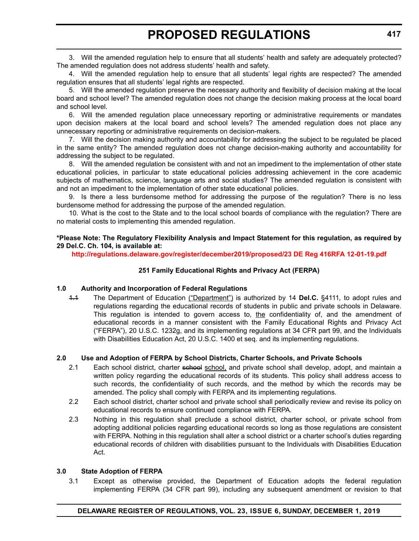3. Will the amended regulation help to ensure that all students' health and safety are adequately protected? The amended regulation does not address students' health and safety.

4. Will the amended regulation help to ensure that all students' legal rights are respected? The amended regulation ensures that all students' legal rights are respected.

5. Will the amended regulation preserve the necessary authority and flexibility of decision making at the local board and school level? The amended regulation does not change the decision making process at the local board and school level.

6. Will the amended regulation place unnecessary reporting or administrative requirements or mandates upon decision makers at the local board and school levels? The amended regulation does not place any unnecessary reporting or administrative requirements on decision-makers.

7. Will the decision making authority and accountability for addressing the subject to be regulated be placed in the same entity? The amended regulation does not change decision-making authority and accountability for addressing the subject to be regulated.

8. Will the amended regulation be consistent with and not an impediment to the implementation of other state educational policies, in particular to state educational policies addressing achievement in the core academic subjects of mathematics, science, language arts and social studies? The amended regulation is consistent with and not an impediment to the implementation of other state educational policies.

9. Is there a less burdensome method for addressing the purpose of the regulation? There is no less burdensome method for addressing the purpose of the amended regulation.

10. What is the cost to the State and to the local school boards of compliance with the regulation? There are no material costs to implementing this amended regulation.

#### **\*Please Note: The Regulatory Flexibility Analysis and Impact Statement for this regulation, as required by 29 Del.C. Ch. 104, is available at:**

**<http://regulations.delaware.gov/register/december2019/proposed/23 DE Reg 416RFA 12-01-19.pdf>**

### **251 Family Educational Rights and Privacy Act (FERPA)**

#### **1.0 Authority and Incorporation of Federal Regulations**

1.1 The Department of Education ("Department") is authorized by 14 **Del.C.** §4111*,* to adopt rules and regulations regarding the educational records of students in public and private schools in Delaware. This regulation is intended to govern access to, the confidentiality of, and the amendment of educational records in a manner consistent with the Family Educational Rights and Privacy Act ("FERPA"), 20 U.S.C. 1232g, and its implementing regulations at 34 CFR part 99, and the Individuals with Disabilities Education Act, 20 U.S.C. 1400 et seq. and its implementing regulations.

### **2.0 Use and Adoption of FERPA by School Districts, Charter Schools, and Private Schools**

- 2.1 Each school district, charter school school, and private school shall develop, adopt, and maintain a written policy regarding the educational records of its students. This policy shall address access to such records, the confidentiality of such records, and the method by which the records may be amended. The policy shall comply with FERPA and its implementing regulations.
- 2.2 Each school district, charter school and private school shall periodically review and revise its policy on educational records to ensure continued compliance with FERPA.
- 2.3 Nothing in this regulation shall preclude a school district, charter school, or private school from adopting additional policies regarding educational records so long as those regulations are consistent with FERPA. Nothing in this regulation shall alter a school district or a charter school's duties regarding educational records of children with disabilities pursuant to the Individuals with Disabilities Education Act.

#### **3.0 State Adoption of FERPA**

3.1 Except as otherwise provided, the Department of Education adopts the federal regulation implementing FERPA (34 CFR part 99), including any subsequent amendment or revision to that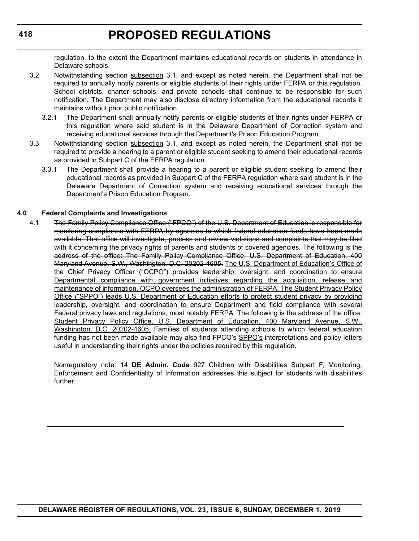regulation, to the extent the Department maintains educational records on students in attendance in Delaware schools.

- 3.2 Notwithstanding section subsection 3.1, and except as noted herein, the Department shall not be required to annually notify parents or eligible students of their rights under FERPA or this regulation. School districts, charter schools, and private schools shall continue to be responsible for such notification. The Department may also disclose directory information from the educational records it maintains without prior public notification.
	- 3.2.1 The Department shall annually notify parents or eligible students of their rights under FERPA or this regulation where said student is in the Delaware Department of Correction system and receiving educational services through the Department's Prison Education Program.
- 3.3 Notwithstanding section subsection 3.1, and except as noted herein, the Department shall not be required to provide a hearing to a parent or eligible student seeking to amend their educational records as provided in Subpart C of the FERPA regulation.
	- 3.3.1 The Department shall provide a hearing to a parent or eligible student seeking to amend their educational records as provided in Subpart C of the FERPA regulation where said student is in the Delaware Department of Correction system and receiving educational services through the Department's Prison Education Program.

#### **4.0 Federal Complaints and Investigations**

4.1 The Family Policy Compliance Office ("FPCO") of the U.S. Department of Education is responsible for monitoring compliance with FERPA by agencies to which federal education funds have been made available. That office will investigate, process and review violations and complaints that may be filed with it concerning the privacy rights of parents and students of covered agencies. The following is the address of the office: The Family Policy Compliance Office, U.S. Department of Education, 400 Maryland Avenue, S.W., Washington, D.C. 20202-4605. The U.S. Department of Education's Office of the Chief Privacy Officer ("OCPO") provides leadership, oversight, and coordination to ensure Departmental compliance with government initiatives regarding the acquisition, release and maintenance of information. OCPO oversees the administration of FERPA. The Student Privacy Policy Office ("SPPO") leads U.S. Department of Education efforts to protect student privacy by providing leadership, oversight, and coordination to ensure Department and field compliance with several Federal privacy laws and regulations, most notably FERPA. The following is the address of the office: Student Privacy Policy Office, U.S. Department of Education, 400 Maryland Avenue, S.W., Washington, D.C. 20202-4605. Families of students attending schools to which federal education funding has not been made available may also find FPGO's SPPO's interpretations and policy letters useful in understanding their rights under the policies required by this regulation.

Nonregulatory note: 14 **DE Admin. Code** 927 Children with Disabilities Subpart F, Monitoring, Enforcement and Confidentiality of Information addresses this subject for students with disabilities further.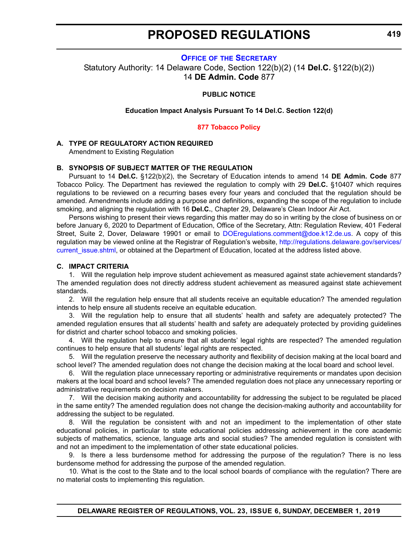#### **OFFICE OF [THE SECRETARY](https://www.doe.k12.de.us/Page/11)**

<span id="page-12-0"></span>Statutory Authority: 14 Delaware Code, Section 122(b)(2) (14 **Del.C.** §122(b)(2)) 14 **DE Admin. Code** 877

#### **PUBLIC NOTICE**

#### **Education Impact Analysis Pursuant To 14 Del.C. Section 122(d)**

#### **[877 Tobacco Policy](#page-3-0)**

#### **A. TYPE OF REGULATORY ACTION REQUIRED**

Amendment to Existing Regulation

#### **B. SYNOPSIS OF SUBJECT MATTER OF THE REGULATION**

Pursuant to 14 **Del.C.** §122(b)(2), the Secretary of Education intends to amend 14 **DE Admin. Code** 877 Tobacco Policy. The Department has reviewed the regulation to comply with 29 **Del.C.** §10407 which requires regulations to be reviewed on a recurring bases every four years and concluded that the regulation should be amended. Amendments include adding a purpose and definitions, expanding the scope of the regulation to include smoking, and aligning the regulation with 16 **Del.C.**, Chapter 29, Delaware's Clean Indoor Air Act.

Persons wishing to present their views regarding this matter may do so in writing by the close of business on or before January 6, 2020 to Department of Education, Office of the Secretary, Attn: Regulation Review, 401 Federal Street, Suite 2, Dover, Delaware 19901 or email to [DOEregulations.comment@doe.k12.de.us](mailto:DOEregulations.comment@doe.k12.de.us). A copy of this regulation may be viewed online at the Registrar of Regulation's website, [http://regulations.delaware.gov/services/](http://regulations.delaware.gov/services/current_issue.shtml) current issue.shtml, or obtained at the Department of Education, located at the address listed above.

#### **C. IMPACT CRITERIA**

1. Will the regulation help improve student achievement as measured against state achievement standards? The amended regulation does not directly address student achievement as measured against state achievement standards.

2. Will the regulation help ensure that all students receive an equitable education? The amended regulation intends to help ensure all students receive an equitable education.

3. Will the regulation help to ensure that all students' health and safety are adequately protected? The amended regulation ensures that all students' health and safety are adequately protected by providing guidelines for district and charter school tobacco and smoking policies.

4. Will the regulation help to ensure that all students' legal rights are respected? The amended regulation continues to help ensure that all students' legal rights are respected.

5. Will the regulation preserve the necessary authority and flexibility of decision making at the local board and school level? The amended regulation does not change the decision making at the local board and school level.

6. Will the regulation place unnecessary reporting or administrative requirements or mandates upon decision makers at the local board and school levels? The amended regulation does not place any unnecessary reporting or administrative requirements on decision makers.

7. Will the decision making authority and accountability for addressing the subject to be regulated be placed in the same entity? The amended regulation does not change the decision-making authority and accountability for addressing the subject to be regulated.

8. Will the regulation be consistent with and not an impediment to the implementation of other state educational policies, in particular to state educational policies addressing achievement in the core academic subjects of mathematics, science, language arts and social studies? The amended regulation is consistent with and not an impediment to the implementation of other state educational policies.

9. Is there a less burdensome method for addressing the purpose of the regulation? There is no less burdensome method for addressing the purpose of the amended regulation.

10. What is the cost to the State and to the local school boards of compliance with the regulation? There are no material costs to implementing this regulation.

**DELAWARE REGISTER OF REGULATIONS, VOL. 23, ISSUE 6, SUNDAY, DECEMBER 1, 2019**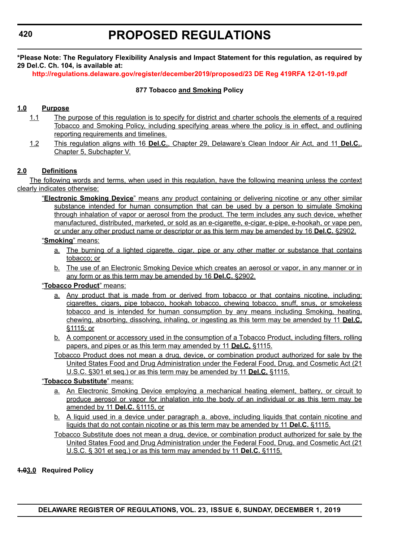#### **420**

**\*Please Note: The Regulatory Flexibility Analysis and Impact Statement for this regulation, as required by 29 Del.C. Ch. 104, is available at:**

**<http://regulations.delaware.gov/register/december2019/proposed/23 DE Reg 419RFA 12-01-19.pdf>**

#### **877 Tobacco and Smoking Policy**

#### **1.0 Purpose**

- 1.1 The purpose of this regulation is to specify for district and charter schools the elements of a required Tobacco and Smoking Policy, including specifying areas where the policy is in effect, and outlining reporting requirements and timelines.
- 1.2 This regulation aligns with 16 **Del.C.**, Chapter 29, Delaware's Clean Indoor Air Act, and 11 **Del.C.**, Chapter 5, Subchapter V.

### **2.0 Definitions**

The following words and terms, when used in this regulation, have the following meaning unless the context clearly indicates otherwise:

"**Electronic Smoking Device**" means any product containing or delivering nicotine or any other similar substance intended for human consumption that can be used by a person to simulate Smoking through inhalation of vapor or aerosol from the product. The term includes any such device, whether manufactured, distributed, marketed, or sold as an e-cigarette, e-cigar, e-pipe, e-hookah, or vape pen, or under any other product name or descriptor or as this term may be amended by 16 **Del.C.** §2902.

#### "**Smoking**" means:

- a. The burning of a lighted cigarette, cigar, pipe or any other matter or substance that contains tobacco; or
- b. The use of an Electronic Smoking Device which creates an aerosol or vapor, in any manner or in any form or as this term may be amended by 16 **Del.C.** §2902.

#### "**Tobacco Product**" means:

- a. Any product that is made from or derived from tobacco or that contains nicotine, including: cigarettes, cigars, pipe tobacco, hookah tobacco, chewing tobacco, snuff, snus, or smokeless tobacco and is intended for human consumption by any means including Smoking, heating, chewing, absorbing, dissolving, inhaling, or ingesting as this term may be amended by 11 **Del.C.** §1115; or
- b. A component or accessory used in the consumption of a Tobacco Product, including filters, rolling papers, and pipes or as this term may amended by 11 **Del.C.** §1115.
- Tobacco Product does not mean a drug, device, or combination product authorized for sale by the United States Food and Drug Administration under the Federal Food, Drug, and Cosmetic Act (21 U.S.C. §301 et seq.) or as this term may be amended by 11 **Del.C.** §1115.

#### "**Tobacco Substitute**" means:

- a. An Electronic Smoking Device employing a mechanical heating element, battery, or circuit to produce aerosol or vapor for inhalation into the body of an individual or as this term may be amended by 11 **Del.C.** §1115, or
- b. A liquid used in a device under paragraph a. above, including liquids that contain nicotine and liquids that do not contain nicotine or as this term may be amended by 11 **Del.C.** §1115.

Tobacco Substitute does not mean a drug, device, or combination product authorized for sale by the United States Food and Drug Administration under the Federal Food, Drug, and Cosmetic Act (21 U.S.C. § 301 et seq.) or as this term may amended by 11 **Del.C.** §1115.

#### **1.03.0 Required Policy**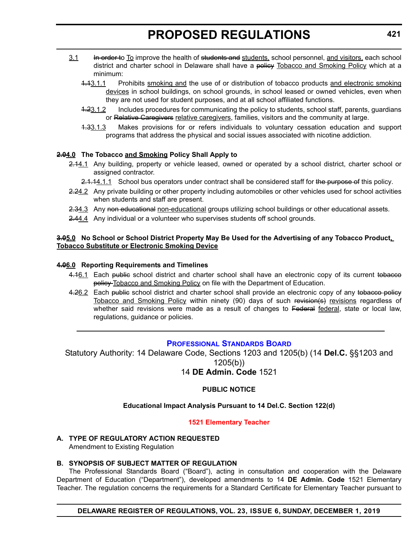- <span id="page-14-0"></span>3.1 H<del>in order t</del>o To improve the health of students and students, school personnel, and visitors, each school district and charter school in Delaware shall have a policy Tobacco and Smoking Policy which at a minimum:
	- 1.13.1.1 Prohibits smoking and the use of or distribution of tobacco products and electronic smoking devices in school buildings, on school grounds, in school leased or owned vehicles, even when they are not used for student purposes, and at all school affiliated functions.
	- 4.23.1.2 Includes procedures for communicating the policy to students, school staff, parents, guardians or Relative Caregivers relative caregivers, families, visitors and the community at large.
	- 1.33.1.3 Makes provisions for or refers individuals to voluntary cessation education and support programs that address the physical and social issues associated with nicotine addiction.

#### **2.04.0 The Tobacco and Smoking Policy Shall Apply to**

- 2.44.1 Any building, property or vehicle leased, owned or operated by a school district, charter school or assigned contractor.
	- 2.1.14.1.1 School bus operators under contract shall be considered staff for the purpose of this policy.
- 2.24.2 Any private building or other property including automobiles or other vehicles used for school activities when students and staff are present.
- 2.34.3 Any non educational non-educational groups utilizing school buildings or other educational assets.
- 2.44.4 Any individual or a volunteer who supervises students off school grounds.

#### **3.05.0 No School or School District Property May Be Used for the Advertising of any Tobacco Product, Tobacco Substitute or Electronic Smoking Device**

#### **4.06.0 Reporting Requirements and Timelines**

- 4.16.1 Each public school district and charter school shall have an electronic copy of its current to bacco policy Tobacco and Smoking Policy on file with the Department of Education.
- 4.26.2 Each public school district and charter school shall provide an electronic copy of any tobacco policy Tobacco and Smoking Policy within ninety (90) days of such revision(s) revisions regardless of whether said revisions were made as a result of changes to Federal federal, state or local law, regulations, guidance or policies.

#### **[PROFESSIONAL STANDARDS BOARD](https://www.doe.k12.de.us/domain/172 )**

Statutory Authority: 14 Delaware Code, Sections 1203 and 1205(b) (14 **Del.C.** §§1203 and 1205(b)) 14 **DE Admin. Code** 1521

#### **PUBLIC NOTICE**

#### **Educational Impact Analysis Pursuant to 14 Del.C. Section 122(d)**

#### **[1521 Elementary Teacher](#page-3-0)**

**A. TYPE OF REGULATORY ACTION REQUESTED** Amendment to Existing Regulation

# **B. SYNOPSIS OF SUBJECT MATTER OF REGULATION**

The Professional Standards Board ("Board"), acting in consultation and cooperation with the Delaware Department of Education ("Department"), developed amendments to 14 **DE Admin. Code** 1521 Elementary Teacher. The regulation concerns the requirements for a Standard Certificate for Elementary Teacher pursuant to

**DELAWARE REGISTER OF REGULATIONS, VOL. 23, ISSUE 6, SUNDAY, DECEMBER 1, 2019**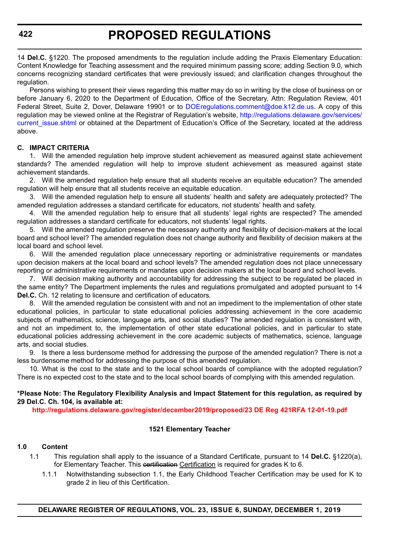14 **Del.C.** §1220. The proposed amendments to the regulation include adding the Praxis Elementary Education: Content Knowledge for Teaching assessment and the required minimum passing score; adding Section 9.0, which concerns recognizing standard certificates that were previously issued; and clarification changes throughout the regulation.

Persons wishing to present their views regarding this matter may do so in writing by the close of business on or before January 6, 2020 to the Department of Education, Office of the Secretary, Attn: Regulation Review, 401 Federal Street, Suite 2, Dover, Delaware 19901 or to [DOEregulations.comment@doe.k12.de.us.](mailto:DOEregulations.comment@doe.k12.de.us) A copy of this regulation may be viewed online at the Registrar of Regulation's website, [http://regulations.delaware.gov/services/](http://regulations.delaware.gov/services/current_issue.shtml) current issue.shtml or obtained at the Department of Education's Office of the Secretary, located at the address above.

#### **C. IMPACT CRITERIA**

1. Will the amended regulation help improve student achievement as measured against state achievement standards? The amended regulation will help to improve student achievement as measured against state achievement standards.

2. Will the amended regulation help ensure that all students receive an equitable education? The amended regulation will help ensure that all students receive an equitable education.

3. Will the amended regulation help to ensure all students' health and safety are adequately protected? The amended regulation addresses a standard certificate for educators, not students' health and safety.

4. Will the amended regulation help to ensure that all students' legal rights are respected? The amended regulation addresses a standard certificate for educators, not students' legal rights.

5. Will the amended regulation preserve the necessary authority and flexibility of decision-makers at the local board and school level? The amended regulation does not change authority and flexibility of decision makers at the local board and school level.

6. Will the amended regulation place unnecessary reporting or administrative requirements or mandates upon decision makers at the local board and school levels? The amended regulation does not place unnecessary reporting or administrative requirements or mandates upon decision makers at the local board and school levels.

7. Will decision making authority and accountability for addressing the subject to be regulated be placed in the same entity? The Department implements the rules and regulations promulgated and adopted pursuant to 14 **Del.C.** Ch. 12 relating to licensure and certification of educators.

8. Will the amended regulation be consistent with and not an impediment to the implementation of other state educational policies, in particular to state educational policies addressing achievement in the core academic subjects of mathematics, science, language arts, and social studies? The amended regulation is consistent with, and not an impediment to, the implementation of other state educational policies, and in particular to state educational policies addressing achievement in the core academic subjects of mathematics, science, language arts, and social studies.

9. Is there a less burdensome method for addressing the purpose of the amended regulation? There is not a less burdensome method for addressing the purpose of this amended regulation.

10. What is the cost to the state and to the local school boards of compliance with the adopted regulation? There is no expected cost to the state and to the local school boards of complying with this amended regulation.

**\*Please Note: The Regulatory Flexibility Analysis and Impact Statement for this regulation, as required by 29 Del.C. Ch. 104, is available at:**

**<http://regulations.delaware.gov/register/december2019/proposed/23 DE Reg 421RFA 12-01-19.pdf>**

#### **1521 Elementary Teacher**

#### **1.0 Content**

- 1.1 This regulation shall apply to the issuance of a Standard Certificate, pursuant to 14 **Del.C.** §1220(a), for Elementary Teacher. This certification Certification is required for grades K to 6.
	- 1.1.1 Notwithstanding subsection 1.1, the Early Childhood Teacher Certification may be used for K to grade 2 in lieu of this Certification.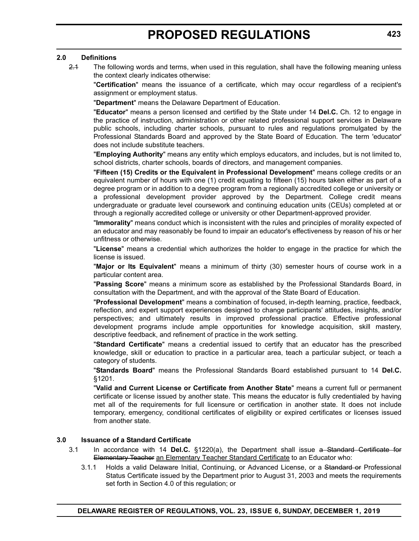#### **2.0 Definitions**

2.1 The following words and terms, when used in this regulation, shall have the following meaning unless the context clearly indicates otherwise:

"**Certification**" means the issuance of a certificate, which may occur regardless of a recipient's assignment or employment status.

"**Department**" means the Delaware Department of Education.

"**Educator**" means a person licensed and certified by the State under 14 **Del.C.** Ch. 12 to engage in the practice of instruction, administration or other related professional support services in Delaware public schools, including charter schools, pursuant to rules and regulations promulgated by the Professional Standards Board and approved by the State Board of Education. The term 'educator' does not include substitute teachers.

"**Employing Authority**" means any entity which employs educators, and includes, but is not limited to, school districts, charter schools, boards of directors, and management companies.

"**Fifteen (15) Credits or the Equivalent in Professional Development**" means college credits or an equivalent number of hours with one (1) credit equating to fifteen (15) hours taken either as part of a degree program or in addition to a degree program from a regionally accredited college or university or a professional development provider approved by the Department. College credit means undergraduate or graduate level coursework and continuing education units (CEUs) completed at or through a regionally accredited college or university or other Department-approved provider.

"**Immorality**" means conduct which is inconsistent with the rules and principles of morality expected of an educator and may reasonably be found to impair an educator's effectiveness by reason of his or her unfitness or otherwise.

"**License**" means a credential which authorizes the holder to engage in the practice for which the license is issued.

"**Major or Its Equivalent**" means a minimum of thirty (30) semester hours of course work in a particular content area.

"**Passing Score**" means a minimum score as established by the Professional Standards Board, in consultation with the Department, and with the approval of the State Board of Education.

"**Professional Development**" means a combination of focused, in-depth learning, practice, feedback, reflection, and expert support experiences designed to change participants' attitudes, insights, and/or perspectives; and ultimately results in improved professional practice. Effective professional development programs include ample opportunities for knowledge acquisition, skill mastery, descriptive feedback, and refinement of practice in the work setting.

"**Standard Certificate**" means a credential issued to certify that an educator has the prescribed knowledge, skill or education to practice in a particular area, teach a particular subject, or teach a category of students.

"**Standards Board**" means the Professional Standards Board established pursuant to 14 **Del.C.** §1201.

"**Valid and Current License or Certificate from Another State**" means a current full or permanent certificate or license issued by another state. This means the educator is fully credentialed by having met all of the requirements for full licensure or certification in another state. It does not include temporary, emergency, conditional certificates of eligibility or expired certificates or licenses issued from another state.

#### **3.0 Issuance of a Standard Certificate**

- 3.1 In accordance with 14 **Del.C.** §1220(a), the Department shall issue a Standard Certificate for Elementary Teacher an Elementary Teacher Standard Certificate to an Educator who:
	- 3.1.1 Holds a valid Delaware Initial, Continuing, or Advanced License, or a Standard or Professional Status Certificate issued by the Department prior to August 31, 2003 and meets the requirements set forth in Section 4.0 of this regulation; or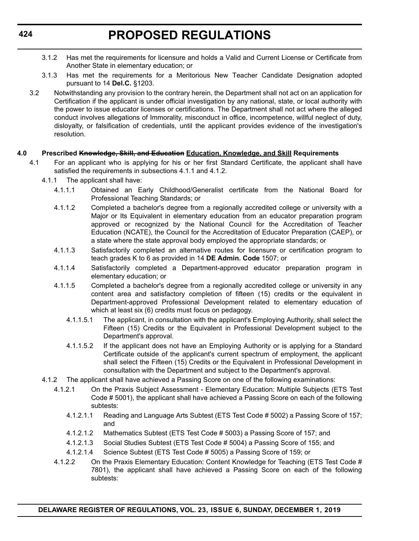- 3.1.2 Has met the requirements for licensure and holds a Valid and Current License or Certificate from Another State in elementary education; or
- 3.1.3 Has met the requirements for a Meritorious New Teacher Candidate Designation adopted pursuant to 14 **Del.C.** §1203.
- 3.2 Notwithstanding any provision to the contrary herein, the Department shall not act on an application for Certification if the applicant is under official investigation by any national, state, or local authority with the power to issue educator licenses or certifications. The Department shall not act where the alleged conduct involves allegations of Immorality, misconduct in office, incompetence, willful neglect of duty, disloyalty, or falsification of credentials, until the applicant provides evidence of the investigation's resolution.

#### **4.0 Prescribed Knowledge, Skill, and Education Education, Knowledge, and Skill Requirements**

- 4.1 For an applicant who is applying for his or her first Standard Certificate, the applicant shall have satisfied the requirements in subsections 4.1.1 and 4.1.2.
	- 4.1.1 The applicant shall have:
		- 4.1.1.1 Obtained an Early Childhood/Generalist certificate from the National Board for Professional Teaching Standards; or
		- 4.1.1.2 Completed a bachelor's degree from a regionally accredited college or university with a Major or Its Equivalent in elementary education from an educator preparation program approved or recognized by the National Council for the Accreditation of Teacher Education (NCATE), the Council for the Accreditation of Educator Preparation (CAEP), or a state where the state approval body employed the appropriate standards; or
		- 4.1.1.3 Satisfactorily completed an alternative routes for licensure or certification program to teach grades K to 6 as provided in 14 **DE Admin. Code** 1507; or
		- 4.1.1.4 Satisfactorily completed a Department-approved educator preparation program in elementary education; or
		- 4.1.1.5 Completed a bachelor's degree from a regionally accredited college or university in any content area and satisfactory completion of fifteen (15) credits or the equivalent in Department-approved Professional Development related to elementary education of which at least six (6) credits must focus on pedagogy.
			- 4.1.1.5.1 The applicant, in consultation with the applicant's Employing Authority, shall select the Fifteen (15) Credits or the Equivalent in Professional Development subject to the Department's approval.
			- 4.1.1.5.2 If the applicant does not have an Employing Authority or is applying for a Standard Certificate outside of the applicant's current spectrum of employment, the applicant shall select the Fifteen (15) Credits or the Equivalent in Professional Development in consultation with the Department and subject to the Department's approval.
	- 4.1.2 The applicant shall have achieved a Passing Score on one of the following examinations:
		- 4.1.2.1 On the Praxis Subject Assessment Elementary Education: Multiple Subjects (ETS Test Code # 5001), the applicant shall have achieved a Passing Score on each of the following subtests:
			- 4.1.2.1.1 Reading and Language Arts Subtest (ETS Test Code # 5002) a Passing Score of 157; and
			- 4.1.2.1.2 Mathematics Subtest (ETS Test Code # 5003) a Passing Score of 157; and
			- 4.1.2.1.3 Social Studies Subtest (ETS Test Code # 5004) a Passing Score of 155; and
			- 4.1.2.1.4 Science Subtest (ETS Test Code # 5005) a Passing Score of 159; or
		- 4.1.2.2 On the Praxis Elementary Education: Content Knowledge for Teaching (ETS Test Code # 7801), the applicant shall have achieved a Passing Score on each of the following subtests: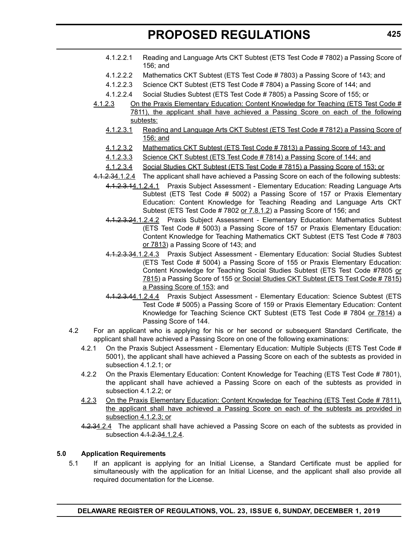- 4.1.2.2.1 Reading and Language Arts CKT Subtest (ETS Test Code # 7802) a Passing Score of 156; and
- 4.1.2.2.2 Mathematics CKT Subtest (ETS Test Code # 7803) a Passing Score of 143; and
- 4.1.2.2.3 Science CKT Subtest (ETS Test Code # 7804) a Passing Score of 144; and
- 4.1.2.2.4 Social Studies Subtest (ETS Test Code # 7805) a Passing Score of 155; or
- 4.1.2.3 On the Praxis Elementary Education: Content Knowledge for Teaching (ETS Test Code # 7811), the applicant shall have achieved a Passing Score on each of the following subtests:
	- 4.1.2.3.1 Reading and Language Arts CKT Subtest (ETS Test Code # 7812) a Passing Score of 156; and
	- 4.1.2.3.2 Mathematics CKT Subtest (ETS Test Code # 7813) a Passing Score of 143; and
	- 4.1.2.3.3 Science CKT Subtest (ETS Test Code # 7814) a Passing Score of 144; and
	- 4.1.2.3.4 Social Studies CKT Subtest (ETS Test Code # 7815) a Passing Score of 153; or
- 4.1.2.34.1.2.4 The applicant shall have achieved a Passing Score on each of the following subtests:
	- 4.1.2.3.14.1.2.4.1 Praxis Subject Assessment Elementary Education: Reading Language Arts Subtest (ETS Test Code # 5002) a Passing Score of 157 or Praxis Elementary Education: Content Knowledge for Teaching Reading and Language Arts CKT Subtest (ETS Test Code # 7802 or 7.8.1.2) a Passing Score of 156; and
		- 4.1.2.3.24.1.2.4.2 Praxis Subject Assessment Elementary Education: Mathematics Subtest (ETS Test Code # 5003) a Passing Score of 157 or Praxis Elementary Education: Content Knowledge for Teaching Mathematics CKT Subtest (ETS Test Code # 7803 or 7813) a Passing Score of 143; and
		- 4.1.2.3.34.1.2.4.3 Praxis Subject Assessment Elementary Education: Social Studies Subtest (ETS Test Code # 5004) a Passing Score of 155 or Praxis Elementary Education: Content Knowledge for Teaching Social Studies Subtest (ETS Test Code #7805 or 7815) a Passing Score of 155 or Social Studies CKT Subtest (ETS Test Code # 7815) a Passing Score of 153; and
		- 4.1.2.3.44.1.2.4.4 Praxis Subject Assessment Elementary Education: Science Subtest (ETS Test Code # 5005) a Passing Score of 159 or Praxis Elementary Education: Content Knowledge for Teaching Science CKT Subtest (ETS Test Code # 7804 or 7814) a Passing Score of 144.
- 4.2 For an applicant who is applying for his or her second or subsequent Standard Certificate, the applicant shall have achieved a Passing Score on one of the following examinations:
	- 4.2.1 On the Praxis Subject Assessment Elementary Education: Multiple Subjects (ETS Test Code # 5001), the applicant shall have achieved a Passing Score on each of the subtests as provided in subsection 4.1.2.1; or
	- 4.2.2 On the Praxis Elementary Education: Content Knowledge for Teaching (ETS Test Code # 7801), the applicant shall have achieved a Passing Score on each of the subtests as provided in subsection 4.1.2.2; or
	- 4.2.3 On the Praxis Elementary Education: Content Knowledge for Teaching (ETS Test Code # 7811), the applicant shall have achieved a Passing Score on each of the subtests as provided in subsection 4.1.2.3; or
	- 4.2.34.2.4 The applicant shall have achieved a Passing Score on each of the subtests as provided in subsection 4.1.2.34.1.2.4.

#### **5.0 Application Requirements**

5.1 If an applicant is applying for an Initial License, a Standard Certificate must be applied for simultaneously with the application for an Initial License, and the applicant shall also provide all required documentation for the License.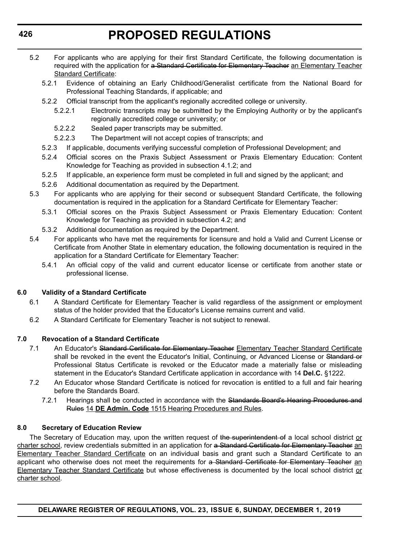- 5.2 For applicants who are applying for their first Standard Certificate, the following documentation is required with the application for a Standard Certificate for Elementary Teacher an Elementary Teacher Standard Certificate:
	- 5.2.1 Evidence of obtaining an Early Childhood/Generalist certificate from the National Board for Professional Teaching Standards, if applicable; and
	- 5.2.2 Official transcript from the applicant's regionally accredited college or university.
		- 5.2.2.1 Electronic transcripts may be submitted by the Employing Authority or by the applicant's regionally accredited college or university; or
		- 5.2.2.2 Sealed paper transcripts may be submitted.
		- 5.2.2.3 The Department will not accept copies of transcripts; and
	- 5.2.3 If applicable, documents verifying successful completion of Professional Development; and
	- 5.2.4 Official scores on the Praxis Subject Assessment or Praxis Elementary Education: Content Knowledge for Teaching as provided in subsection 4.1.2; and
	- 5.2.5 If applicable, an experience form must be completed in full and signed by the applicant; and
	- 5.2.6 Additional documentation as required by the Department.
- 5.3 For applicants who are applying for their second or subsequent Standard Certificate, the following documentation is required in the application for a Standard Certificate for Elementary Teacher:
	- 5.3.1 Official scores on the Praxis Subject Assessment or Praxis Elementary Education: Content Knowledge for Teaching as provided in subsection 4.2; and
	- 5.3.2 Additional documentation as required by the Department.
- 5.4 For applicants who have met the requirements for licensure and hold a Valid and Current License or Certificate from Another State in elementary education, the following documentation is required in the application for a Standard Certificate for Elementary Teacher:
	- 5.4.1 An official copy of the valid and current educator license or certificate from another state or professional license.

### **6.0 Validity of a Standard Certificate**

- 6.1 A Standard Certificate for Elementary Teacher is valid regardless of the assignment or employment status of the holder provided that the Educator's License remains current and valid.
- 6.2 A Standard Certificate for Elementary Teacher is not subject to renewal.

### **7.0 Revocation of a Standard Certificate**

- 7.1 An Educator's Standard Certificate for Elementary Teacher Elementary Teacher Standard Certificate shall be revoked in the event the Educator's Initial, Continuing, or Advanced License or Standard or Professional Status Certificate is revoked or the Educator made a materially false or misleading statement in the Educator's Standard Certificate application in accordance with 14 **Del.C.** §1222.
- 7.2 An Educator whose Standard Certificate is noticed for revocation is entitled to a full and fair hearing before the Standards Board.
	- 7.2.1 Hearings shall be conducted in accordance with the Standards Board's Hearing Procedures and Rules 14 **DE Admin. Code** 1515 Hearing Procedures and Rules.

### **8.0 Secretary of Education Review**

The Secretary of Education may, upon the written request of the superintendent of a local school district or charter school, review credentials submitted in an application for a Standard Certificate for Elementary Teacher an Elementary Teacher Standard Certificate on an individual basis and grant such a Standard Certificate to an applicant who otherwise does not meet the requirements for a Standard Certificate for Elementary Teacher an Elementary Teacher Standard Certificate but whose effectiveness is documented by the local school district or charter school.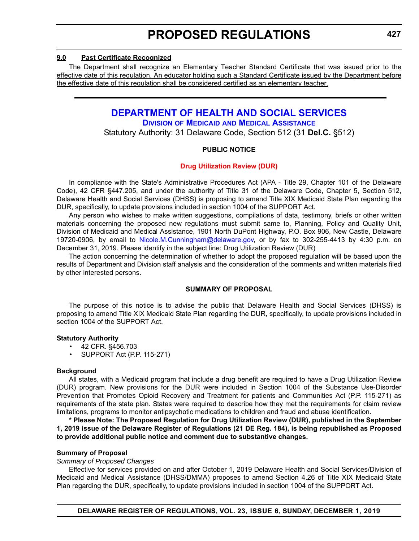#### <span id="page-20-0"></span>**9.0 Past Certificate Recognized**

The Department shall recognize an Elementary Teacher Standard Certificate that was issued prior to the effective date of this regulation. An educator holding such a Standard Certificate issued by the Department before the effective date of this regulation shall be considered certified as an elementary teacher.

# **[DEPARTMENT OF HEALTH AND SOCIAL SERVICES](https://www.dhss.delaware.gov/dhss/index.html)**

**DIVISION OF MEDICAID [AND MEDICAL ASSISTANCE](https://www.dhss.delaware.gov/dhss/dmma/)**

Statutory Authority: 31 Delaware Code, Section 512 (31 **Del.C.** §512)

#### **PUBLIC NOTICE**

#### **[Drug Utilization Review \(DUR\)](#page-3-0)**

In compliance with the State's Administrative Procedures Act (APA - Title 29, Chapter 101 of the Delaware Code), 42 CFR §447.205, and under the authority of Title 31 of the Delaware Code, Chapter 5, Section 512, Delaware Health and Social Services (DHSS) is proposing to amend Title XIX Medicaid State Plan regarding the DUR, specifically, to update provisions included in section 1004 of the SUPPORT Act.

Any person who wishes to make written suggestions, compilations of data, testimony, briefs or other written materials concerning the proposed new regulations must submit same to, Planning, Policy and Quality Unit, Division of Medicaid and Medical Assistance, 1901 North DuPont Highway, P.O. Box 906, New Castle, Delaware 19720-0906, by email to [Nicole.M.Cunningham@delaware.gov,](mailto:Nicole.M.Cunningham@delaware.gov) or by fax to 302-255-4413 by 4:30 p.m. on December 31, 2019. Please identify in the subject line: Drug Utilization Review (DUR)

The action concerning the determination of whether to adopt the proposed regulation will be based upon the results of Department and Division staff analysis and the consideration of the comments and written materials filed by other interested persons.

#### **SUMMARY OF PROPOSAL**

The purpose of this notice is to advise the public that Delaware Health and Social Services (DHSS) is proposing to amend Title XIX Medicaid State Plan regarding the DUR, specifically, to update provisions included in section 1004 of the SUPPORT Act.

#### **Statutory Authority**

- 42 CFR. §456.703
- SUPPORT Act (P.P. 115-271)

#### **Background**

All states, with a Medicaid program that include a drug benefit are required to have a Drug Utilization Review (DUR) program. New provisions for the DUR were included in Section 1004 of the Substance Use-Disorder Prevention that Promotes Opioid Recovery and Treatment for patients and Communities Act (P.P. 115-271) as requirements of the state plan. States were required to describe how they met the requirements for claim review limitations, programs to monitor antipsychotic medications to children and fraud and abuse identification.

**\* Please Note: The Proposed Regulation for Drug Utilization Review (DUR), published in the September 1, 2019 issue of the Delaware Register of Regulations (21 DE Reg. 184), is being republished as Proposed to provide additional public notice and comment due to substantive changes.**

### **Summary of Proposal**

#### *Summary of Proposed Changes*

Effective for services provided on and after October 1, 2019 Delaware Health and Social Services/Division of Medicaid and Medical Assistance (DHSS/DMMA) proposes to amend Section 4.26 of Title XIX Medicaid State Plan regarding the DUR, specifically, to update provisions included in section 1004 of the SUPPORT Act.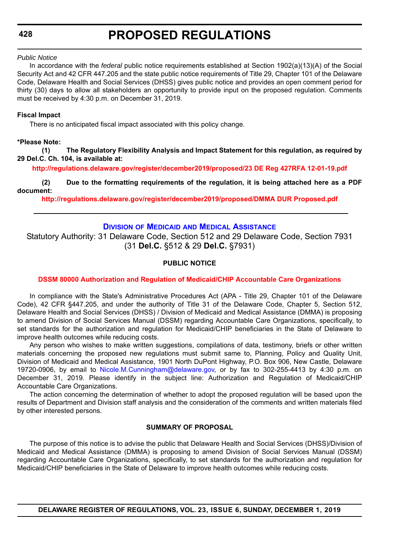#### <span id="page-21-0"></span>*Public Notice*

In accordance with the *federal* public notice requirements established at Section 1902(a)(13)(A) of the Social Security Act and 42 CFR 447.205 and the state public notice requirements of Title 29, Chapter 101 of the Delaware Code, Delaware Health and Social Services (DHSS) gives public notice and provides an open comment period for thirty (30) days to allow all stakeholders an opportunity to provide input on the proposed regulation. Comments must be received by 4:30 p.m. on December 31, 2019.

#### **Fiscal Impact**

There is no anticipated fiscal impact associated with this policy change.

#### **\*Please Note:**

**(1) The Regulatory Flexibility Analysis and Impact Statement for this regulation, as required by 29 Del.C. Ch. 104, is available at:**

**<http://regulations.delaware.gov/register/december2019/proposed/23 DE Reg 427RFA 12-01-19.pdf>**

**(2) Due to the formatting requirements of the regulation, it is being attached here as a PDF document:**

**<http://regulations.delaware.gov/register/december2019/proposed/DMMA DUR Proposed.pdf>**

### **DIVISION OF MEDICAID [AND MEDICAL ASSISTANCE](https://www.dhss.delaware.gov/dhss/dmma/)**

Statutory Authority: 31 Delaware Code, Section 512 and 29 Delaware Code, Section 7931 (31 **Del.C.** §512 & 29 **Del.C.** §7931)

#### **PUBLIC NOTICE**

#### **[DSSM 80000 Authorization and Regulation of Medicaid/CHIP Accountable Care Organizations](#page-3-0)**

In compliance with the State's Administrative Procedures Act (APA - Title 29, Chapter 101 of the Delaware Code), 42 CFR §447.205, and under the authority of Title 31 of the Delaware Code, Chapter 5, Section 512, Delaware Health and Social Services (DHSS) / Division of Medicaid and Medical Assistance (DMMA) is proposing to amend Division of Social Services Manual (DSSM) regarding Accountable Care Organizations, specifically, to set standards for the authorization and regulation for Medicaid/CHIP beneficiaries in the State of Delaware to improve health outcomes while reducing costs.

Any person who wishes to make written suggestions, compilations of data, testimony, briefs or other written materials concerning the proposed new regulations must submit same to, Planning, Policy and Quality Unit, Division of Medicaid and Medical Assistance, 1901 North DuPont Highway, P.O. Box 906, New Castle, Delaware 19720-0906, by email to [Nicole.M.Cunningham@delaware.gov,](mailto:Nicole.M.Cunningham@delaware.gov) or by fax to 302-255-4413 by 4:30 p.m. on December 31, 2019. Please identify in the subject line: Authorization and Regulation of Medicaid/CHIP Accountable Care Organizations.

The action concerning the determination of whether to adopt the proposed regulation will be based upon the results of Department and Division staff analysis and the consideration of the comments and written materials filed by other interested persons.

#### **SUMMARY OF PROPOSAL**

The purpose of this notice is to advise the public that Delaware Health and Social Services (DHSS)/Division of Medicaid and Medical Assistance (DMMA) is proposing to amend Division of Social Services Manual (DSSM) regarding Accountable Care Organizations, specifically, to set standards for the authorization and regulation for Medicaid/CHIP beneficiaries in the State of Delaware to improve health outcomes while reducing costs.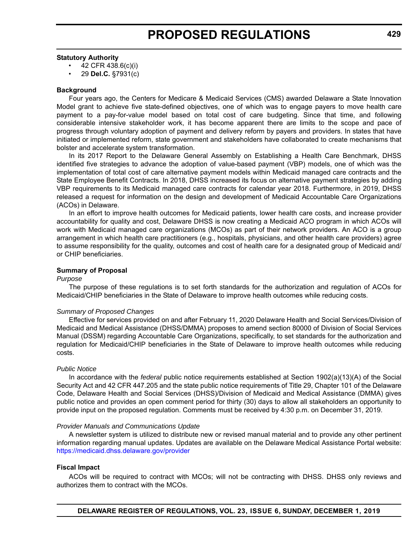#### **Statutory Authority**

- 42 CFR 438.6(c)(i)
- 29 **Del.C.** §7931(c)

#### **Background**

Four years ago, the Centers for Medicare & Medicaid Services (CMS) awarded Delaware a State Innovation Model grant to achieve five state-defined objectives, one of which was to engage payers to move health care payment to a pay-for-value model based on total cost of care budgeting. Since that time, and following considerable intensive stakeholder work, it has become apparent there are limits to the scope and pace of progress through voluntary adoption of payment and delivery reform by payers and providers. In states that have initiated or implemented reform, state government and stakeholders have collaborated to create mechanisms that bolster and accelerate system transformation.

In its 2017 Report to the Delaware General Assembly on Establishing a Health Care Benchmark, DHSS identified five strategies to advance the adoption of value-based payment (VBP) models, one of which was the implementation of total cost of care alternative payment models within Medicaid managed care contracts and the State Employee Benefit Contracts. In 2018, DHSS increased its focus on alternative payment strategies by adding VBP requirements to its Medicaid managed care contracts for calendar year 2018. Furthermore, in 2019, DHSS released a request for information on the design and development of Medicaid Accountable Care Organizations (ACOs) in Delaware.

In an effort to improve health outcomes for Medicaid patients, lower health care costs, and increase provider accountability for quality and cost, Delaware DHSS is now creating a Medicaid ACO program in which ACOs will work with Medicaid managed care organizations (MCOs) as part of their network providers. An ACO is a group arrangement in which health care practitioners (e.g., hospitals, physicians, and other health care providers) agree to assume responsibility for the quality, outcomes and cost of health care for a designated group of Medicaid and/ or CHIP beneficiaries.

#### **Summary of Proposal**

#### *Purpose*

The purpose of these regulations is to set forth standards for the authorization and regulation of ACOs for Medicaid/CHIP beneficiaries in the State of Delaware to improve health outcomes while reducing costs.

#### *Summary of Proposed Changes*

Effective for services provided on and after February 11, 2020 Delaware Health and Social Services/Division of Medicaid and Medical Assistance (DHSS/DMMA) proposes to amend section 80000 of Division of Social Services Manual (DSSM) regarding Accountable Care Organizations, specifically, to set standards for the authorization and regulation for Medicaid/CHIP beneficiaries in the State of Delaware to improve health outcomes while reducing costs.

#### *Public Notice*

In accordance with the *federal* public notice requirements established at Section 1902(a)(13)(A) of the Social Security Act and 42 CFR 447.205 and the state public notice requirements of Title 29, Chapter 101 of the Delaware Code, Delaware Health and Social Services (DHSS)/Division of Medicaid and Medical Assistance (DMMA) gives public notice and provides an open comment period for thirty (30) days to allow all stakeholders an opportunity to provide input on the proposed regulation. Comments must be received by 4:30 p.m. on December 31, 2019.

#### *Provider Manuals and Communications Update*

A newsletter system is utilized to distribute new or revised manual material and to provide any other pertinent information regarding manual updates. Updates are available on the Delaware Medical Assistance Portal website: <https://medicaid.dhss.delaware.gov/provider>

#### **Fiscal Impact**

ACOs will be required to contract with MCOs; will not be contracting with DHSS. DHSS only reviews and authorizes them to contract with the MCOs.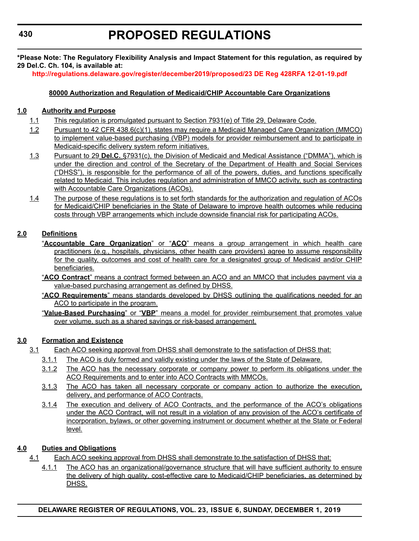**\*Please Note: The Regulatory Flexibility Analysis and Impact Statement for this regulation, as required by 29 Del.C. Ch. 104, is available at:**

**<http://regulations.delaware.gov/register/december2019/proposed/23 DE Reg 428RFA 12-01-19.pdf>**

#### **80000 Authorization and Regulation of Medicaid/CHIP Accountable Care Organizations**

#### **1.0 Authority and Purpose**

- 1.1 This regulation is promulgated pursuant to Section 7931(e) of Title 29, Delaware Code.
- 1.2 Pursuant to 42 CFR 438.6(c)(1), states may require a Medicaid Managed Care Organization (MMCO) to implement value-based purchasing (VBP) models for provider reimbursement and to participate in Medicaid-specific delivery system reform initiatives.
- 1.3 Pursuant to 29 **Del.C.** §7931(c), the Division of Medicaid and Medical Assistance ("DMMA"), which is under the direction and control of the Secretary of the Department of Health and Social Services ("DHSS"), is responsible for the performance of all of the powers, duties, and functions specifically related to Medicaid. This includes regulation and administration of MMCO activity, such as contracting with Accountable Care Organizations (ACOs).
- 1.4 The purpose of these regulations is to set forth standards for the authorization and regulation of ACOs for Medicaid/CHIP beneficiaries in the State of Delaware to improve health outcomes while reducing costs through VBP arrangements which include downside financial risk for participating ACOs.

### **2.0 Definitions**

- "**Accountable Care Organization**" or "**ACO**" means a group arrangement in which health care practitioners (e.g., hospitals, physicians, other health care providers) agree to assume responsibility for the quality, outcomes and cost of health care for a designated group of Medicaid and/or CHIP beneficiaries.
- "**ACO Contract**" means a contract formed between an ACO and an MMCO that includes payment via a value-based purchasing arrangement as defined by DHSS.
- "**ACO Requirements**" means standards developed by DHSS outlining the qualifications needed for an ACO to participate in the program.
- "**Value-Based Purchasing**" or "**VBP**" means a model for provider reimbursement that promotes value over volume, such as a shared savings or risk-based arrangement.

### **3.0 Formation and Existence**

- 3.1 Each ACO seeking approval from DHSS shall demonstrate to the satisfaction of DHSS that:
	- 3.1.1 The ACO is duly formed and validly existing under the laws of the State of Delaware.
	- 3.1.2 The ACO has the necessary corporate or company power to perform its obligations under the ACO Requirements and to enter into ACO Contracts with MMCOs.
	- 3.1.3 The ACO has taken all necessary corporate or company action to authorize the execution, delivery, and performance of ACO Contracts.
	- 3.1.4 The execution and delivery of ACO Contracts, and the performance of the ACO's obligations under the ACO Contract, will not result in a violation of any provision of the ACO's certificate of incorporation, bylaws, or other governing instrument or document whether at the State or Federal level.

### **4.0 Duties and Obligations**

- 4.1 Each ACO seeking approval from DHSS shall demonstrate to the satisfaction of DHSS that:
	- 4.1.1 The ACO has an organizational/governance structure that will have sufficient authority to ensure the delivery of high quality, cost-effective care to Medicaid/CHIP beneficiaries, as determined by DHSS.

**430**

**DELAWARE REGISTER OF REGULATIONS, VOL. 23, ISSUE 6, SUNDAY, DECEMBER 1, 2019**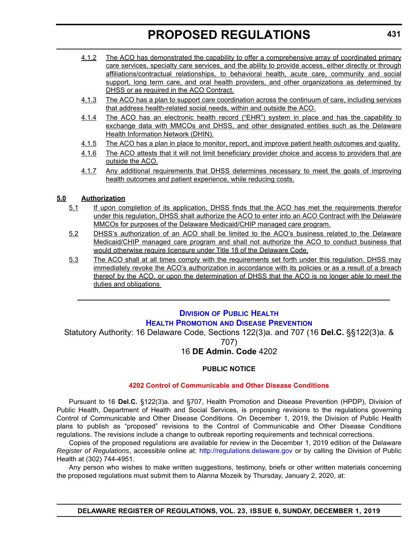- <span id="page-24-0"></span>4.1.2 The ACO has demonstrated the capability to offer a comprehensive array of coordinated primary care services, specialty care services, and the ability to provide access, either directly or through affiliations/contractual relationships, to behavioral health, acute care, community and social support, long term care, and oral health providers, and other organizations as determined by DHSS or as required in the ACO Contract.
- 4.1.3 The ACO has a plan to support care coordination across the continuum of care, including services that address health-related social needs, within and outside the ACO.
- 4.1.4 The ACO has an electronic health record ("EHR") system in place and has the capability to exchange data with MMCOs and DHSS, and other designated entities such as the Delaware Health Information Network (DHIN).
- 4.1.5 The ACO has a plan in place to monitor, report, and improve patient health outcomes and quality.
- 4.1.6 The ACO attests that it will not limit beneficiary provider choice and access to providers that are outside the ACO.
- 4.1.7 Any additional requirements that DHSS determines necessary to meet the goals of improving health outcomes and patient experience, while reducing costs.

#### **5.0 Authorization**

- 5.1 If upon completion of its application, DHSS finds that the ACO has met the requirements therefor under this regulation, DHSS shall authorize the ACO to enter into an ACO Contract with the Delaware MMCOs for purposes of the Delaware Medicaid/CHIP managed care program.
- 5.2 DHSS's authorization of an ACO shall be limited to the ACO's business related to the Delaware Medicaid/CHIP managed care program and shall not authorize the ACO to conduct business that would otherwise require licensure under Title 18 of the Delaware Code.
- 5.3 The ACO shall at all times comply with the requirements set forth under this regulation. DHSS may immediately revoke the ACO's authorization in accordance with its policies or as a result of a breach thereof by the ACO, or upon the determination of DHSS that the ACO is no longer able to meet the duties and obligations

# **DIVISION [OF PUBLIC HEALTH](https://www.dhss.delaware.gov/dhss/dph/index.html) HEALTH PROMOTION [AND DISEASE PREVENTION](https://dhss.delaware.gov/dhss/dph/dpc/dpcsection.html)**

Statutory Authority: 16 Delaware Code, Sections 122(3)a. and 707 (16 **Del.C.** §§122(3)a. &

707)

# 16 **DE Admin. Code** 4202

#### **PUBLIC NOTICE**

#### **[4202 Control of Communicable and Other Disease Conditions](#page-3-0)**

Pursuant to 16 **Del.C.** §122(3)a. and §707, Health Promotion and Disease Prevention (HPDP), Division of Public Health, Department of Health and Social Services, is proposing revisions to the regulations governing Control of Communicable and Other Disease Conditions. On December 1, 2019, the Division of Public Health plans to publish as "proposed" revisions to the Control of Communicable and Other Disease Conditions regulations. The revisions include a change to outbreak reporting requirements and technical corrections.

Copies of the proposed regulations are available for review in the December 1, 2019 edition of the Delaware *Register of Regulations*, accessible online at: <http://regulations.delaware.gov>or by calling the Division of Public Health at (302) 744-4951.

Any person who wishes to make written suggestions, testimony, briefs or other written materials concerning the proposed regulations must submit them to Alanna Mozeik by Thursday, January 2, 2020, at: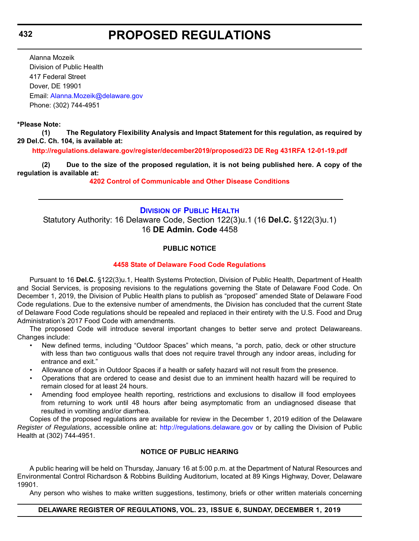<span id="page-25-0"></span>**432**

# **PROPOSED REGULATIONS**

Alanna Mozeik Division of Public Health 417 Federal Street Dover, DE 19901 Email: [Alanna.Mozeik@delaware.gov](mailto:Alanna.Mozeik@delaware.gov) Phone: (302) 744-4951

#### **\*Please Note:**

**(1) The Regulatory Flexibility Analysis and Impact Statement for this regulation, as required by 29 Del.C. Ch. 104, is available at:**

**<http://regulations.delaware.gov/register/december2019/proposed/23 DE Reg 431RFA 12-01-19.pdf>**

**(2) Due to the size of the proposed regulation, it is not being published here. A copy of the regulation is available at:**

**[4202 Control of Communicable and Other Disease Conditions](http://regulations.delaware.gov/register/december2019/proposed/23 DE Reg 431 12-01-19.htm)**

#### **DIVISION [OF PUBLIC HEALTH](https://www.dhss.delaware.gov/dhss/dph/index.html)**

Statutory Authority: 16 Delaware Code, Section 122(3)u.1 (16 **Del.C.** §122(3)u.1) 16 **DE Admin. Code** 4458

#### **PUBLIC NOTICE**

#### **[4458 State of Delaware Food Code Regulations](#page-3-0)**

Pursuant to 16 **Del.C.** §122(3)u.1, Health Systems Protection, Division of Public Health, Department of Health and Social Services, is proposing revisions to the regulations governing the State of Delaware Food Code. On December 1, 2019, the Division of Public Health plans to publish as "proposed" amended State of Delaware Food Code regulations. Due to the extensive number of amendments, the Division has concluded that the current State of Delaware Food Code regulations should be repealed and replaced in their entirety with the U.S. Food and Drug Administration's 2017 Food Code with amendments.

The proposed Code will introduce several important changes to better serve and protect Delawareans. Changes include:

- New defined terms, including "Outdoor Spaces" which means, "a porch, patio, deck or other structure with less than two contiguous walls that does not require travel through any indoor areas, including for entrance and exit."
- Allowance of dogs in Outdoor Spaces if a health or safety hazard will not result from the presence.
- Operations that are ordered to cease and desist due to an imminent health hazard will be required to remain closed for at least 24 hours.
- Amending food employee health reporting, restrictions and exclusions to disallow ill food employees from returning to work until 48 hours after being asymptomatic from an undiagnosed disease that resulted in vomiting and/or diarrhea.

Copies of the proposed regulations are available for review in the December 1, 2019 edition of the Delaware *Register of Regulations*, accessible online at: <http://regulations.delaware.gov> or by calling the Division of Public Health at (302) 744-4951.

#### **NOTICE OF PUBLIC HEARING**

A public hearing will be held on Thursday, January 16 at 5:00 p.m. at the Department of Natural Resources and Environmental Control Richardson & Robbins Building Auditorium, located at 89 Kings Highway, Dover, Delaware 19901.

Any person who wishes to make written suggestions, testimony, briefs or other written materials concerning

#### **DELAWARE REGISTER OF REGULATIONS, VOL. 23, ISSUE 6, SUNDAY, DECEMBER 1, 2019**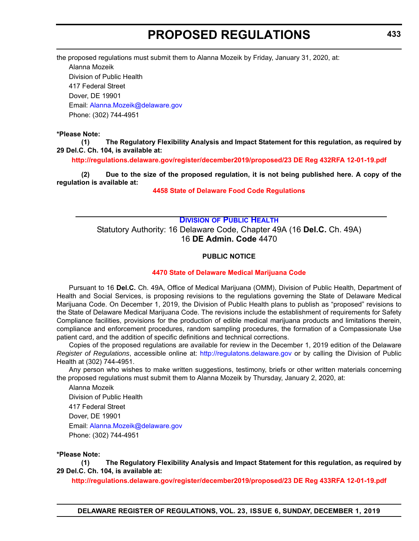<span id="page-26-0"></span>the proposed regulations must submit them to Alanna Mozeik by Friday, January 31, 2020, at:

Alanna Mozeik Division of Public Health 417 Federal Street Dover, DE 19901 Email: [Alanna.Mozeik@delaware.gov](mailto:Alanna.Mozeik@delaware.gov) Phone: (302) 744-4951

#### **\*Please Note:**

**(1) The Regulatory Flexibility Analysis and Impact Statement for this regulation, as required by 29 Del.C. Ch. 104, is available at:**

**<http://regulations.delaware.gov/register/december2019/proposed/23 DE Reg 432RFA 12-01-19.pdf>**

**(2) Due to the size of the proposed regulation, it is not being published here. A copy of the regulation is available at:**

**[4458 State of Delaware Food Code Regulations](http://regulations.delaware.gov/register/december2019/proposed/23 DE Reg 432 12-01-19.htm)**

### **DIVISION [OF PUBLIC HEALTH](https://www.dhss.delaware.gov/dhss/dph/index.html)** Statutory Authority: 16 Delaware Code, Chapter 49A (16 **Del.C.** Ch. 49A) 16 **DE Admin. Code** 4470

#### **PUBLIC NOTICE**

#### **[4470 State of Delaware Medical Marijuana Code](#page-3-0)**

Pursuant to 16 **Del.C.** Ch. 49A, Office of Medical Marijuana (OMM), Division of Public Health, Department of Health and Social Services, is proposing revisions to the regulations governing the State of Delaware Medical Marijuana Code. On December 1, 2019, the Division of Public Health plans to publish as "proposed" revisions to the State of Delaware Medical Marijuana Code. The revisions include the establishment of requirements for Safety Compliance facilities, provisions for the production of edible medical marijuana products and limitations therein, compliance and enforcement procedures, random sampling procedures, the formation of a Compassionate Use patient card, and the addition of specific definitions and technical corrections.

Copies of the proposed regulations are available for review in the December 1, 2019 edition of the Delaware *Register of Regulations*, accessible online at: <http://regulatons.delaware.gov> or by calling the Division of Public Health at (302) 744-4951.

Any person who wishes to make written suggestions, testimony, briefs or other written materials concerning the proposed regulations must submit them to Alanna Mozeik by Thursday, January 2, 2020, at:

Alanna Mozeik Division of Public Health 417 Federal Street Dover, DE 19901 Email: [Alanna.Mozeik@delaware.gov](mailto:Alanna.Mozeik@delaware.gov) Phone: (302) 744-4951

#### **\*Please Note:**

**(1) The Regulatory Flexibility Analysis and Impact Statement for this regulation, as required by 29 Del.C. Ch. 104, is available at:**

**<http://regulations.delaware.gov/register/december2019/proposed/23 DE Reg 433RFA 12-01-19.pdf>**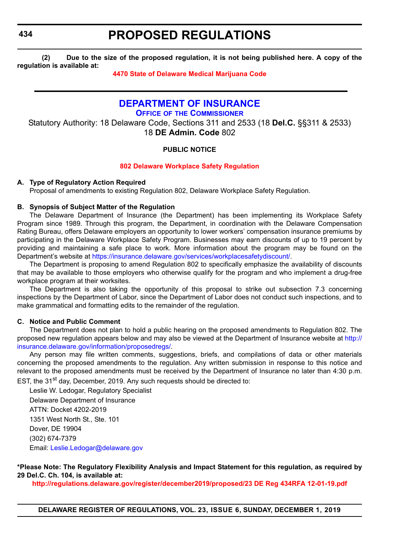<span id="page-27-0"></span>**434**

# **PROPOSED REGULATIONS**

**(2) Due to the size of the proposed regulation, it is not being published here. A copy of the regulation is available at:**

#### **[4470 State of Delaware Medical Marijuana Code](http://regulations.delaware.gov/register/december2019/proposed/23 DE Reg 433 12-01-19.htm)**

# **[DEPARTMENT OF INSURANCE](https://insurance.delaware.gov/)**

**OFFICE OF [THE COMMISSIONER](https://insurance.delaware.gov/bio/)**

Statutory Authority: 18 Delaware Code, Sections 311 and 2533 (18 **Del.C.** §§311 & 2533) 18 **DE Admin. Code** 802

### **PUBLIC NOTICE**

#### **[802 Delaware Workplace Safety Regulation](#page-3-0)**

#### **A. Type of Regulatory Action Required**

Proposal of amendments to existing Regulation 802, Delaware Workplace Safety Regulation.

#### **B. Synopsis of Subject Matter of the Regulation**

The Delaware Department of Insurance (the Department) has been implementing its Workplace Safety Program since 1989. Through this program, the Department, in coordination with the Delaware Compensation Rating Bureau, offers Delaware employers an opportunity to lower workers' compensation insurance premiums by participating in the Delaware Workplace Safety Program. Businesses may earn discounts of up to 19 percent by providing and maintaining a safe place to work. More information about the program may be found on the Department's website at <https://insurance.delaware.gov/services/workplacesafetydiscount/>.

The Department is proposing to amend Regulation 802 to specifically emphasize the availability of discounts that may be available to those employers who otherwise qualify for the program and who implement a drug-free workplace program at their worksites.

The Department is also taking the opportunity of this proposal to strike out subsection 7.3 concerning inspections by the Department of Labor, since the Department of Labor does not conduct such inspections, and to make grammatical and formatting edits to the remainder of the regulation.

#### **C. Notice and Public Comment**

The Department does not plan to hold a public hearing on the proposed amendments to Regulation 802. The proposed new regulation appears below and may also be viewed at the Department of Insurance website at [http://](http://insurance.delaware.gov/information/proposedregs/) [insurance.delaware.gov/information/proposedregs/.](http://insurance.delaware.gov/information/proposedregs/)

Any person may file written comments, suggestions, briefs, and compilations of data or other materials concerning the proposed amendments to the regulation. Any written submission in response to this notice and relevant to the proposed amendments must be received by the Department of Insurance no later than 4:30 p.m. EST, the 31<sup>st</sup> day, December, 2019. Any such requests should be directed to:

Leslie W. Ledogar, Regulatory Specialist Delaware Department of Insurance ATTN: Docket 4202-2019 1351 West North St., Ste. 101 Dover, DE 19904

(302) 674-7379 Email: [Leslie.Ledogar@delaware.gov](mailto:Leslie.Ledogar@delaware.gov)

**\*Please Note: The Regulatory Flexibility Analysis and Impact Statement for this regulation, as required by 29 Del.C. Ch. 104, is available at:**

**<http://regulations.delaware.gov/register/december2019/proposed/23 DE Reg 434RFA 12-01-19.pdf>**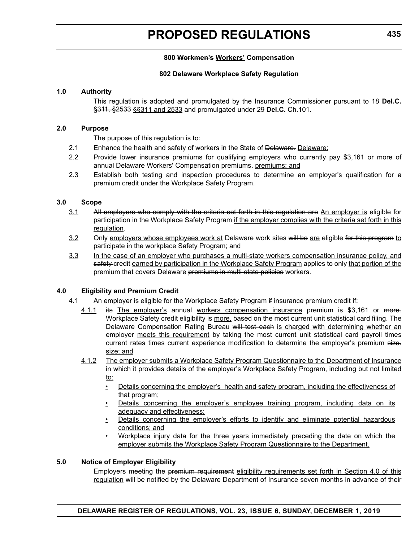#### **800 Workmen's Workers' Compensation**

#### **802 Delaware Workplace Safety Regulation**

#### **1.0 Authority**

This regulation is adopted and promulgated by the Insurance Commissioner pursuant to 18 **Del.C.** §311, §2533 §§311 and 2533 and promulgated under 29 **Del.C.** Ch.101.

#### **2.0 Purpose**

The purpose of this regulation is to:

- 2.1 Enhance the health and safety of workers in the State of Delaware. Delaware:
- 2.2 Provide lower insurance premiums for qualifying employers who currently pay \$3,161 or more of annual Delaware Workers' Compensation premiums. premiums; and
- 2.3 Establish both testing and inspection procedures to determine an employer's qualification for a premium credit under the Workplace Safety Program.

#### **3.0 Scope**

- 3.1 All employers who comply with the criteria set forth in this regulation are An employer is eligible for participation in the Workplace Safety Program if the employer complies with the criteria set forth in this regulation.
- 3.2 Only employers whose employees work at Delaware work sites will be are eligible for this program to participate in the workplace Safety Program; and
- 3.3 In the case of an employer who purchases a multi-state workers compensation insurance policy, and safety-credit earned by participation in the Workplace Safety Program applies to only that portion of the premium that covers Delaware premiums in multi-state policies workers.

#### **4.0 Eligibility and Premium Credit**

- 4.1 An employer is eligible for the Workplace Safety Program if insurance premium credit if:
	- 4.1.1 its The employer's annual workers compensation insurance premium is \$3,161 or more. Workplace Safety credit eligibility is more, based on the most current unit statistical card filing. The Delaware Compensation Rating Bureau will test each is charged with determining whether an employer meets this requirement by taking the most current unit statistical card payroll times current rates times current experience modification to determine the employer's premium size. size; and
	- 4.1.2 The employer submits a Workplace Safety Program Questionnaire to the Department of Insurance in which it provides details of the employer's Workplace Safety Program, including but not limited to:
		- Details concerning the employer's health and safety program, including the effectiveness of that program;
		- Details concerning the employer's employee training program, including data on its adequacy and effectiveness;
		- Details concerning the employer's efforts to identify and eliminate potential hazardous conditions; and
		- Workplace injury data for the three years immediately preceding the date on which the employer submits the Workplace Safety Program Questionnaire to the Department.

#### **5.0 Notice of Employer Eligibility**

Employers meeting the premium requirement eligibility requirements set forth in Section 4.0 of this regulation will be notified by the Delaware Department of Insurance seven months in advance of their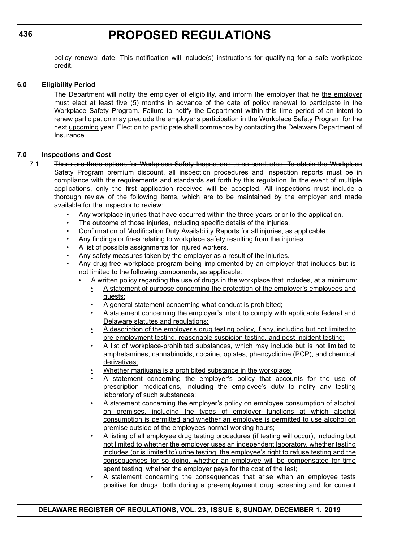policy renewal date. This notification will include(s) instructions for qualifying for a safe workplace credit.

#### **6.0 Eligibility Period**

The Department will notify the employer of eligibility, and inform the employer that he the employer must elect at least five (5) months in advance of the date of policy renewal to participate in the Workplace Safety Program. Failure to notify the Department within this time period of an intent to renew participation may preclude the employer's participation in the Workplace Safety Program for the next upcoming year. Election to participate shall commence by contacting the Delaware Department of Insurance.

#### **7.0 Inspections and Cost**

- 7.1 There are three options for Workplace Safety Inspections to be conducted. To obtain the Workplace Safety Program premium discount, all inspection procedures and inspection reports must be in compliance with the requirements and standards set forth by this regulation. In the event of multiple applications, only the first application received will be accepted. All inspections must include a thorough review of the following items, which are to be maintained by the employer and made available for the inspector to review:
	- Any workplace injuries that have occurred within the three years prior to the application.
	- The outcome of those injuries, including specific details of the injuries.
	- Confirmation of Modification Duty Availability Reports for all injuries, as applicable.
	- Any findings or fines relating to workplace safety resulting from the injuries.
	- A list of possible assignments for injured workers.
	- Any safety measures taken by the employer as a result of the injuries.
	- Any drug-free workplace program being implemented by an employer that includes but is not limited to the following components, as applicable:
		- A written policy regarding the use of drugs in the workplace that includes, at a minimum:
			- A statement of purpose concerning the protection of the employer's employees and guests;
			- A general statement concerning what conduct is prohibited;
			- A statement concerning the employer's intent to comply with applicable federal and Delaware statutes and regulations;
			- A description of the employer's drug testing policy, if any, including but not limited to pre-employment testing, reasonable suspicion testing, and post-incident testing;
			- A list of workplace-prohibited substances, which may include but is not limited to amphetamines, cannabinoids, cocaine, opiates, phencyclidine (PCP), and chemical derivatives;
			- Whether marijuana is a prohibited substance in the workplace;
			- A statement concerning the employer's policy that accounts for the use of prescription medications, including the employee's duty to notify any testing laboratory of such substances;
			- A statement concerning the employer's policy on employee consumption of alcohol on premises, including the types of employer functions at which alcohol consumption is permitted and whether an employee is permitted to use alcohol on premise outside of the employees normal working hours;
			- A listing of all employee drug testing procedures (if testing will occur), including but not limited to whether the employer uses an independent laboratory, whether testing includes (or is limited to) urine testing, the employee's right to refuse testing and the consequences for so doing, whether an employee will be compensated for time spent testing, whether the employer pays for the cost of the test;
			- A statement concerning the consequences that arise when an employee tests positive for drugs, both during a pre-employment drug screening and for current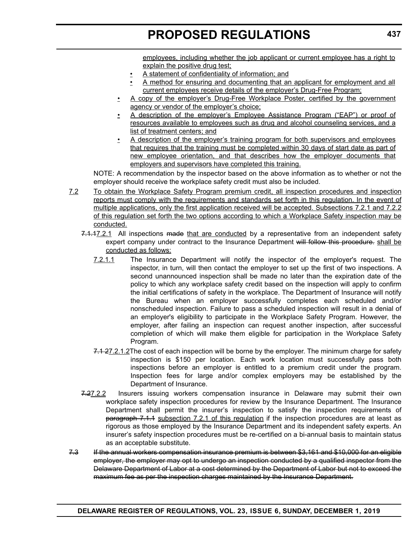employees, including whether the job applicant or current employee has a right to explain the positive drug test;

- A statement of confidentiality of information; and
- A method for ensuring and documenting that an applicant for employment and all current employees receive details of the employer's Drug-Free Program;
- A copy of the employer's Drug-Free Workplace Poster, certified by the government agency or vendor of the employer's choice;
- A description of the employer's Employee Assistance Program ("EAP") or proof of resources available to employees such as drug and alcohol counseling services, and a list of treatment centers; and
- A description of the employer's training program for both supervisors and employees that requires that the training must be completed within 30 days of start date as part of new employee orientation, and that describes how the employer documents that employers and supervisors have completed this training.

NOTE: A recommendation by the inspector based on the above information as to whether or not the employer should receive the workplace safety credit must also be included.

- 7.2 To obtain the Workplace Safety Program premium credit, all inspection procedures and inspection reports must comply with the requirements and standards set forth in this regulation. In the event of multiple applications, only the first application received will be accepted. Subsections 7.2.1 and 7.2.2 of this regulation set forth the two options according to which a Workplace Safety inspection may be conducted.
	- 7.1.17.2.1 All inspections made that are conducted by a representative from an independent safety expert company under contract to the Insurance Department will follow this procedure. shall be conducted as follows:
		- 7.2.1.1 The Insurance Department will notify the inspector of the employer's request. The inspector, in turn, will then contact the employer to set up the first of two inspections. A second unannounced inspection shall be made no later than the expiration date of the policy to which any workplace safety credit based on the inspection will apply to confirm the initial certifications of safety in the workplace. The Department of Insurance will notify the Bureau when an employer successfully completes each scheduled and/or nonscheduled inspection. Failure to pass a scheduled inspection will result in a denial of an employer's eligibility to participate in the Workplace Safety Program. However, the employer, after failing an inspection can request another inspection, after successful completion of which will make them eligible for participation in the Workplace Safety Program.
		- 7.1.27.2.1.2The cost of each inspection will be borne by the employer. The minimum charge for safety inspection is \$150 per location. Each work location must successfully pass both inspections before an employer is entitled to a premium credit under the program. Inspection fees for large and/or complex employers may be established by the Department of Insurance.
	- 7.27.2.2 Insurers issuing workers compensation insurance in Delaware may submit their own workplace safety inspection procedures for review by the Insurance Department. The Insurance Department shall permit the insurer's inspection to satisfy the inspection requirements of paragraph 7.1.1 subsection 7.2.1 of this regulation if the inspection procedures are at least as rigorous as those employed by the Insurance Department and its independent safety experts. An insurer's safety inspection procedures must be re-certified on a bi-annual basis to maintain status as an acceptable substitute.
- 7.3 If the annual workers compensation insurance premium is between \$3,161 and \$10,000 for an eligible employer, the employer may opt to undergo an inspection conducted by a qualified inspector from the Delaware Department of Labor at a cost determined by the Department of Labor but not to exceed the maximum fee as per the inspection charges maintained by the Insurance Department.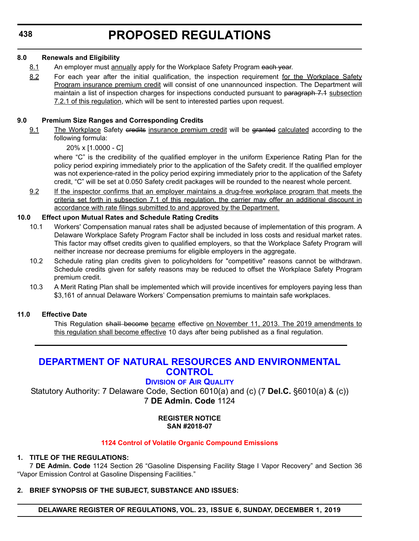#### <span id="page-31-0"></span>**8.0 Renewals and Eligibility**

- 8.1 An employer must annually apply for the Workplace Safety Program each year.
- 8.2 For each year after the initial qualification, the inspection requirement for the Workplace Safety Program insurance premium credit will consist of one unannounced inspection. The Department will maintain a list of inspection charges for inspections conducted pursuant to paragraph 7.1 subsection 7.2.1 of this regulation, which will be sent to interested parties upon request.

### **9.0 Premium Size Ranges and Corresponding Credits**

9.1 The Workplace Safety credits insurance premium credit will be granted calculated according to the following formula:

20% x [1.0000 - C]

where "C" is the credibility of the qualified employer in the uniform Experience Rating Plan for the policy period expiring immediately prior to the application of the Safety credit. If the qualified employer was not experience-rated in the policy period expiring immediately prior to the application of the Safety credit, "C" will be set at 0.050 Safety credit packages will be rounded to the nearest whole percent.

9.2 If the inspector confirms that an employer maintains a drug-free workplace program that meets the criteria set forth in subsection 7.1 of this regulation, the carrier may offer an additional discount in accordance with rate filings submitted to and approved by the Department.

### **10.0 Effect upon Mutual Rates and Schedule Rating Credits**

- 10.1 Workers' Compensation manual rates shall be adjusted because of implementation of this program. A Delaware Workplace Safety Program Factor shall be included in loss costs and residual market rates. This factor may offset credits given to qualified employers, so that the Workplace Safety Program will neither increase nor decrease premiums for eligible employers in the aggregate.
- 10.2 Schedule rating plan credits given to policyholders for "competitive" reasons cannot be withdrawn. Schedule credits given for safety reasons may be reduced to offset the Workplace Safety Program premium credit.
- 10.3 A Merit Rating Plan shall be implemented which will provide incentives for employers paying less than \$3,161 of annual Delaware Workers' Compensation premiums to maintain safe workplaces.

### **11.0 Effective Date**

This Regulation shall become became effective on November 11, 2013. The 2019 amendments to this regulation shall become effective 10 days after being published as a final regulation.

# **[DEPARTMENT OF NATURAL RESOURCES AND ENVIRONMENTAL](https://dnrec.alpha.delaware.gov/)  CONTROL**

# **DIVISION [OF AIR QUALITY](https://dnrec.alpha.delaware.gov/air/ )**

Statutory Authority: 7 Delaware Code, Section 6010(a) and (c) (7 **Del.C.** §6010(a) & (c)) 7 **DE Admin. Code** 1124

#### **REGISTER NOTICE SAN #2018-07**

### **[1124 Control of Volatile Organic Compound Emissions](#page-3-0)**

### **1. TITLE OF THE REGULATIONS:**

7 **DE Admin. Code** 1124 Section 26 "Gasoline Dispensing Facility Stage I Vapor Recovery" and Section 36 "Vapor Emission Control at Gasoline Dispensing Facilities."

**2. BRIEF SYNOPSIS OF THE SUBJECT, SUBSTANCE AND ISSUES:**

**DELAWARE REGISTER OF REGULATIONS, VOL. 23, ISSUE 6, SUNDAY, DECEMBER 1, 2019**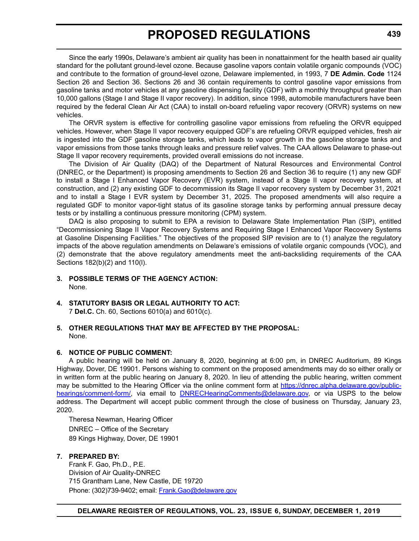Since the early 1990s, Delaware's ambient air quality has been in nonattainment for the health based air quality standard for the pollutant ground-level ozone. Because gasoline vapors contain volatile organic compounds (VOC) and contribute to the formation of ground-level ozone, Delaware implemented, in 1993, 7 **DE Admin. Code** 1124 Section 26 and Section 36. Sections 26 and 36 contain requirements to control gasoline vapor emissions from gasoline tanks and motor vehicles at any gasoline dispensing facility (GDF) with a monthly throughput greater than 10,000 gallons (Stage I and Stage II vapor recovery). In addition, since 1998, automobile manufacturers have been required by the federal Clean Air Act (CAA) to install on-board refueling vapor recovery (ORVR) systems on new vehicles.

The ORVR system is effective for controlling gasoline vapor emissions from refueling the ORVR equipped vehicles. However, when Stage II vapor recovery equipped GDF's are refueling ORVR equipped vehicles, fresh air is ingested into the GDF gasoline storage tanks, which leads to vapor growth in the gasoline storage tanks and vapor emissions from those tanks through leaks and pressure relief valves. The CAA allows Delaware to phase-out Stage II vapor recovery requirements, provided overall emissions do not increase.

The Division of Air Quality (DAQ) of the Department of Natural Resources and Environmental Control (DNREC, or the Department) is proposing amendments to Section 26 and Section 36 to require (1) any new GDF to install a Stage I Enhanced Vapor Recovery (EVR) system, instead of a Stage II vapor recovery system, at construction, and (2) any existing GDF to decommission its Stage II vapor recovery system by December 31, 2021 and to install a Stage I EVR system by December 31, 2025. The proposed amendments will also require a regulated GDF to monitor vapor-tight status of its gasoline storage tanks by performing annual pressure decay tests or by installing a continuous pressure monitoring (CPM) system.

DAQ is also proposing to submit to EPA a revision to Delaware State Implementation Plan (SIP), entitled "Decommissioning Stage II Vapor Recovery Systems and Requiring Stage I Enhanced Vapor Recovery Systems at Gasoline Dispensing Facilities." The objectives of the proposed SIP revision are to (1) analyze the regulatory impacts of the above regulation amendments on Delaware's emissions of volatile organic compounds (VOC), and (2) demonstrate that the above regulatory amendments meet the anti-backsliding requirements of the CAA Sections 182(b)(2) and 110(l).

- **3. POSSIBLE TERMS OF THE AGENCY ACTION:** None.
- **4. STATUTORY BASIS OR LEGAL AUTHORITY TO ACT:**

7 **Del.C.** Ch. 60, Sections 6010(a) and 6010(c).

**5. OTHER REGULATIONS THAT MAY BE AFFECTED BY THE PROPOSAL:** None.

### **6. NOTICE OF PUBLIC COMMENT:**

A public hearing will be held on January 8, 2020, beginning at 6:00 pm, in DNREC Auditorium, 89 Kings Highway, Dover, DE 19901. Persons wishing to comment on the proposed amendments may do so either orally or in written form at the public hearing on January 8, 2020. In lieu of attending the public hearing, written comment may be submitted to the Hearing Officer via the online comment form at [https://dnrec.alpha.delaware.gov/public](https://dnrec.alpha.delaware.gov/public-hearings/comment-form/)[hearings/comment-form/](https://dnrec.alpha.delaware.gov/public-hearings/comment-form/), via email to **DNRECHearingComments@delaware.gov**, or via USPS to the below address. The Department will accept public comment through the close of business on Thursday, January 23, 2020.

Theresa Newman, Hearing Officer DNREC – Office of the Secretary 89 Kings Highway, Dover, DE 19901

#### **7. PREPARED BY:**

Frank F. Gao, Ph.D., P.E. Division of Air Quality-DNREC 715 Grantham Lane, New Castle, DE 19720 Phone: (302)739-9402; email: [Frank.Gao@delaware.gov](mailto:Frank.Gao@delaware.gov)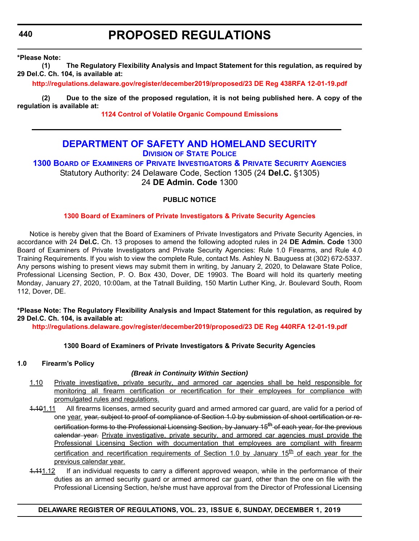<span id="page-33-0"></span>**440**

# **PROPOSED REGULATIONS**

**\*Please Note:** 

**(1) The Regulatory Flexibility Analysis and Impact Statement for this regulation, as required by 29 Del.C. Ch. 104, is available at:**

**<http://regulations.delaware.gov/register/december2019/proposed/23 DE Reg 438RFA 12-01-19.pdf>**

**(2) Due to the size of the proposed regulation, it is not being published here. A copy of the regulation is available at:**

**[1124 Control of Volatile Organic Compound Emissions](http://regulations.delaware.gov/register/december2019/proposed/23 DE Reg 438 12-01-19.htm)**

### **[DEPARTMENT OF SAFETY AND HOMELAND SECURITY](https://dshs.delaware.gov/) DIVISION [OF STATE POLICE](https://dsp.delaware.gov/)**

**1300 BOARD OF EXAMINERS [OF PRIVATE INVESTIGATORS & PRIVATE SECURITY AGENCIES](https://dsp.delaware.gov/professional-licensing/)**

Statutory Authority: 24 Delaware Code, Section 1305 (24 **Del.C.** §1305) 24 **DE Admin. Code** 1300

### **PUBLIC NOTICE**

#### **[1300 Board of Examiners of Private Investigators & Private Security Agencies](#page-3-0)**

Notice is hereby given that the Board of Examiners of Private Investigators and Private Security Agencies, in accordance with 24 **Del.C.** Ch. 13 proposes to amend the following adopted rules in 24 **DE Admin. Code** 1300 Board of Examiners of Private Investigators and Private Security Agencies: Rule 1.0 Firearms, and Rule 4.0 Training Requirements. If you wish to view the complete Rule, contact Ms. Ashley N. Bauguess at (302) 672-5337. Any persons wishing to present views may submit them in writing, by January 2, 2020, to Delaware State Police, Professional Licensing Section, P. O. Box 430, Dover, DE 19903. The Board will hold its quarterly meeting Monday, January 27, 2020, 10:00am, at the Tatnall Building, 150 Martin Luther King, Jr. Boulevard South, Room 112, Dover, DE.

#### **\*Please Note: The Regulatory Flexibility Analysis and Impact Statement for this regulation, as required by 29 Del.C. Ch. 104, is available at:**

**<http://regulations.delaware.gov/register/december2019/proposed/23 DE Reg 440RFA 12-01-19.pdf>**

### **1300 Board of Examiners of Private Investigators & Private Security Agencies**

#### **1.0 Firearm's Policy**

#### *(Break in Continuity Within Section)*

- 1.10 Private investigative, private security, and armored car agencies shall be held responsible for monitoring all firearm certification or recertification for their employees for compliance with promulgated rules and regulations.
- 4.101.11 All firearms licenses, armed security guard and armed armored car guard, are valid for a period of one year. vear, subject to proof of compliance of Section 1.0 by submission of shoot certification or recertification forms to the Professional Licensing Section, by January 15<sup>th</sup> of each year, for the previous calendar year. Private investigative, private security, and armored car agencies must provide the Professional Licensing Section with documentation that employees are compliant with firearm certification and recertification requirements of Section 1.0 by January 15<sup>th</sup> of each year for the previous calendar year.
- 4.411.12 If an individual requests to carry a different approved weapon, while in the performance of their duties as an armed security guard or armed armored car guard, other than the one on file with the Professional Licensing Section, he/she must have approval from the Director of Professional Licensing

#### **DELAWARE REGISTER OF REGULATIONS, VOL. 23, ISSUE 6, SUNDAY, DECEMBER 1, 2019**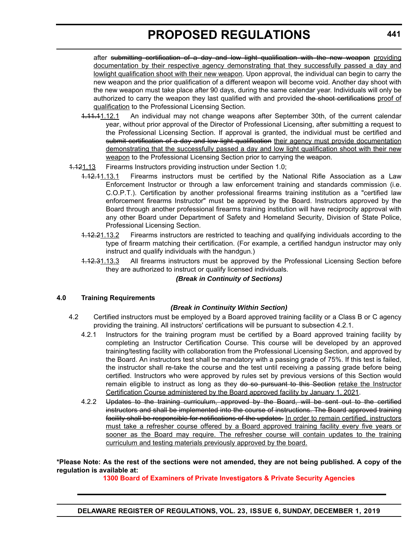after submitting certification of a day and low light qualification with the new weapon providing documentation by their respective agency demonstrating that they successfully passed a day and lowlight qualification shoot with their new weapon. Upon approval, the individual can begin to carry the new weapon and the prior qualification of a different weapon will become void. Another day shoot with the new weapon must take place after 90 days, during the same calendar year. Individuals will only be authorized to carry the weapon they last qualified with and provided the shoot certifications proof of qualification to the Professional Licensing Section.

- 1.11.11.12.1 An individual may not change weapons after September 30th, of the current calendar year, without prior approval of the Director of Professional Licensing, after submitting a request to the Professional Licensing Section. If approval is granted, the individual must be certified and submit certification of a day and low light qualification their agency must provide documentation demonstrating that the successfully passed a day and low light qualification shoot with their new weapon to the Professional Licensing Section prior to carrying the weapon.
- 1.121.13 Firearms Instructors providing instruction under Section 1.0;
	- 1.12.11.13.1 Firearms instructors must be certified by the National Rifle Association as a Law Enforcement Instructor or through a law enforcement training and standards commission (i.e. C.O.P.T.). Certification by another professional firearms training institution as a "certified law enforcement firearms Instructor" must be approved by the Board. Instructors approved by the Board through another professional firearms training institution will have reciprocity approval with any other Board under Department of Safety and Homeland Security, Division of State Police, Professional Licensing Section.
	- 1.12.21.13.2 Firearms instructors are restricted to teaching and qualifying individuals according to the type of firearm matching their certification. (For example, a certified handgun instructor may only instruct and qualify individuals with the handgun.)
	- 1.12.31.13.3 All firearms instructors must be approved by the Professional Licensing Section before they are authorized to instruct or qualify licensed individuals.

#### *(Break in Continuity of Sections)*

#### **4.0 Training Requirements**

#### *(Break in Continuity Within Section)*

- 4.2 Certified instructors must be employed by a Board approved training facility or a Class B or C agency providing the training. All instructors' certifications will be pursuant to subsection 4.2.1.
	- 4.2.1 Instructors for the training program must be certified by a Board approved training facility by completing an Instructor Certification Course. This course will be developed by an approved training/testing facility with collaboration from the Professional Licensing Section, and approved by the Board. An instructors test shall be mandatory with a passing grade of 75%. If this test is failed, the instructor shall re-take the course and the test until receiving a passing grade before being certified. Instructors who were approved by rules set by previous versions of this Section would remain eligible to instruct as long as they do so pursuant to this Section retake the Instructor Certification Course administered by the Board approved facility by January 1, 2021.
	- 4.2.2 Updates to the training curriculum, approved by the Board, will be sent out to the certified instructors and shall be implemented into the course of instructions. The Board approved training facility shall be responsible for notifications of the updates. In order to remain certified, instructors must take a refresher course offered by a Board approved training facility every five years or sooner as the Board may require. The refresher course will contain updates to the training curriculum and testing materials previously approved by the board.

#### **\*Please Note: As the rest of the sections were not amended, they are not being published. A copy of the regulation is available at:**

**[1300 Board of Examiners of Private Investigators & Private Security Agencies](http://regulations.delaware.gov/register/december2019/proposed/23 DE Reg 440 12-01-19.htm)**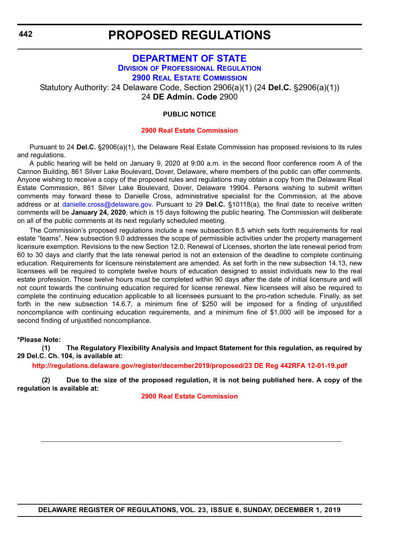# <span id="page-35-0"></span>**[DEPARTMENT OF STATE](https://sos.delaware.gov/) DIVISION [OF PROFESSIONAL REGULATION](https://dpr.delaware.gov/) [2900 REAL ESTATE COMMISSION](https://dpr.delaware.gov/boards/realestate/ )** Statutory Authority: 24 Delaware Code, Section 2906(a)(1) (24 **Del.C.** §2906(a)(1)) 24 **DE Admin. Code** 2900

#### **PUBLIC NOTICE**

#### **[2900 Real Estate Commission](#page-3-0)**

Pursuant to 24 **Del.C.** §2906(a)(1), the Delaware Real Estate Commission has proposed revisions to its rules and regulations.

A public hearing will be held on January 9, 2020 at 9:00 a.m. in the second floor conference room A of the Cannon Building, 861 Silver Lake Boulevard, Dover, Delaware, where members of the public can offer comments. Anyone wishing to receive a copy of the proposed rules and regulations may obtain a copy from the Delaware Real Estate Commission, 861 Silver Lake Boulevard, Dover, Delaware 19904. Persons wishing to submit written comments may forward these to Danielle Cross, administrative specialist for the Commission, at the above address or at [danielle.cross@delaware.gov.](mailto:danielle.cross@delaware.gov) Pursuant to 29 **Del.C.** §10118(a), the final date to receive written comments will be **January 24, 2020**, which is 15 days following the public hearing. The Commission will deliberate on all of the public comments at its next regularly scheduled meeting.

The Commission's proposed regulations include a new subsection 8.5 which sets forth requirements for real estate "teams". New subsection 9.0 addresses the scope of permissible activities under the property management licensure exemption. Revisions to the new Section 12.0, Renewal of Licenses, shorten the late renewal period from 60 to 30 days and clarify that the late renewal period is not an extension of the deadline to complete continuing education. Requirements for licensure reinstatement are amended. As set forth in the new subsection 14.13, new licensees will be required to complete twelve hours of education designed to assist individuals new to the real estate profession. Those twelve hours must be completed within 90 days after the date of initial licensure and will not count towards the continuing education required for license renewal. New licensees will also be required to complete the continuing education applicable to all licensees pursuant to the pro-ration schedule. Finally, as set forth in the new subsection 14.6.7, a minimum fine of \$250 will be imposed for a finding of unjustified noncompliance with continuing education requirements, and a minimum fine of \$1,000 will be imposed for a second finding of unjustified noncompliance.

#### **\*Please Note:**

**(1) The Regulatory Flexibility Analysis and Impact Statement for this regulation, as required by 29 Del.C. Ch. 104, is available at:**

**<http://regulations.delaware.gov/register/december2019/proposed/23 DE Reg 442RFA 12-01-19.pdf>**

**(2) Due to the size of the proposed regulation, it is not being published here. A copy of the regulation is available at:**

**[2900 Real Estate Commission](http://regulations.delaware.gov/register/december2019/proposed/23 DE Reg 442 12-01-19.htm)**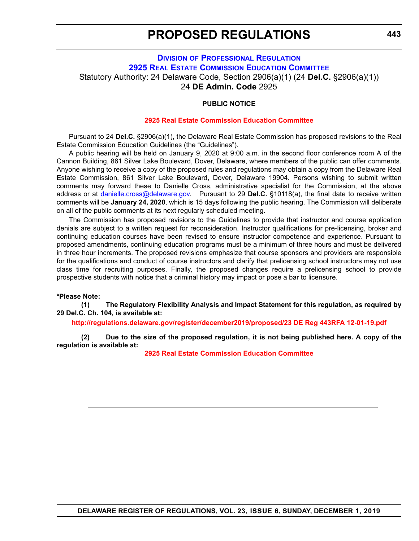## **PROPOSED REGULATIONS**

## **DIVISION [OF PROFESSIONAL REGULATION](https://dpr.delaware.gov/) [2925 REAL ESTATE COMMISSION EDUCATION COMMITTEE](https://dpr.delaware.gov/boards/realestate/committee_members/)** Statutory Authority: 24 Delaware Code, Section 2906(a)(1) (24 **Del.C.** §2906(a)(1)) 24 **DE Admin. Code** 2925

## **PUBLIC NOTICE**

## **[2925 Real Estate Commission Education Committee](#page-3-0)**

Pursuant to 24 **Del.C.** §2906(a)(1), the Delaware Real Estate Commission has proposed revisions to the Real Estate Commission Education Guidelines (the "Guidelines").

A public hearing will be held on January 9, 2020 at 9:00 a.m. in the second floor conference room A of the Cannon Building, 861 Silver Lake Boulevard, Dover, Delaware, where members of the public can offer comments. Anyone wishing to receive a copy of the proposed rules and regulations may obtain a copy from the Delaware Real Estate Commission, 861 Silver Lake Boulevard, Dover, Delaware 19904. Persons wishing to submit written comments may forward these to Danielle Cross, administrative specialist for the Commission, at the above address or at [danielle.cross@delaware.gov.](mailto:danielle.cross@delaware.gov) Pursuant to 29 **Del.C.** §10118(a), the final date to receive written comments will be **January 24, 2020**, which is 15 days following the public hearing. The Commission will deliberate on all of the public comments at its next regularly scheduled meeting.

The Commission has proposed revisions to the Guidelines to provide that instructor and course application denials are subject to a written request for reconsideration. Instructor qualifications for pre-licensing, broker and continuing education courses have been revised to ensure instructor competence and experience. Pursuant to proposed amendments, continuing education programs must be a minimum of three hours and must be delivered in three hour increments. The proposed revisions emphasize that course sponsors and providers are responsible for the qualifications and conduct of course instructors and clarify that prelicensing school instructors may not use class time for recruiting purposes. Finally, the proposed changes require a prelicensing school to provide prospective students with notice that a criminal history may impact or pose a bar to licensure.

#### **\*Please Note:**

**(1) The Regulatory Flexibility Analysis and Impact Statement for this regulation, as required by 29 Del.C. Ch. 104, is available at:**

**<http://regulations.delaware.gov/register/december2019/proposed/23 DE Reg 443RFA 12-01-19.pdf>**

**(2) Due to the size of the proposed regulation, it is not being published here. A copy of the regulation is available at:**

**[2925 Real Estate Commission Education Committee](http://regulations.delaware.gov/register/december2019/proposed/23 DE Reg 443 12-01-19.htm)**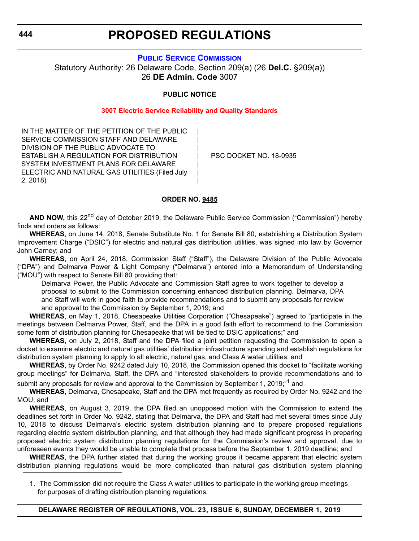## **PROPOSED REGULATIONS**

## **[PUBLIC SERVICE COMMISSION](https://depsc.delaware.gov/)**

Statutory Authority: 26 Delaware Code, Section 209(a) (26 **Del.C.** §209(a)) 26 **DE Admin. Code** 3007

## **PUBLIC NOTICE**

### **[3007 Electric Service Reliability and Quality Standards](#page-3-0)**

| | | | | | |

IN THE MATTER OF THE PETITION OF THE PUBLIC SERVICE COMMISSION STAFF AND DELAWARE DIVISION OF THE PUBLIC ADVOCATE TO ESTABLISH A REGULATION FOR DISTRIBUTION SYSTEM INVESTMENT PLANS FOR DELAWARE ELECTRIC AND NATURAL GAS UTILITIES (Filed July 2, 2018)

PSC DOCKET NO. 18-0935

### **ORDER NO. 9485**

AND NOW, this 22<sup>nd</sup> day of October 2019, the Delaware Public Service Commission ("Commission") hereby finds and orders as follows:

**WHEREAS**, on June 14, 2018, Senate Substitute No. 1 for Senate Bill 80, establishing a Distribution System Improvement Charge ("DSIC") for electric and natural gas distribution utilities, was signed into law by Governor John Carney; and

**WHEREAS**, on April 24, 2018, Commission Staff ("Staff"), the Delaware Division of the Public Advocate ("DPA") and Delmarva Power & Light Company ("Delmarva") entered into a Memorandum of Understanding ("MOU") with respect to Senate Bill 80 providing that:

Delmarva Power, the Public Advocate and Commission Staff agree to work together to develop a proposal to submit to the Commission concerning enhanced distribution planning. Delmarva, DPA and Staff will work in good faith to provide recommendations and to submit any proposals for review and approval to the Commission by September 1, 2019; and

**WHEREAS**, on May 1, 2018, Chesapeake Utilities Corporation ("Chesapeake") agreed to "participate in the meetings between Delmarva Power, Staff, and the DPA in a good faith effort to recommend to the Commission some form of distribution planning for Chesapeake that will be tied to DSIC applications;" and

**WHEREAS**, on July 2, 2018, Staff and the DPA filed a joint petition requesting the Commission to open a docket to examine electric and natural gas utilities' distribution infrastructure spending and establish regulations for distribution system planning to apply to all electric, natural gas, and Class A water utilities; and

**WHEREAS**, by Order No. 9242 dated July 10, 2018, the Commission opened this docket to "facilitate working group meetings" for Delmarva, Staff, the DPA and "interested stakeholders to provide recommendations and to submit any proposals for review and approval to the Commission by September 1, 2019;<sup>"1</sup> and

**WHEREAS,** Delmarva, Chesapeake, Staff and the DPA met frequently as required by Order No. 9242 and the MOU; and

**WHEREAS**, on August 3, 2019, the DPA filed an unopposed motion with the Commission to extend the deadlines set forth in Order No. 9242, stating that Delmarva, the DPA and Staff had met several times since July 10, 2018 to discuss Delmarva's electric system distribution planning and to prepare proposed regulations regarding electric system distribution planning, and that although they had made significant progress in preparing proposed electric system distribution planning regulations for the Commission's review and approval, due to unforeseen events they would be unable to complete that process before the September 1, 2019 deadline; and

**WHEREAS**, the DPA further stated that during the working groups it became apparent that electric system distribution planning regulations would be more complicated than natural gas distribution system planning

<sup>1.</sup> The Commission did not require the Class A water utilities to participate in the working group meetings for purposes of drafting distribution planning regulations.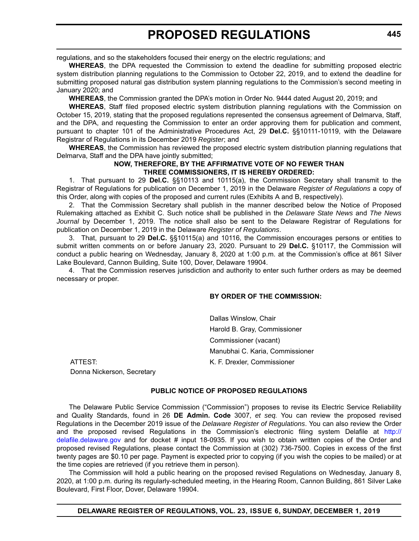regulations, and so the stakeholders focused their energy on the electric regulations; and

**WHEREAS**, the DPA requested the Commission to extend the deadline for submitting proposed electric system distribution planning regulations to the Commission to October 22, 2019, and to extend the deadline for submitting proposed natural gas distribution system planning regulations to the Commission's second meeting in January 2020; and

**WHEREAS**, the Commission granted the DPA's motion in Order No. 9444 dated August 20, 2019; and

**WHEREAS**, Staff filed proposed electric system distribution planning regulations with the Commission on October 15, 2019, stating that the proposed regulations represented the consensus agreement of Delmarva, Staff, and the DPA, and requesting the Commission to enter an order approving them for publication and comment, pursuant to chapter 101 of the Administrative Procedures Act, 29 **Del.C.** §§10111-10119, with the Delaware Registrar of Regulations in its December 2019 *Register*; and

**WHEREAS**, the Commission has reviewed the proposed electric system distribution planning regulations that Delmarva, Staff and the DPA have jointly submitted;

## **NOW, THEREFORE, BY THE AFFIRMATIVE VOTE OF NO FEWER THAN THREE COMMISSIONERS, IT IS HEREBY ORDERED:**

1. That pursuant to 29 **Del.C.** §§10113 and 10115(a), the Commission Secretary shall transmit to the Registrar of Regulations for publication on December 1, 2019 in the Delaware *Register of Regulations* a copy of this Order, along with copies of the proposed and current rules (Exhibits A and B, respectively).

2. That the Commission Secretary shall publish in the manner described below the Notice of Proposed Rulemaking attached as Exhibit C. Such notice shall be published in the *Delaware State News* and *The News Journal* by December 1, 2019. The notice shall also be sent to the Delaware Registrar of Regulations for publication on December 1, 2019 in the Delaware *Register of Regulations*.

3. That, pursuant to 29 **Del.C.** §§10115(a) and 10116, the Commission encourages persons or entities to submit written comments on or before January 23, 2020. Pursuant to 29 **Del.C.** §10117, the Commission will conduct a public hearing on Wednesday, January 8, 2020 at 1:00 p.m. at the Commission's office at 861 Silver Lake Boulevard, Cannon Building, Suite 100, Dover, Delaware 19904.

4. That the Commission reserves jurisdiction and authority to enter such further orders as may be deemed necessary or proper.

## **BY ORDER OF THE COMMISSION:**

Dallas Winslow, Chair Harold B. Gray, Commissioner Commissioner (vacant) Manubhai C. Karia, Commissioner

ATTEST: K. F. Drexler, Commissioner Donna Nickerson, Secretary

## **PUBLIC NOTICE OF PROPOSED REGULATIONS**

The Delaware Public Service Commission ("Commission") proposes to revise its Electric Service Reliability and Quality Standards, found in 26 **DE Admin. Code** 3007, *et seq.* You can review the proposed revised Regulations in the December 2019 issue of the *Delaware Register of Regulations*. You can also review the Order and the proposed revised Regulations in the Commission's electronic filing system Delafile at [http://](http://delafile.delaware.gov) [delafile.delaware.gov](http://delafile.delaware.gov) and for docket # input 18-0935. If you wish to obtain written copies of the Order and proposed revised Regulations, please contact the Commission at (302) 736-7500. Copies in excess of the first twenty pages are \$0.10 per page. Payment is expected prior to copying (if you wish the copies to be mailed) or at the time copies are retrieved (if you retrieve them in person).

The Commission will hold a public hearing on the proposed revised Regulations on Wednesday, January 8, 2020, at 1:00 p.m. during its regularly-scheduled meeting, in the Hearing Room, Cannon Building, 861 Silver Lake Boulevard, First Floor, Dover, Delaware 19904.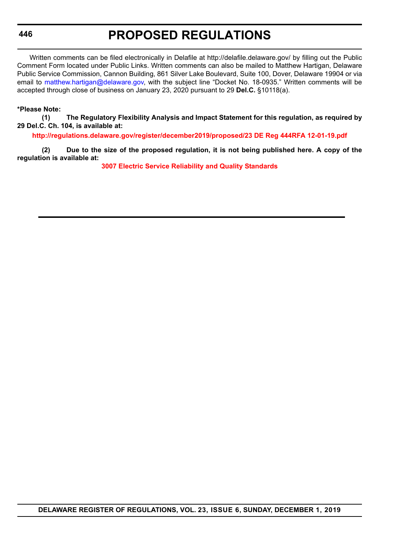## **PROPOSED REGULATIONS**

Written comments can be filed electronically in Delafile at http://delafile.delaware.gov/ by filling out the Public Comment Form located under Public Links. Written comments can also be mailed to Matthew Hartigan, Delaware Public Service Commission, Cannon Building, 861 Silver Lake Boulevard, Suite 100, Dover, Delaware 19904 or via email to [matthew.hartigan@delaware.gov,](mailto:matthew.hartigan@delaware.gov) with the subject line "Docket No. 18-0935." Written comments will be accepted through close of business on January 23, 2020 pursuant to 29 **Del.C.** §10118(a).

## **\*Please Note:**

**(1) The Regulatory Flexibility Analysis and Impact Statement for this regulation, as required by 29 Del.C. Ch. 104, is available at:**

**<http://regulations.delaware.gov/register/december2019/proposed/23 DE Reg 444RFA 12-01-19.pdf>**

**(2) Due to the size of the proposed regulation, it is not being published here. A copy of the regulation is available at:**

**[3007 Electric Service Reliability and Quality Standards](http://regulations.delaware.gov/register/december2019/proposed/23 DE Reg 444 12-01-19.htm)**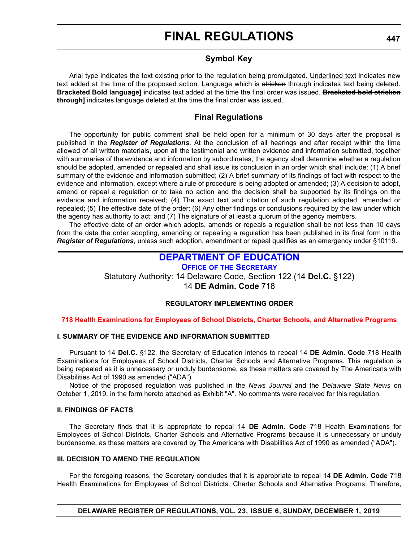## **Symbol Key**

Arial type indicates the text existing prior to the regulation being promulgated. Underlined text indicates new text added at the time of the proposed action. Language which is stricken through indicates text being deleted. **Bracketed Bold language]** indicates text added at the time the final order was issued. **Bracketed bold stricken through]** indicates language deleted at the time the final order was issued.

## **Final Regulations**

The opportunity for public comment shall be held open for a minimum of 30 days after the proposal is published in the *Register of Regulations*. At the conclusion of all hearings and after receipt within the time allowed of all written materials, upon all the testimonial and written evidence and information submitted, together with summaries of the evidence and information by subordinates, the agency shall determine whether a regulation should be adopted, amended or repealed and shall issue its conclusion in an order which shall include: (1) A brief summary of the evidence and information submitted; (2) A brief summary of its findings of fact with respect to the evidence and information, except where a rule of procedure is being adopted or amended; (3) A decision to adopt, amend or repeal a regulation or to take no action and the decision shall be supported by its findings on the evidence and information received; (4) The exact text and citation of such regulation adopted, amended or repealed; (5) The effective date of the order; (6) Any other findings or conclusions required by the law under which the agency has authority to act; and (7) The signature of at least a quorum of the agency members.

The effective date of an order which adopts, amends or repeals a regulation shall be not less than 10 days from the date the order adopting, amending or repealing a regulation has been published in its final form in the *Register of Regulations*, unless such adoption, amendment or repeal qualifies as an emergency under §10119.

## **[DEPARTMENT OF EDUCATION](https://www.doe.k12.de.us/)**

**OFFICE OF [THE SECRETARY](https://www.doe.k12.de.us/Page/11)**

Statutory Authority: 14 Delaware Code, Section 122 (14 **Del.C.** §122)

14 **DE Admin. Code** 718

## **REGULATORY IMPLEMENTING ORDER**

## **[718 Health Examinations for Employees of School Districts, Charter Schools, and Alternative Programs](#page-3-0)**

## **I. SUMMARY OF THE EVIDENCE AND INFORMATION SUBMITTED**

Pursuant to 14 **Del.C.** §122, the Secretary of Education intends to repeal 14 **DE Admin. Code** 718 Health Examinations for Employees of School Districts, Charter Schools and Alternative Programs. This regulation is being repealed as it is unnecessary or unduly burdensome, as these matters are covered by The Americans with Disabilities Act of 1990 as amended ("ADA").

Notice of the proposed regulation was published in the *News Journal* and the *Delaware State News* on October 1, 2019, in the form hereto attached as Exhibit "A". No comments were received for this regulation.

### **II. FINDINGS OF FACTS**

The Secretary finds that it is appropriate to repeal 14 **DE Admin. Code** 718 Health Examinations for Employees of School Districts, Charter Schools and Alternative Programs because it is unnecessary or unduly burdensome, as these matters are covered by The Americans with Disabilities Act of 1990 as amended ("ADA").

## **III. DECISION TO AMEND THE REGULATION**

For the foregoing reasons, the Secretary concludes that it is appropriate to repeal 14 **DE Admin. Code** 718 Health Examinations for Employees of School Districts, Charter Schools and Alternative Programs. Therefore,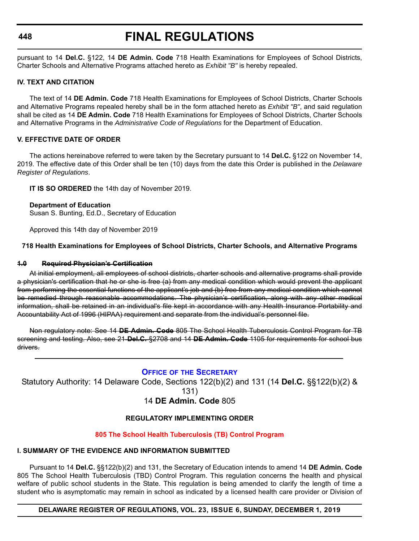## **FINAL REGULATIONS**

pursuant to 14 **Del.C.** §122, 14 **DE Admin. Code** 718 Health Examinations for Employees of School Districts, Charter Schools and Alternative Programs attached hereto as *Exhibit "B"* is hereby repealed.

## **IV. TEXT AND CITATION**

The text of 14 **DE Admin. Code** 718 Health Examinations for Employees of School Districts, Charter Schools and Alternative Programs repealed hereby shall be in the form attached hereto as *Exhibit "B"*, and said regulation shall be cited as 14 **DE Admin. Code** 718 Health Examinations for Employees of School Districts, Charter Schools and Alternative Programs in the *Administrative Code of Regulations* for the Department of Education.

## **V. EFFECTIVE DATE OF ORDER**

The actions hereinabove referred to were taken by the Secretary pursuant to 14 **Del.C.** §122 on November 14, 2019. The effective date of this Order shall be ten (10) days from the date this Order is published in the *Delaware Register of Regulations*.

**IT IS SO ORDERED** the 14th day of November 2019.

## **Department of Education**

Susan S. Bunting, Ed.D., Secretary of Education

Approved this 14th day of November 2019

## **718 Health Examinations for Employees of School Districts, Charter Schools, and Alternative Programs**

## **1.0 Required Physician's Certification**

At initial employment, all employees of school districts, charter schools and alternative programs shall provide a physician's certification that he or she is free (a) from any medical condition which would prevent the applicant from performing the essential functions of the applicant's job and (b) free from any medical condition which cannot be remedied through reasonable accommodations. The physician's certification, along with any other medical information, shall be retained in an individual's file kept in accordance with any Health Insurance Portability and Accountability Act of 1996 (HIPAA) requirement and separate from the individual's personnel file.

Non regulatory note: See 14 **DE Admin. Code** 805 The School Health Tuberculosis Control Program for TB screening and testing. Also, see 21 **Del.C.** §2708 and 14 **DE Admin. Code** 1105 for requirements for school bus drivers.

## **OFFICE OF [THE SECRETARY](https://www.doe.k12.de.us/Page/11)**

Statutory Authority: 14 Delaware Code, Sections 122(b)(2) and 131 (14 **Del.C.** §§122(b)(2) &

131)

## 14 **DE Admin. Code** 805

## **REGULATORY IMPLEMENTING ORDER**

## **[805 The School Health Tuberculosis \(TB\) Control Program](#page-3-0)**

## **I. SUMMARY OF THE EVIDENCE AND INFORMATION SUBMITTED**

Pursuant to 14 **Del.C.** §§122(b)(2) and 131, the Secretary of Education intends to amend 14 **DE Admin. Code** 805 The School Health Tuberculosis (TBD) Control Program. This regulation concerns the health and physical welfare of public school students in the State. This regulation is being amended to clarify the length of time a student who is asymptomatic may remain in school as indicated by a licensed health care provider or Division of

**DELAWARE REGISTER OF REGULATIONS, VOL. 23, ISSUE 6, SUNDAY, DECEMBER 1, 2019**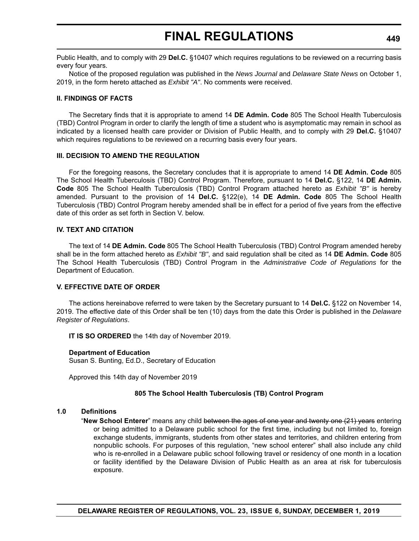Public Health, and to comply with 29 **Del.C.** §10407 which requires regulations to be reviewed on a recurring basis every four years.

Notice of the proposed regulation was published in the *News Journal* and *Delaware State News* on October 1, 2019, in the form hereto attached as *Exhibit "A"*. No comments were received.

## **II. FINDINGS OF FACTS**

The Secretary finds that it is appropriate to amend 14 **DE Admin. Code** 805 The School Health Tuberculosis (TBD) Control Program in order to clarify the length of time a student who is asymptomatic may remain in school as indicated by a licensed health care provider or Division of Public Health, and to comply with 29 **Del.C.** §10407 which requires regulations to be reviewed on a recurring basis every four years.

### **III. DECISION TO AMEND THE REGULATION**

For the foregoing reasons, the Secretary concludes that it is appropriate to amend 14 **DE Admin. Code** 805 The School Health Tuberculosis (TBD) Control Program. Therefore, pursuant to 14 **Del.C.** §122, 14 **DE Admin. Code** 805 The School Health Tuberculosis (TBD) Control Program attached hereto as *Exhibit "B"* is hereby amended. Pursuant to the provision of 14 **Del.C.** §122(e), 14 **DE Admin. Code** 805 The School Health Tuberculosis (TBD) Control Program hereby amended shall be in effect for a period of five years from the effective date of this order as set forth in Section V. below.

## **IV. TEXT AND CITATION**

The text of 14 **DE Admin. Code** 805 The School Health Tuberculosis (TBD) Control Program amended hereby shall be in the form attached hereto as *Exhibit "B"*, and said regulation shall be cited as 14 **DE Admin. Code** 805 The School Health Tuberculosis (TBD) Control Program in the *Administrative Code of Regulations* for the Department of Education.

### **V. EFFECTIVE DATE OF ORDER**

The actions hereinabove referred to were taken by the Secretary pursuant to 14 **Del.C.** §122 on November 14, 2019. The effective date of this Order shall be ten (10) days from the date this Order is published in the *Delaware Register of Regulations*.

**IT IS SO ORDERED** the 14th day of November 2019.

### **Department of Education**

Susan S. Bunting, Ed.D., Secretary of Education

Approved this 14th day of November 2019

### **805 The School Health Tuberculosis (TB) Control Program**

### **1.0 Definitions**

"**New School Enterer**" means any child between the ages of one year and twenty one (21) years entering or being admitted to a Delaware public school for the first time, including but not limited to, foreign exchange students, immigrants, students from other states and territories, and children entering from nonpublic schools. For purposes of this regulation, "new school enterer" shall also include any child who is re-enrolled in a Delaware public school following travel or residency of one month in a location or facility identified by the Delaware Division of Public Health as an area at risk for tuberculosis exposure.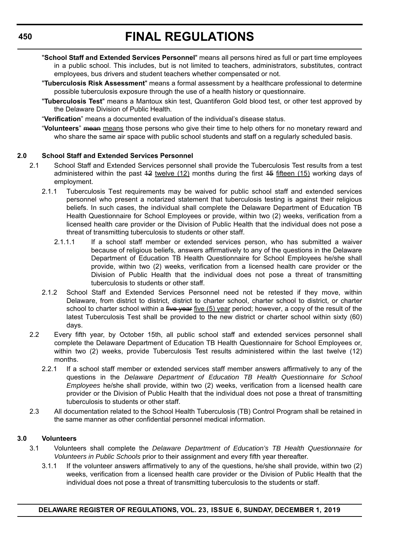- "**School Staff and Extended Services Personnel**" means all persons hired as full or part time employees in a public school. This includes, but is not limited to teachers, administrators, substitutes, contract employees, bus drivers and student teachers whether compensated or not.
- "**Tuberculosis Risk Assessment**" means a formal assessment by a healthcare professional to determine possible tuberculosis exposure through the use of a health history or questionnaire.
- "**Tuberculosis Test**" means a Mantoux skin test, Quantiferon Gold blood test, or other test approved by the Delaware Division of Public Health.

"**Verification**" means a documented evaluation of the individual's disease status.

"**Volunteers**" mean means those persons who give their time to help others for no monetary reward and who share the same air space with public school students and staff on a regularly scheduled basis.

## **2.0 School Staff and Extended Services Personnel**

- 2.1 School Staff and Extended Services personnel shall provide the Tuberculosis Test results from a test administered within the past  $42$  twelve  $(12)$  months during the first  $45$  fifteen  $(15)$  working days of employment.
	- 2.1.1 Tuberculosis Test requirements may be waived for public school staff and extended services personnel who present a notarized statement that tuberculosis testing is against their religious beliefs. In such cases, the individual shall complete the Delaware Department of Education TB Health Questionnaire for School Employees or provide, within two (2) weeks, verification from a licensed health care provider or the Division of Public Health that the individual does not pose a threat of transmitting tuberculosis to students or other staff.
		- 2.1.1.1 If a school staff member or extended services person, who has submitted a waiver because of religious beliefs, answers affirmatively to any of the questions in the Delaware Department of Education TB Health Questionnaire for School Employees he/she shall provide, within two (2) weeks, verification from a licensed health care provider or the Division of Public Health that the individual does not pose a threat of transmitting tuberculosis to students or other staff.
	- 2.1.2 School Staff and Extended Services Personnel need not be retested if they move, within Delaware, from district to district, district to charter school, charter school to district, or charter school to charter school within a five year five  $(5)$  year period; however, a copy of the result of the latest Tuberculosis Test shall be provided to the new district or charter school within sixty (60) days.
- 2.2 Every fifth year, by October 15th, all public school staff and extended services personnel shall complete the Delaware Department of Education TB Health Questionnaire for School Employees or, within two (2) weeks, provide Tuberculosis Test results administered within the last twelve (12) months.
	- 2.2.1 If a school staff member or extended services staff member answers affirmatively to any of the questions in the *Delaware Department of Education TB Health Questionnaire for School Employees* he/she shall provide, within two (2) weeks, verification from a licensed health care provider or the Division of Public Health that the individual does not pose a threat of transmitting tuberculosis to students or other staff.
- 2.3 All documentation related to the School Health Tuberculosis (TB) Control Program shall be retained in the same manner as other confidential personnel medical information.

### **3.0 Volunteers**

- 3.1 Volunteers shall complete the *Delaware Department of Education's TB Health Questionnaire for Volunteers in Public Schools* prior to their assignment and every fifth year thereafter.
	- 3.1.1 If the volunteer answers affirmatively to any of the questions, he/she shall provide, within two (2) weeks, verification from a licensed health care provider or the Division of Public Health that the individual does not pose a threat of transmitting tuberculosis to the students or staff.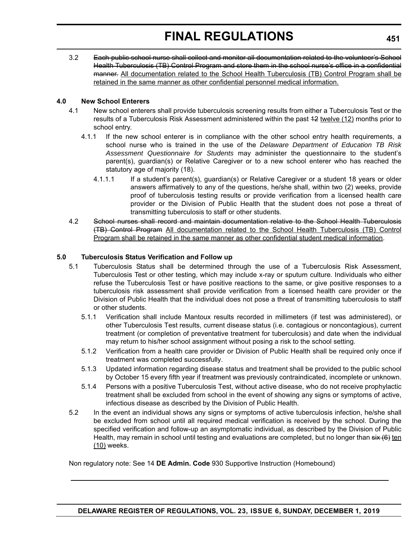3.2 Each public school nurse shall collect and monitor all documentation related to the volunteer's School Health Tuberculosis (TB) Control Program and store them in the school nurse's office in a confidential manner. All documentation related to the School Health Tuberculosis (TB) Control Program shall be retained in the same manner as other confidential personnel medical information.

## **4.0 New School Enterers**

- 4.1 New school enterers shall provide tuberculosis screening results from either a Tuberculosis Test or the results of a Tuberculosis Risk Assessment administered within the past 12 twelve (12) months prior to school entry.
	- 4.1.1 If the new school enterer is in compliance with the other school entry health requirements, a school nurse who is trained in the use of the *Delaware Department of Education TB Risk Assessment Questionnaire for Students* may administer the questionnaire to the student's parent(s), guardian(s) or Relative Caregiver or to a new school enterer who has reached the statutory age of majority (18).
		- 4.1.1.1 If a student's parent(s), guardian(s) or Relative Caregiver or a student 18 years or older answers affirmatively to any of the questions, he/she shall, within two (2) weeks, provide proof of tuberculosis testing results or provide verification from a licensed health care provider or the Division of Public Health that the student does not pose a threat of transmitting tuberculosis to staff or other students.
- 4.2 School nurses shall record and maintain documentation relative to the School Health Tuberculosis (TB) Control Program All documentation related to the School Health Tuberculosis (TB) Control Program shall be retained in the same manner as other confidential student medical information.

## **5.0 Tuberculosis Status Verification and Follow up**

- 5.1 Tuberculosis Status shall be determined through the use of a Tuberculosis Risk Assessment, Tuberculosis Test or other testing, which may include x-ray or sputum culture. Individuals who either refuse the Tuberculosis Test or have positive reactions to the same, or give positive responses to a tuberculosis risk assessment shall provide verification from a licensed health care provider or the Division of Public Health that the individual does not pose a threat of transmitting tuberculosis to staff or other students.
	- 5.1.1 Verification shall include Mantoux results recorded in millimeters (if test was administered), or other Tuberculosis Test results, current disease status (i.e. contagious or noncontagious), current treatment (or completion of preventative treatment for tuberculosis) and date when the individual may return to his/her school assignment without posing a risk to the school setting.
	- 5.1.2 Verification from a health care provider or Division of Public Health shall be required only once if treatment was completed successfully.
	- 5.1.3 Updated information regarding disease status and treatment shall be provided to the public school by October 15 every fifth year if treatment was previously contraindicated, incomplete or unknown.
	- 5.1.4 Persons with a positive Tuberculosis Test, without active disease, who do not receive prophylactic treatment shall be excluded from school in the event of showing any signs or symptoms of active, infectious disease as described by the Division of Public Health.
- 5.2 In the event an individual shows any signs or symptoms of active tuberculosis infection, he/she shall be excluded from school until all required medical verification is received by the school. During the specified verification and follow-up an asymptomatic individual, as described by the Division of Public Health, may remain in school until testing and evaluations are completed, but no longer than six (6) ten (10) weeks.

Non regulatory note: See 14 **DE Admin. Code** 930 Supportive Instruction (Homebound)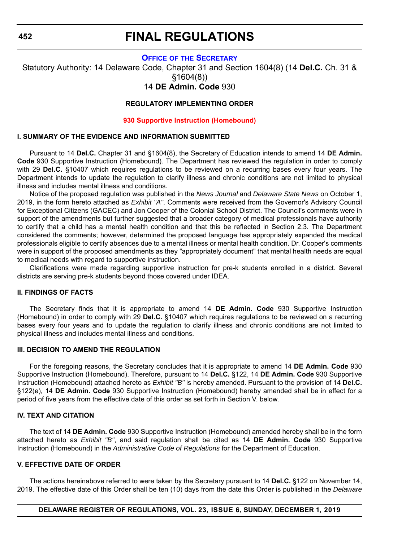### **OFFICE OF [THE SECRETARY](https://www.doe.k12.de.us/Page/11)**

Statutory Authority: 14 Delaware Code, Chapter 31 and Section 1604(8) (14 **Del.C.** Ch. 31 & §1604(8))

## 14 **DE Admin. Code** 930

## **REGULATORY IMPLEMENTING ORDER**

#### **[930 Supportive Instruction \(Homebound\)](#page-3-0)**

## **I. SUMMARY OF THE EVIDENCE AND INFORMATION SUBMITTED**

Pursuant to 14 **Del.C.** Chapter 31 and §1604(8), the Secretary of Education intends to amend 14 **DE Admin. Code** 930 Supportive Instruction (Homebound). The Department has reviewed the regulation in order to comply with 29 **Del.C.** §10407 which requires regulations to be reviewed on a recurring bases every four years. The Department intends to update the regulation to clarify illness and chronic conditions are not limited to physical illness and includes mental illness and conditions.

Notice of the proposed regulation was published in the *News Journal* and *Delaware State News* on October 1, 2019, in the form hereto attached as *Exhibit "A"*. Comments were received from the Governor's Advisory Council for Exceptional Citizens (GACEC) and Jon Cooper of the Colonial School District. The Council's comments were in support of the amendments but further suggested that a broader category of medical professionals have authority to certify that a child has a mental health condition and that this be reflected in Section 2.3. The Department considered the comments; however, determined the proposed language has appropriately expanded the medical professionals eligible to certify absences due to a mental illness or mental health condition. Dr. Cooper's comments were in support of the proposed amendments as they "appropriately document" that mental health needs are equal to medical needs with regard to supportive instruction.

Clarifications were made regarding supportive instruction for pre-k students enrolled in a district. Several districts are serving pre-k students beyond those covered under IDEA.

## **II. FINDINGS OF FACTS**

The Secretary finds that it is appropriate to amend 14 **DE Admin. Code** 930 Supportive Instruction (Homebound) in order to comply with 29 **Del.C.** §10407 which requires regulations to be reviewed on a recurring bases every four years and to update the regulation to clarify illness and chronic conditions are not limited to physical illness and includes mental illness and conditions.

### **III. DECISION TO AMEND THE REGULATION**

For the foregoing reasons, the Secretary concludes that it is appropriate to amend 14 **DE Admin. Code** 930 Supportive Instruction (Homebound). Therefore, pursuant to 14 **Del.C.** §122, 14 **DE Admin. Code** 930 Supportive Instruction (Homebound) attached hereto as *Exhibit "B"* is hereby amended. Pursuant to the provision of 14 **Del.C.** §122(e), 14 **DE Admin. Code** 930 Supportive Instruction (Homebound) hereby amended shall be in effect for a period of five years from the effective date of this order as set forth in Section V. below.

#### **IV. TEXT AND CITATION**

The text of 14 **DE Admin. Code** 930 Supportive Instruction (Homebound) amended hereby shall be in the form attached hereto as *Exhibit "B"*, and said regulation shall be cited as 14 **DE Admin. Code** 930 Supportive Instruction (Homebound) in the *Administrative Code of Regulations* for the Department of Education.

#### **V. EFFECTIVE DATE OF ORDER**

The actions hereinabove referred to were taken by the Secretary pursuant to 14 **Del.C.** §122 on November 14, 2019. The effective date of this Order shall be ten (10) days from the date this Order is published in the *Delaware*

### **DELAWARE REGISTER OF REGULATIONS, VOL. 23, ISSUE 6, SUNDAY, DECEMBER 1, 2019**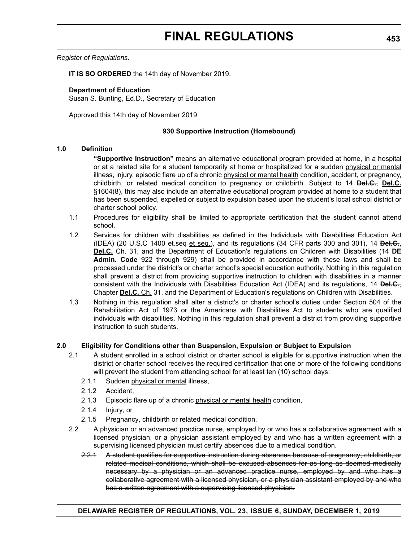*Register of Regulations*.

**IT IS SO ORDERED** the 14th day of November 2019.

#### **Department of Education** Susan S. Bunting, Ed.D., Secretary of Education

Approved this 14th day of November 2019

## **930 Supportive Instruction (Homebound)**

## **1.0 Definition**

**"Supportive Instruction"** means an alternative educational program provided at home, in a hospital or at a related site for a student temporarily at home or hospitalized for a sudden physical or mental illness, injury, episodic flare up of a chronic physical or mental health condition, accident, or pregnancy, childbirth, or related medical condition to pregnancy or childbirth. Subject to 14 **Del.C.**, **Del.C.** §1604(8), this may also include an alternative educational program provided at home to a student that has been suspended, expelled or subject to expulsion based upon the student's local school district or charter school policy.

- 1.1 Procedures for eligibility shall be limited to appropriate certification that the student cannot attend school.
- 1.2 Services for children with disabilities as defined in the Individuals with Disabilities Education Act (IDEA) (20 U.S.C 1400 et.seq et seq.), and its regulations (34 CFR parts 300 and 301), 14 **Del.C.**, **Del.C.** Ch. 31, and the Department of Education's regulations on Children with Disabilities (14 **DE Admin. Code** 922 through 929) shall be provided in accordance with these laws and shall be processed under the district's or charter school's special education authority. Nothing in this regulation shall prevent a district from providing supportive instruction to children with disabilities in a manner consistent with the Individuals with Disabilities Education Act (IDEA) and its regulations, 14 **Del.C.**, Chapter **Del.C.** Ch. 31, and the Department of Education's regulations on Children with Disabilities.
- 1.3 Nothing in this regulation shall alter a district's or charter school's duties under Section 504 of the Rehabilitation Act of 1973 or the Americans with Disabilities Act to students who are qualified individuals with disabilities. Nothing in this regulation shall prevent a district from providing supportive instruction to such students.

## **2.0 Eligibility for Conditions other than Suspension, Expulsion or Subject to Expulsion**

- 2.1 A student enrolled in a school district or charter school is eligible for supportive instruction when the district or charter school receives the required certification that one or more of the following conditions will prevent the student from attending school for at least ten (10) school days:
	- 2.1.1 Sudden physical or mental illness,
	- 2.1.2 Accident,
	- 2.1.3 Episodic flare up of a chronic physical or mental health condition,
	- 2.1.4 Injury, or
	- 2.1.5 Pregnancy, childbirth or related medical condition.
- 2.2 A physician or an advanced practice nurse, employed by or who has a collaborative agreement with a licensed physician, or a physician assistant employed by and who has a written agreement with a supervising licensed physician must certify absences due to a medical condition.
	- 2.2.1 A student qualifies for supportive instruction during absences because of pregnancy, childbirth, or related medical conditions, which shall be excused absences for as long as deemed medically necessary by a physician or an advanced practice nurse, employed by and who has a collaborative agreement with a licensed physician, or a physician assistant employed by and who has a written agreement with a supervising licensed physician.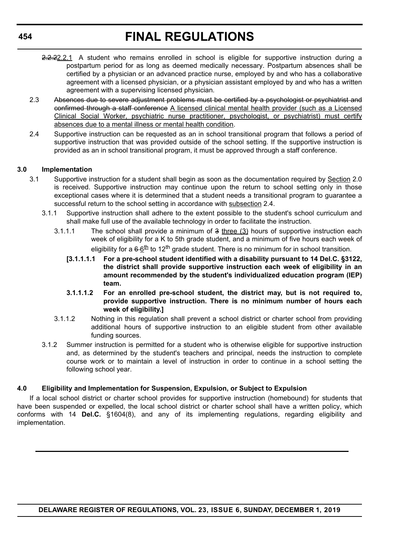- 2.2.22.2.1 A student who remains enrolled in school is eligible for supportive instruction during a postpartum period for as long as deemed medically necessary. Postpartum absences shall be certified by a physician or an advanced practice nurse, employed by and who has a collaborative agreement with a licensed physician, or a physician assistant employed by and who has a written agreement with a supervising licensed physician.
- 2.3 Absences due to severe adjustment problems must be certified by a psychologist or psychiatrist and confirmed through a staff conference A licensed clinical mental health provider (such as a Licensed Clinical Social Worker, psychiatric nurse practitioner, psychologist, or psychiatrist) must certify absences due to a mental illness or mental health condition.
- 2.4 Supportive instruction can be requested as an in school transitional program that follows a period of supportive instruction that was provided outside of the school setting. If the supportive instruction is provided as an in school transitional program, it must be approved through a staff conference.

## **3.0 Implementation**

- 3.1 Supportive instruction for a student shall begin as soon as the documentation required by Section 2.0 is received. Supportive instruction may continue upon the return to school setting only in those exceptional cases where it is determined that a student needs a transitional program to guarantee a successful return to the school setting in accordance with subsection 2.4.
	- 3.1.1 Supportive instruction shall adhere to the extent possible to the student's school curriculum and shall make full use of the available technology in order to facilitate the instruction.
		- 3.1.1.1 The school shall provide a minimum of  $3$  three  $(3)$  hours of supportive instruction each week of eligibility for a K to 5th grade student, and a minimum of five hours each week of eligibility for a  $6.6<sup>th</sup>$  to 12<sup>th</sup> grade student. There is no minimum for in school transition.
			- **[3.1.1.1.1 For a pre-school student identified with a disability pursuant to 14 Del.C. §3122, the district shall provide supportive instruction each week of eligibility in an amount recommended by the student's individualized education program (IEP) team.**
			- **3.1.1.1.2 For an enrolled pre-school student, the district may, but is not required to, provide supportive instruction. There is no minimum number of hours each week of eligibility.]**
		- 3.1.1.2 Nothing in this regulation shall prevent a school district or charter school from providing additional hours of supportive instruction to an eligible student from other available funding sources.
	- 3.1.2 Summer instruction is permitted for a student who is otherwise eligible for supportive instruction and, as determined by the student's teachers and principal, needs the instruction to complete course work or to maintain a level of instruction in order to continue in a school setting the following school year.

## **4.0 Eligibility and Implementation for Suspension, Expulsion, or Subject to Expulsion**

If a local school district or charter school provides for supportive instruction (homebound) for students that have been suspended or expelled, the local school district or charter school shall have a written policy, which conforms with 14 **Del.C.** §1604(8), and any of its implementing regulations, regarding eligibility and implementation.

**DELAWARE REGISTER OF REGULATIONS, VOL. 23, ISSUE 6, SUNDAY, DECEMBER 1, 2019**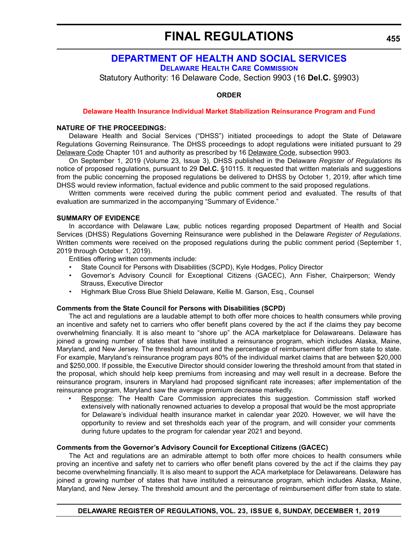## **[DEPARTMENT OF HEALTH AND SOCIAL SERVICES](https://www.dhss.delaware.gov/dhss/index.html) [DELAWARE HEALTH CARE COMMISSION](https://dhss.delaware.gov/dhcc/)**

Statutory Authority: 16 Delaware Code, Section 9903 (16 **Del.C.** §9903)

**ORDER**

#### **[Delaware Health Insurance Individual Market Stabilization Reinsurance Program and Fund](#page-4-0)**

## **NATURE OF THE PROCEEDINGS:**

Delaware Health and Social Services ("DHSS") initiated proceedings to adopt the State of Delaware Regulations Governing Reinsurance. The DHSS proceedings to adopt regulations were initiated pursuant to 29 Delaware Code Chapter 101 and authority as prescribed by 16 Delaware Code, subsection 9903.

On September 1, 2019 (Volume 23, Issue 3), DHSS published in the Delaware *Register of Regulations* its notice of proposed regulations, pursuant to 29 **Del.C.** §10115. It requested that written materials and suggestions from the public concerning the proposed regulations be delivered to DHSS by October 1, 2019, after which time DHSS would review information, factual evidence and public comment to the said proposed regulations.

Written comments were received during the public comment period and evaluated. The results of that evaluation are summarized in the accompanying "Summary of Evidence."

## **SUMMARY OF EVIDENCE**

In accordance with Delaware Law, public notices regarding proposed Department of Health and Social Services (DHSS) Regulations Governing Reinsurance were published in the Delaware *Register of Regulations*. Written comments were received on the proposed regulations during the public comment period (September 1, 2019 through October 1, 2019).

Entities offering written comments include:

- State Council for Persons with Disabilities (SCPD), Kyle Hodges, Policy Director
- Governor's Advisory Council for Exceptional Citizens (GACEC), Ann Fisher, Chairperson; Wendy Strauss, Executive Director
- Highmark Blue Cross Blue Shield Delaware, Kellie M. Garson, Esq., Counsel

#### **Comments from the State Council for Persons with Disabilities (SCPD)**

The act and regulations are a laudable attempt to both offer more choices to health consumers while proving an incentive and safety net to carriers who offer benefit plans covered by the act if the claims they pay become overwhelming financially. It is also meant to "shore up" the ACA marketplace for Delawareans. Delaware has joined a growing number of states that have instituted a reinsurance program, which includes Alaska, Maine, Maryland, and New Jersey. The threshold amount and the percentage of reimbursement differ from state to state. For example, Maryland's reinsurance program pays 80% of the individual market claims that are between \$20,000 and \$250,000. If possible, the Executive Director should consider lowering the threshold amount from that stated in the proposal, which should help keep premiums from increasing and may well result in a decrease. Before the reinsurance program, insurers in Maryland had proposed significant rate increases; after implementation of the reinsurance program, Maryland saw the average premium decrease markedly.

• Response: The Health Care Commission appreciates this suggestion. Commission staff worked extensively with nationally renowned actuaries to develop a proposal that would be the most appropriate for Delaware's individual health insurance market in calendar year 2020. However, we will have the opportunity to review and set thresholds each year of the program, and will consider your comments during future updates to the program for calendar year 2021 and beyond.

### **Comments from the Governor's Advisory Council for Exceptional Citizens (GACEC)**

The Act and regulations are an admirable attempt to both offer more choices to health consumers while proving an incentive and safety net to carriers who offer benefit plans covered by the act if the claims they pay become overwhelming financially. It is also meant to support the ACA marketplace for Delawareans. Delaware has joined a growing number of states that have instituted a reinsurance program, which includes Alaska, Maine, Maryland, and New Jersey. The threshold amount and the percentage of reimbursement differ from state to state.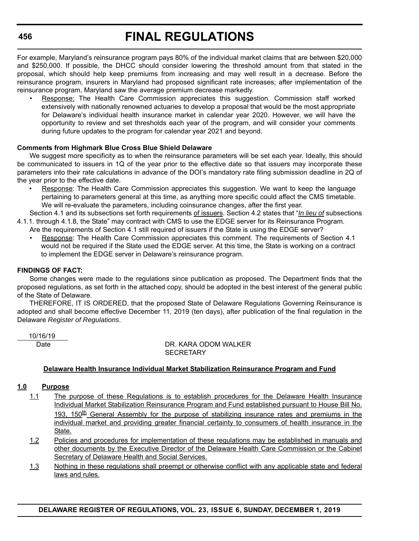For example, Maryland's reinsurance program pays 80% of the individual market claims that are between \$20,000 and \$250,000. If possible, the DHCC should consider lowering the threshold amount from that stated in the proposal, which should help keep premiums from increasing and may well result in a decrease. Before the reinsurance program, insurers in Maryland had proposed significant rate increases; after implementation of the reinsurance program, Maryland saw the average premium decrease markedly.

• Response: The Health Care Commission appreciates this suggestion. Commission staff worked extensively with nationally renowned actuaries to develop a proposal that would be the most appropriate for Delaware's individual health insurance market in calendar year 2020. However, we will have the opportunity to review and set thresholds each year of the program, and will consider your comments during future updates to the program for calendar year 2021 and beyond.

## **Comments from Highmark Blue Cross Blue Shield Delaware**

We suggest more specificity as to when the reinsurance parameters will be set each year. Ideally, this should be communicated to issuers in 1Q of the year prior to the effective date so that issuers may incorporate these parameters into their rate calculations in advance of the DOI's mandatory rate filing submission deadline in 2Q of the year prior to the effective date.

- Response: The Health Care Commission appreciates this suggestion. We want to keep the language pertaining to parameters general at this time, as anything more specific could affect the CMS timetable. We will re-evaluate the parameters, including coinsurance changes, after the first year.
- Section 4.1 and its subsections set forth requirements of issuers. Section 4.2 states that "*In lieu of* subsections 4.1.1. through 4.1.8, the State" may contract with CMS to use the EDGE server for its Reinsurance Program.
	- Are the requirements of Section 4.1 still required of issuers if the State is using the EDGE server?
	- Response: The Health Care Commission appreciates this comment. The requirements of Section 4.1 would not be required if the State used the EDGE server. At this time, the State is working on a contract to implement the EDGE server in Delaware's reinsurance program.

## **FINDINGS OF FACT:**

Some changes were made to the regulations since publication as proposed. The Department finds that the proposed regulations, as set forth in the attached copy, should be adopted in the best interest of the general public of the State of Delaware.

THEREFORE, IT IS ORDERED, that the proposed State of Delaware Regulations Governing Reinsurance is adopted and shall become effective December 11, 2019 (ten days), after publication of the final regulation in the Delaware *Register of Regulations*.

10/16/19

 Date DR. KARA ODOM WALKER **SECRETARY** 

## **Delaware Health Insurance Individual Market Stabilization Reinsurance Program and Fund**

## **1.0 Purpose**

- 1.1 The purpose of these Regulations is to establish procedures for the Delaware Health Insurance Individual Market Stabilization Reinsurance Program and Fund established pursuant to House Bill No. 193, 150 $th$  General Assembly for the purpose of stabilizing insurance rates and premiums in the individual market and providing greater financial certainty to consumers of health insurance in the State.
- 1.2 Policies and procedures for implementation of these regulations may be established in manuals and other documents by the Executive Director of the Delaware Health Care Commission or the Cabinet Secretary of Delaware Health and Social Services.
- 1.3 Nothing in these regulations shall preempt or otherwise conflict with any applicable state and federal laws and rules.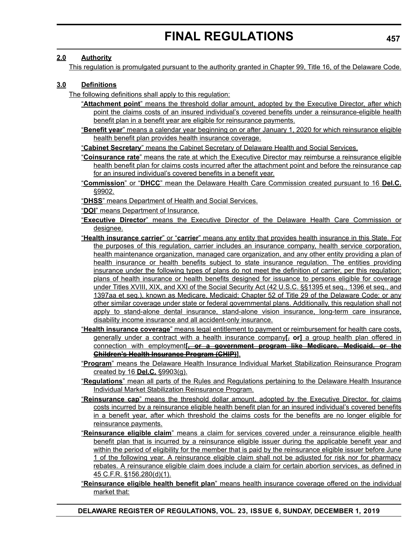## **2.0 Authority**

This regulation is promulgated pursuant to the authority granted in Chapter 99, Title 16, of the Delaware Code.

## **3.0 Definitions**

The following definitions shall apply to this regulation:

- "**Attachment point**" means the threshold dollar amount, adopted by the Executive Director, after which point the claims costs of an insured individual's covered benefits under a reinsurance-eligible health benefit plan in a benefit year are eligible for reinsurance payments.
- "**Benefit year**" means a calendar year beginning on or after January 1, 2020 for which reinsurance eligible health benefit plan provides health insurance coverage.

"**Cabinet Secretary**" means the Cabinet Secretary of Delaware Health and Social Services.

- "**Coinsurance rate**" means the rate at which the Executive Director may reimburse a reinsurance eligible health benefit plan for claims costs incurred after the attachment point and before the reinsurance cap for an insured individual's covered benefits in a benefit year.
- "**Commission**" or "**DHCC**" mean the Delaware Health Care Commission created pursuant to 16 **Del.C.** §9902.
- "**DHSS**" means Department of Health and Social Services.
- "**DOI**" means Department of Insurance.
- "**Executive Director**" means the Executive Director of the Delaware Health Care Commission or designee.
- "**Health insurance carrier**" or "**carrier**" means any entity that provides health insurance in this State. For the purposes of this regulation, carrier includes an insurance company, health service corporation, health maintenance organization, managed care organization, and any other entity providing a plan of health insurance or health benefits subject to state insurance regulation. The entities providing insurance under the following types of plans do not meet the definition of carrier, per this regulation: plans of health insurance or health benefits designed for issuance to persons eligible for coverage under Titles XVIII, XIX, and XXI of the Social Security Act (42 U.S.C. §§1395 et seq., 1396 et seq., and 1397aa et seq.), known as Medicare, Medicaid; Chapter 52 of Title 29 of the Delaware Code; or any other similar coverage under state or federal governmental plans. Additionally, this regulation shall not apply to stand-alone dental insurance, stand-alone vision insurance, long-term care insurance, disability income insurance and all accident-only insurance.
- "**Health insurance coverage**" means legal entitlement to payment or reimbursement for health care costs, generally under a contract with a health insurance company**[**, **or]** a group health plan offered in connection with employment**[, or a government program like Medicare, Medicaid, or the Children's Health Insurance Program (CHIP)]**.
- "**Program**" means the Delaware Health Insurance Individual Market Stabilization Reinsurance Program created by 16 **Del.C.** §9903(g).
- "**Regulations**" mean all parts of the Rules and Regulations pertaining to the Delaware Health Insurance Individual Market Stabilization Reinsurance Program.
- "**Reinsurance cap**" means the threshold dollar amount, adopted by the Executive Director, for claims costs incurred by a reinsurance eligible health benefit plan for an insured individual's covered benefits in a benefit year, after which threshold the claims costs for the benefits are no longer eligible for reinsurance payments.
- "**Reinsurance eligible claim**" means a claim for services covered under a reinsurance eligible health benefit plan that is incurred by a reinsurance eligible issuer during the applicable benefit year and within the period of eligibility for the member that is paid by the reinsurance eligible issuer before June 1 of the following year. A reinsurance eligible claim shall not be adjusted for risk nor for pharmacy rebates. A reinsurance eligible claim does include a claim for certain abortion services, as defined in 45 C.F.R. §156.280(d)(1).
- "**Reinsurance eligible health benefit plan**" means health insurance coverage offered on the individual market that: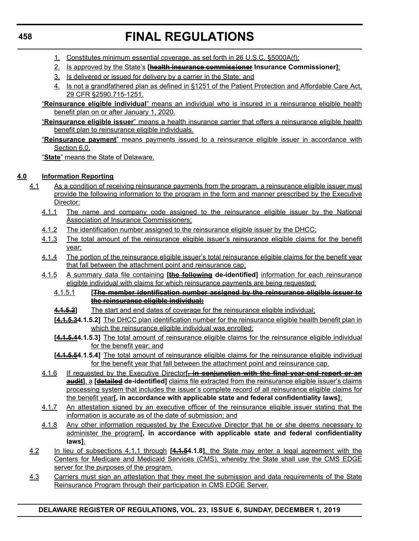- 1. Constitutes minimum essential coverage, as set forth in 26 U.S.C. §5000A(f);
- 2. Is approved by the State's **[health insurance commissioner Insurance Commissioner]**;
- 3. Is delivered or issued for delivery by a carrier in the State; and
- 4. Is not a grandfathered plan as defined in §1251 of the Patient Protection and Affordable Care Act, 29 CFR §2590.715-1251.
- "**Reinsurance eligible individual**" means an individual who is insured in a reinsurance eligible health benefit plan on or after January 1, 2020.
- "**Reinsurance eligible issuer**" means a health insurance carrier that offers a reinsurance eligible health benefit plan to reinsurance eligible individuals.
- "**Reinsurance payment**" means payments issued to a reinsurance eligible issuer in accordance with Section 6.0.

"**State**" means the State of Delaware.

## **4.0 Information Reporting**

- 4.1 As a condition of receiving reinsurance payments from the program, a reinsurance eligible issuer must provide the following information to the program in the form and manner prescribed by the Executive Director:
	- 4.1.1 The name and company code assigned to the reinsurance eligible issuer by the National Association of Insurance Commissioners;
	- 4.1.2 The identification number assigned to the reinsurance eligible issuer by the DHCC;
	- 4.1.3 The total amount of the reinsurance eligible issuer's reinsurance eligible claims for the benefit year;
	- 4.1.4 The portion of the reinsurance eligible issuer's total reinsurance eligible claims for the benefit year that fall between the attachment point and reinsurance cap;
	- 4.1.5 A summary data file containing **[the following de-identified]** information for each reinsurance eligible individual with claims for which reinsurance payments are being requested:
		- 4.1.5.1 **[The member identification number assigned by the reinsurance eligible issuer to the reinsurance eligible individual;**
		- **4.1.5.2]** The start and end dates of coverage for the reinsurance eligible individual;
		- **[4.1.5.34.1.5.2]** The DHCC plan identification number for the reinsurance eligible health benefit plan in which the reinsurance eligible individual was enrolled;
		- **[4.1.5.44.1.5.3]** The total amount of reinsurance eligible claims for the reinsurance eligible individual for the benefit year; and
		- **[4.1.5.54.1.5.4]** The total amount of reinsurance eligible claims for the reinsurance eligible individual for the benefit year that fall between the attachment point and reinsurance cap.
	- 4.1.6 If requested by the Executive Director**[, in conjunction with the final year-end report or an audit]**, a **[detailed de-identified]** claims file extracted from the reinsurance eligible issuer's claims processing system that includes the issuer's complete record of all reinsurance eligible claims for the benefit year**[, in accordance with applicable state and federal confidentiality laws]**;
	- 4.1.7 An attestation signed by an executive officer of the reinsurance eligible issuer stating that the information is accurate as of the date of submission; and
	- 4.1.8 Any other information requested by the Executive Director that he or she deems necessary to administer the program**[, in accordance with applicable state and federal confidentiality laws]**.
- 4.2 In lieu of subsections 4.1.1 through **[4.1.54.1.8]**, the State may enter a legal agreement with the Centers for Medicare and Medicaid Services (CMS), whereby the State shall use the CMS EDGE server for the purposes of the program.
- 4.3 Carriers must sign an attestation that they meet the submission and data requirements of the State Reinsurance Program through their participation in CMS EDGE Server.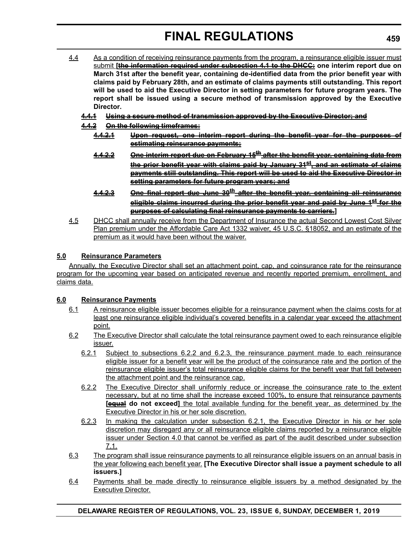- 4.4 As a condition of receiving reinsurance payments from the program, a reinsurance eligible issuer must submit **[the information required under subsection 4.1 to the DHCC: one interim report due on March 31st after the benefit year, containing de-identified data from the prior benefit year with claims paid by February 28th, and an estimate of claims payments still outstanding. This report will be used to aid the Executive Director in setting parameters for future program years. The report shall be issued using a secure method of transmission approved by the Executive Director.**
	- **4.4.1 Using a secure method of transmission approved by the Executive Director; and**
	- **4.4.2 On the following timeframes:**
		- **4.4.2.1 Upon request, one interim report during the benefit year for the purposes of estimating reinsurance payments;**
		- **4.4.2.2 One interim report due on February 15th after the benefit year, containing data from the prior benefit year with claims paid by January 31st, and an estimate of claims payments still outstanding. This report will be used to aid the Executive Director in setting parameters for future program years; and**
		- **4.4.2.3 One final report due June 30th after the benefit year, containing all reinsurance eligible claims incurred during the prior benefit year and paid by June 1st for the purposes of calculating final reinsurance payments to carriers.]**
- 4.5 DHCC shall annually receive from the Department of Insurance the actual Second Lowest Cost Silver Plan premium under the Affordable Care Act 1332 waiver, 45 U.S.C. §18052, and an estimate of the premium as it would have been without the waiver.

## **5.0 Reinsurance Parameters**

Annually, the Executive Director shall set an attachment point, cap, and coinsurance rate for the reinsurance program for the upcoming year based on anticipated revenue and recently reported premium, enrollment, and claims data.

## **6.0 Reinsurance Payments**

- 6.1 A reinsurance eligible issuer becomes eligible for a reinsurance payment when the claims costs for at least one reinsurance eligible individual's covered benefits in a calendar year exceed the attachment point.
- 6.2 The Executive Director shall calculate the total reinsurance payment owed to each reinsurance eligible issuer.
	- 6.2.1 Subject to subsections 6.2.2 and 6.2.3, the reinsurance payment made to each reinsurance eligible issuer for a benefit year will be the product of the coinsurance rate and the portion of the reinsurance eligible issuer's total reinsurance eligible claims for the benefit year that fall between the attachment point and the reinsurance cap.
	- 6.2.2 The Executive Director shall uniformly reduce or increase the coinsurance rate to the extent necessary, but at no time shall the increase exceed 100%, to ensure that reinsurance payments **[equal do not exceed]** the total available funding for the benefit year, as determined by the Executive Director in his or her sole discretion.
	- 6.2.3 In making the calculation under subsection 6.2.1, the Executive Director in his or her sole discretion may disregard any or all reinsurance eligible claims reported by a reinsurance eligible issuer under Section 4.0 that cannot be verified as part of the audit described under subsection 7.1.
- 6.3 The program shall issue reinsurance payments to all reinsurance eligible issuers on an annual basis in the year following each benefit year. **[The Executive Director shall issue a payment schedule to all issuers.]**
- 6.4 Payments shall be made directly to reinsurance eligible issuers by a method designated by the Executive Director.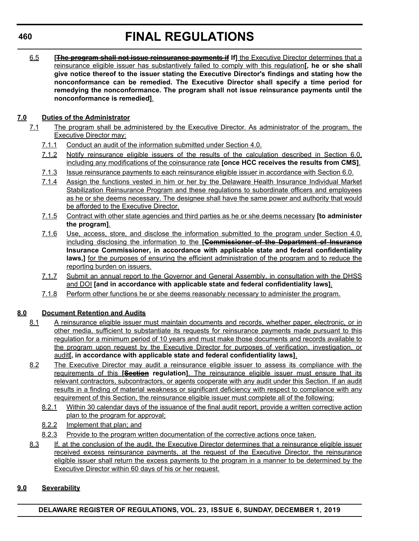6.5 **[The program shall not issue reinsurance payments if If]** the Executive Director determines that a reinsurance eligible issuer has substantively failed to comply with this regulation**[, he or she shall give notice thereof to the issuer stating the Executive Director's findings and stating how the nonconformance can be remedied. The Executive Director shall specify a time period for remedying the nonconformance. The program shall not issue reinsurance payments until the nonconformance is remedied]**.

## **7.0 Duties of the Administrator**

- 7.1 The program shall be administered by the Executive Director. As administrator of the program, the Executive Director may:
	- 7.1.1 Conduct an audit of the information submitted under Section 4.0.
	- 7.1.2 Notify reinsurance eligible issuers of the results of the calculation described in Section 6.0, including any modifications of the coinsurance rate **[once HCC receives the results from CMS]**.
	- 7.1.3 Issue reinsurance payments to each reinsurance eligible issuer in accordance with Section 6.0.
	- 7.1.4 Assign the functions vested in him or her by the Delaware Health Insurance Individual Market Stabilization Reinsurance Program and these regulations to subordinate officers and employees as he or she deems necessary. The designee shall have the same power and authority that would be afforded to the Executive Director.
	- 7.1.5 Contract with other state agencies and third parties as he or she deems necessary **[to administer the program]**.
	- 7.1.6 Use, access, store, and disclose the information submitted to the program under Section 4.0, including disclosing the information to the **[Commissioner of the Department of Insurance Insurance Commissioner, in accordance with applicable state and federal confidentiality** laws,] for the purposes of ensuring the efficient administration of the program and to reduce the reporting burden on issuers.
	- 7.1.7 Submit an annual report to the Governor and General Assembly, in consultation with the DHSS and DOI **[and in accordance with applicable state and federal confidentiality laws]**.
	- 7.1.8 Perform other functions he or she deems reasonably necessary to administer the program.

## **8.0 Document Retention and Audits**

- 8.1 A reinsurance eligible issuer must maintain documents and records, whether paper, electronic, or in other media, sufficient to substantiate its requests for reinsurance payments made pursuant to this regulation for a minimum period of 10 years and must make those documents and records available to the program upon request by the Executive Director for purposes of verification, investigation, or audit**[, in accordance with applicable state and federal confidentiality laws]**.
- 8.2 The Executive Director may audit a reinsurance eligible issuer to assess its compliance with the requirements of this **[Section regulation]**. The reinsurance eligible issuer must ensure that its relevant contractors, subcontractors, or agents cooperate with any audit under this Section. If an audit results in a finding of material weakness or significant deficiency with respect to compliance with any requirement of this Section, the reinsurance eligible issuer must complete all of the following:
	- 8.2.1 Within 30 calendar days of the issuance of the final audit report, provide a written corrective action plan to the program for approval;
	- 8.2.2 Implement that plan; and
	- 8.2.3 Provide to the program written documentation of the corrective actions once taken.
- 8.3 If, at the conclusion of the audit, the Executive Director determines that a reinsurance eligible issuer received excess reinsurance payments, at the request of the Executive Director, the reinsurance eligible issuer shall return the excess payments to the program in a manner to be determined by the Executive Director within 60 days of his or her request.

## **9.0 Severability**

**DELAWARE REGISTER OF REGULATIONS, VOL. 23, ISSUE 6, SUNDAY, DECEMBER 1, 2019**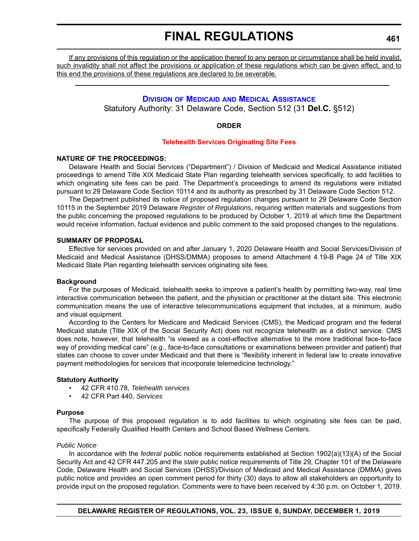If any provisions of this regulation or the application thereof to any person or circumstance shall be held invalid, such invalidity shall not affect the provisions or application of these regulations which can be given effect, and to this end the provisions of these regulations are declared to be severable.

## **DIVISION OF MEDICAID [AND MEDICAL ASSISTANCE](https://www.dhss.delaware.gov/dhss/dmma/)**

Statutory Authority: 31 Delaware Code, Section 512 (31 **Del.C.** §512)

## **ORDER**

### **[Telehealth Services Originating Site Fees](#page-4-0)**

## **NATURE OF THE PROCEEDINGS:**

Delaware Health and Social Services ("Department") / Division of Medicaid and Medical Assistance initiated proceedings to amend Title XIX Medicaid State Plan regarding telehealth services specifically, to add facilities to which originating site fees can be paid. The Department's proceedings to amend its regulations were initiated pursuant to 29 Delaware Code Section 10114 and its authority as prescribed by 31 Delaware Code Section 512.

The Department published its notice of proposed regulation changes pursuant to 29 Delaware Code Section 10115 in the September 2019 Delaware *Register of Regulations*, requiring written materials and suggestions from the public concerning the proposed regulations to be produced by October 1, 2019 at which time the Department would receive information, factual evidence and public comment to the said proposed changes to the regulations.

## **SUMMARY OF PROPOSAL**

Effective for services provided on and after January 1, 2020 Delaware Health and Social Services/Division of Medicaid and Medical Assistance (DHSS/DMMA) proposes to amend Attachment 4.19-B Page 24 of Title XIX Medicaid State Plan regarding telehealth services originating site fees.

### **Background**

For the purposes of Medicaid, telehealth seeks to improve a patient's health by permitting two-way, real time interactive communication between the patient, and the physician or practitioner at the distant site. This electronic communication means the use of interactive telecommunications equipment that includes, at a minimum, audio and visual equipment.

According to the Centers for Medicare and Medicaid Services (CMS), the Medicaid program and the federal Medicaid statute (Title XIX of the Social Security Act) does not recognize telehealth as a distinct service. CMS does note, however, that telehealth "is viewed as a cost-effective alternative to the more traditional face-to-face way of providing medical care" (e.g., face-to-face consultations or examinations between provider and patient) that states can choose to cover under Medicaid and that there is "flexibility inherent in federal law to create innovative payment methodologies for services that incorporate telemedicine technology."

## **Statutory Authority**

- 42 CFR 410.78, *Telehealth services*
- 42 CFR Part 440, *Services*

### **Purpose**

The purpose of this proposed regulation is to add facilities to which originating site fees can be paid, specifically Federally Qualified Health Centers and School Based Wellness Centers.

### *Public Notice*

In accordance with the *federal* public notice requirements established at Section 1902(a)(13)(A) of the Social Security Act and 42 CFR 447.205 and the *state* public notice requirements of Title 29, Chapter 101 of the Delaware Code, Delaware Health and Social Services (DHSS)/Division of Medicaid and Medical Assistance (DMMA) gives public notice and provides an open comment period for thirty (30) days to allow all stakeholders an opportunity to provide input on the proposed regulation. Comments were to have been received by 4:30 p.m. on October 1, 2019.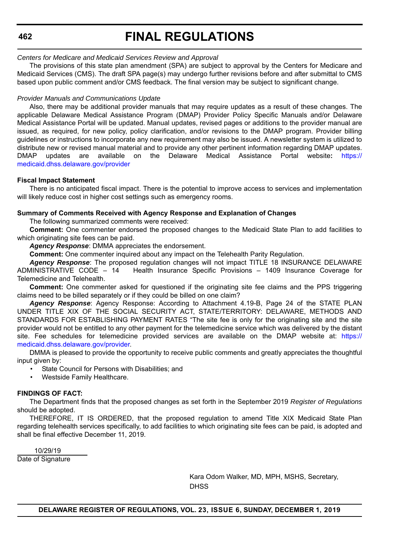## **FINAL REGULATIONS**

## *Centers for Medicare and Medicaid Services Review and Approval*

The provisions of this state plan amendment (SPA) are subject to approval by the Centers for Medicare and Medicaid Services (CMS). The draft SPA page(s) may undergo further revisions before and after submittal to CMS based upon public comment and/or CMS feedback. The final version may be subject to significant change.

## *Provider Manuals and Communications Update*

Also, there may be additional provider manuals that may require updates as a result of these changes. The applicable Delaware Medical Assistance Program (DMAP) Provider Policy Specific Manuals and/or Delaware Medical Assistance Portal will be updated. Manual updates, revised pages or additions to the provider manual are issued, as required, for new policy, policy clarification, and/or revisions to the DMAP program. Provider billing guidelines or instructions to incorporate any new requirement may also be issued. A newsletter system is utilized to distribute new or revised manual material and to provide any other pertinent information regarding DMAP updates. DMAP updates are available on the Delaware Medical Assistance Portal website**:** [https://](https://medicaid.dhss.delaware.gov/provider) [medicaid.dhss.delaware.gov/provider](https://medicaid.dhss.delaware.gov/provider)

### **Fiscal Impact Statement**

There is no anticipated fiscal impact. There is the potential to improve access to services and implementation will likely reduce cost in higher cost settings such as emergency rooms.

## **Summary of Comments Received with Agency Response and Explanation of Changes**

The following summarized comments were received:

**Comment:** One commenter endorsed the proposed changes to the Medicaid State Plan to add facilities to which originating site fees can be paid.

*Agency Response*: DMMA appreciates the endorsement.

**Comment:** One commenter inquired about any impact on the Telehealth Parity Regulation.

*Agency Response*: The proposed regulation changes will not impact TITLE 18 INSURANCE DELAWARE ADMINISTRATIVE CODE – 14 Health Insurance Specific Provisions – 1409 Insurance Coverage for Telemedicine and Telehealth.

**Comment:** One commenter asked for questioned if the originating site fee claims and the PPS triggering claims need to be billed separately or if they could be billed on one claim?

*Agency Response*: Agency Response: According to Attachment 4.19-B, Page 24 of the STATE PLAN UNDER TITLE XIX OF THE SOCIAL SECURITY ACT, STATE/TERRITORY: DELAWARE, METHODS AND STANDARDS FOR ESTABLISHING PAYMENT RATES "The site fee is only for the originating site and the site provider would not be entitled to any other payment for the telemedicine service which was delivered by the distant site. Fee schedules for telemedicine provided services are available on the DMAP website at: [https://](https://medicaid.dhss.delaware.gov/provider) [medicaid.dhss.delaware.gov/provider.](https://medicaid.dhss.delaware.gov/provider)

DMMA is pleased to provide the opportunity to receive public comments and greatly appreciates the thoughtful input given by:

- State Council for Persons with Disabilities; and
- Westside Family Healthcare.

### **FINDINGS OF FACT:**

The Department finds that the proposed changes as set forth in the September 2019 *Register of Regulations* should be adopted.

THEREFORE, IT IS ORDERED, that the proposed regulation to amend Title XIX Medicaid State Plan regarding telehealth services specifically, to add facilities to which originating site fees can be paid, is adopted and shall be final effective December 11, 2019.

10/29/19

Date of Signature

Kara Odom Walker, MD, MPH, MSHS, Secretary, **DHSS**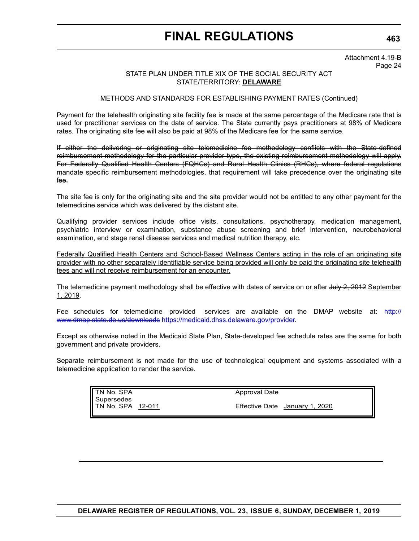Attachment 4.19-B Page 24

## STATE PLAN UNDER TITLE XIX OF THE SOCIAL SECURITY ACT STATE/TERRITORY: **DELAWARE**

## METHODS AND STANDARDS FOR ESTABLISHING PAYMENT RATES (Continued)

Payment for the telehealth originating site facility fee is made at the same percentage of the Medicare rate that is used for practitioner services on the date of service. The State currently pays practitioners at 98% of Medicare rates. The originating site fee will also be paid at 98% of the Medicare fee for the same service.

If either the delivering or originating site telemedicine fee methodology conflicts with the State-defined reimbursement methodology for the particular provider type, the existing reimbursement methodology will apply. For Federally Qualified Health Centers (FQHCs) and Rural Health Clinics (RHCs), where federal regulations mandate specific reimbursement methodologies, that requirement will take precedence over the originating site fee.

The site fee is only for the originating site and the site provider would not be entitled to any other payment for the telemedicine service which was delivered by the distant site.

Qualifying provider services include office visits, consultations, psychotherapy, medication management, psychiatric interview or examination, substance abuse screening and brief intervention, neurobehavioral examination, end stage renal disease services and medical nutrition therapy, etc.

Federally Qualified Health Centers and School-Based Wellness Centers acting in the role of an originating site provider with no other separately identifiable service being provided will only be paid the originating site telehealth fees and will not receive reimbursement for an encounter.

The telemedicine payment methodology shall be effective with dates of service on or after July 2, 2012 September 1, 2019.

Fee schedules for telemedicine provided services are available on the DMAP website at: http:// www.dmap.state.de.us/downloads [https://medicaid.dhss.delaware.gov/provider.](https://medicaid.dhss.delaware.gov/provider)

Except as otherwise noted in the Medicaid State Plan, State-developed fee schedule rates are the same for both government and private providers.

Separate reimbursement is not made for the use of technological equipment and systems associated with a telemedicine application to render the service.

> TN No. SPA Supersedes TN No. SPA 12-011

Effective Date January 1, 2020

Approval Date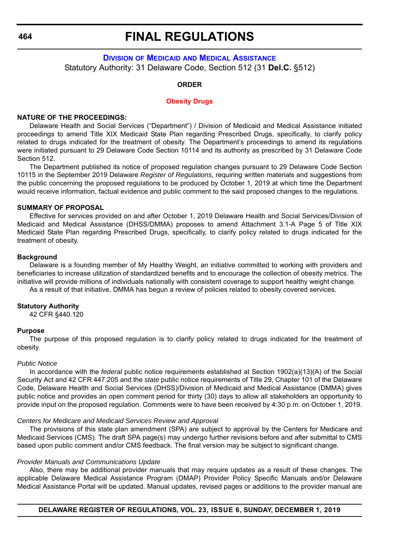## **FINAL REGULATIONS**

## **DIVISION OF MEDICAID [AND MEDICAL ASSISTANCE](https://www.dhss.delaware.gov/dhss/dmma/)** Statutory Authority: 31 Delaware Code, Section 512 (31 **Del.C.** §512)

### **ORDER**

#### **[Obesity Drugs](#page-4-0)**

#### **NATURE OF THE PROCEEDINGS:**

Delaware Health and Social Services ("Department") / Division of Medicaid and Medical Assistance initiated proceedings to amend Title XIX Medicaid State Plan regarding Prescribed Drugs, specifically, to clarify policy related to drugs indicated for the treatment of obesity. The Department's proceedings to amend its regulations were initiated pursuant to 29 Delaware Code Section 10114 and its authority as prescribed by 31 Delaware Code Section 512.

The Department published its notice of proposed regulation changes pursuant to 29 Delaware Code Section 10115 in the September 2019 Delaware *Register of Regulations*, requiring written materials and suggestions from the public concerning the proposed regulations to be produced by October 1, 2019 at which time the Department would receive information, factual evidence and public comment to the said proposed changes to the regulations.

#### **SUMMARY OF PROPOSAL**

Effective for services provided on and after October 1, 2019 Delaware Health and Social Services/Division of Medicaid and Medical Assistance (DHSS/DMMA) proposes to amend Attachment 3.1-A Page 5 of Title XIX Medicaid State Plan regarding Prescribed Drugs, specifically, to clarify policy related to drugs indicated for the treatment of obesity.

#### **Background**

Delaware is a founding member of My Healthy Weight, an initiative committed to working with providers and beneficiaries to increase utilization of standardized benefits and to encourage the collection of obesity metrics. The initiative will provide millions of individuals nationally with consistent coverage to support healthy weight change.

As a result of that initiative, DMMA has begun a review of policies related to obesity covered services.

### **Statutory Authority**

42 CFR §440.120

#### **Purpose**

The purpose of this proposed regulation is to clarify policy related to drugs indicated for the treatment of obesity.

#### *Public Notice*

In accordance with the *federal* public notice requirements established at Section 1902(a)(13)(A) of the Social Security Act and 42 CFR 447.205 and the *state* public notice requirements of Title 29, Chapter 101 of the Delaware Code, Delaware Health and Social Services (DHSS)/Division of Medicaid and Medical Assistance (DMMA) gives public notice and provides an open comment period for thirty (30) days to allow all stakeholders an opportunity to provide input on the proposed regulation. Comments were to have been received by 4:30 p.m. on October 1, 2019.

#### *Centers for Medicare and Medicaid Services Review and Approval*

The provisions of this state plan amendment (SPA) are subject to approval by the Centers for Medicare and Medicaid Services (CMS). The draft SPA page(s) may undergo further revisions before and after submittal to CMS based upon public comment and/or CMS feedback. The final version may be subject to significant change.

#### *Provider Manuals and Communications Update*

Also, there may be additional provider manuals that may require updates as a result of these changes. The applicable Delaware Medical Assistance Program (DMAP) Provider Policy Specific Manuals and/or Delaware Medical Assistance Portal will be updated. Manual updates, revised pages or additions to the provider manual are

**DELAWARE REGISTER OF REGULATIONS, VOL. 23, ISSUE 6, SUNDAY, DECEMBER 1, 2019**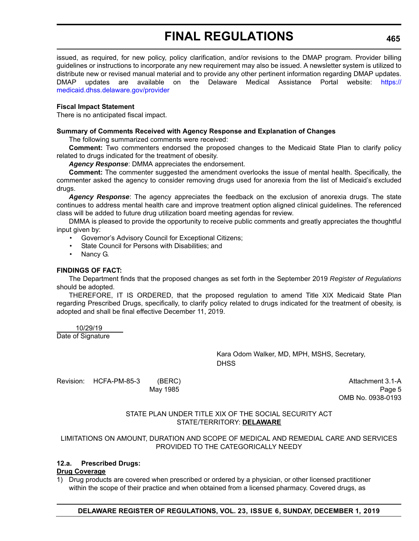issued, as required, for new policy, policy clarification, and/or revisions to the DMAP program. Provider billing guidelines or instructions to incorporate any new requirement may also be issued. A newsletter system is utilized to distribute new or revised manual material and to provide any other pertinent information regarding DMAP updates. DMAP updates are available on the Delaware Medical Assistance Portal website: [https://](https://medicaid.dhss.delaware.gov/provider) [medicaid.dhss.delaware.gov/provider](https://medicaid.dhss.delaware.gov/provider)

### **Fiscal Impact Statement**

There is no anticipated fiscal impact.

### **Summary of Comments Received with Agency Response and Explanation of Changes**

The following summarized comments were received:

**Comment:** Two commenters endorsed the proposed changes to the Medicaid State Plan to clarify policy related to drugs indicated for the treatment of obesity.

*Agency Response*: DMMA appreciates the endorsement.

**Comment:** The commenter suggested the amendment overlooks the issue of mental health. Specifically, the commenter asked the agency to consider removing drugs used for anorexia from the list of Medicaid's excluded drugs.

*Agency Response*: The agency appreciates the feedback on the exclusion of anorexia drugs. The state continues to address mental health care and improve treatment option aligned clinical guidelines. The referenced class will be added to future drug utilization board meeting agendas for review.

DMMA is pleased to provide the opportunity to receive public comments and greatly appreciates the thoughtful input given by:

- Governor's Advisory Council for Exceptional Citizens;
- State Council for Persons with Disabilities: and
- Nancy G.

### **FINDINGS OF FACT:**

The Department finds that the proposed changes as set forth in the September 2019 *Register of Regulations* should be adopted.

THEREFORE, IT IS ORDERED, that the proposed regulation to amend Title XIX Medicaid State Plan regarding Prescribed Drugs, specifically, to clarify policy related to drugs indicated for the treatment of obesity*,* is adopted and shall be final effective December 11, 2019.

 10/29/19 Date of Signature

> Kara Odom Walker, MD, MPH, MSHS, Secretary, **DHSS**

Revision: HCFA-PM-85-3 (BERC) (BERG) Attachment 3.1-A May 1985 Page 5 (1999) and the set of the set of the set of the set of the set of the set of the set of the set of the set of the set of the set of the set of the set of the set of the set of the set of the set of the set

OMB No. 0938-0193

## STATE PLAN UNDER TITLE XIX OF THE SOCIAL SECURITY ACT STATE/TERRITORY: **DELAWARE**

## LIMITATIONS ON AMOUNT, DURATION AND SCOPE OF MEDICAL AND REMEDIAL CARE AND SERVICES PROVIDED TO THE CATEGORICALLY NEEDY

### **12.a. Prescribed Drugs:**

### **Drug Coverage**

1) Drug products are covered when prescribed or ordered by a physician, or other licensed practitioner within the scope of their practice and when obtained from a licensed pharmacy. Covered drugs, as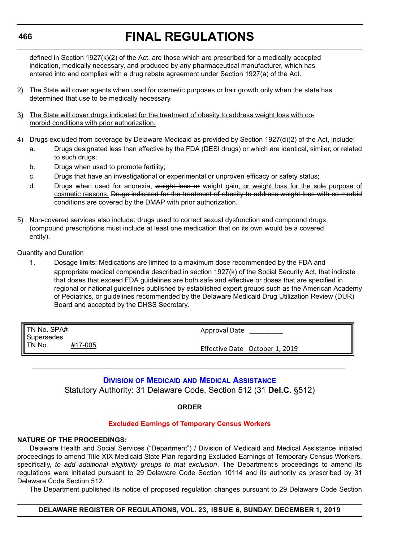## **FINAL REGULATIONS**

defined in Section 1927(k)(2) of the Act, are those which are prescribed for a medically accepted indication, medically necessary, and produced by any pharmaceutical manufacturer, which has entered into and complies with a drug rebate agreement under Section 1927(a) of the Act.

- 2) The State will cover agents when used for cosmetic purposes or hair growth only when the state has determined that use to be medically necessary.
- 3) The State will cover drugs indicated for the treatment of obesity to address weight loss with comorbid conditions with prior authorization.
- 4) Drugs excluded from coverage by Delaware Medicaid as provided by Section 1927(d)(2) of the Act, include:
	- a. Drugs designated less than effective by the FDA (DESI drugs) or which are identical, similar, or related to such drugs;
	- b. Drugs when used to promote fertility;
	- c. Drugs that have an investigational or experimental or unproven efficacy or safety status;
	- d. Drugs when used for anorexia, weight loss or weight gain, or weight loss for the sole purpose of cosmetic reasons. Drugs indicated for the treatment of obesity to address weight loss with co-morbid conditions are covered by the DMAP with prior authorization.
- 5) Non-covered services also include: drugs used to correct sexual dysfunction and compound drugs (compound prescriptions must include at least one medication that on its own would be a covered entity).

Quantity and Duration

1. Dosage limits: Medications are limited to a maximum dose recommended by the FDA and appropriate medical compendia described in section 1927(k) of the Social Security Act, that indicate that doses that exceed FDA guidelines are both safe and effective or doses that are specified in regional or national guidelines published by established expert groups such as the American Academy of Pediatrics, or guidelines recommended by the Delaware Medicaid Drug Utilization Review (DUR) Board and accepted by the DHSS Secretary.

| TN No. SPA#<br><b>Supersedes</b><br>' TN No.<br>#17-005 | Approval Date                  |
|---------------------------------------------------------|--------------------------------|
|                                                         | Effective Date October 1, 2019 |

## **DIVISION OF MEDICAID [AND MEDICAL ASSISTANCE](https://www.dhss.delaware.gov/dhss/dmma/)**

Statutory Authority: 31 Delaware Code, Section 512 (31 **Del.C.** §512)

## **ORDER**

## **[Excluded Earnings of Temporary Census Workers](#page-4-0)**

## **NATURE OF THE PROCEEDINGS:**

Delaware Health and Social Services ("Department") / Division of Medicaid and Medical Assistance initiated proceedings to amend Title XIX Medicaid State Plan regarding Excluded Earnings of Temporary Census Workers, specifically, *to add additional eligibility groups to that exclusion*. The Department's proceedings to amend its regulations were initiated pursuant to 29 Delaware Code Section 10114 and its authority as prescribed by 31 Delaware Code Section 512.

The Department published its notice of proposed regulation changes pursuant to 29 Delaware Code Section

## **DELAWARE REGISTER OF REGULATIONS, VOL. 23, ISSUE 6, SUNDAY, DECEMBER 1, 2019**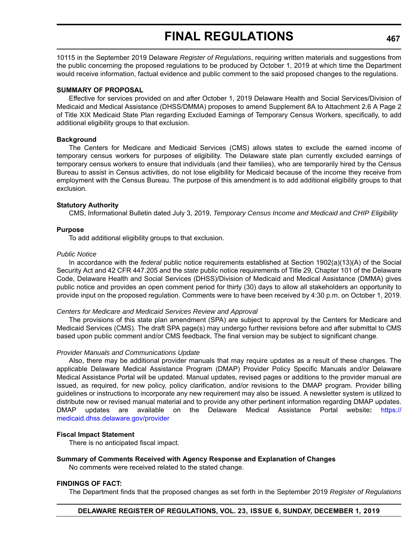10115 in the September 2019 Delaware *Register of Regulations*, requiring written materials and suggestions from the public concerning the proposed regulations to be produced by October 1, 2019 at which time the Department would receive information, factual evidence and public comment to the said proposed changes to the regulations.

### **SUMMARY OF PROPOSAL**

Effective for services provided on and after October 1, 2019 Delaware Health and Social Services/Division of Medicaid and Medical Assistance (DHSS/DMMA) proposes to amend Supplement 8A to Attachment 2.6 A Page 2 of Title XIX Medicaid State Plan regarding Excluded Earnings of Temporary Census Workers, specifically, to add additional eligibility groups to that exclusion.

## **Background**

The Centers for Medicare and Medicaid Services (CMS) allows states to exclude the earned income of temporary census workers for purposes of eligibility. The Delaware state plan currently excluded earnings of temporary census workers to ensure that individuals (and their families), who are temporarily hired by the Census Bureau to assist in Census activities, do not lose eligibility for Medicaid because of the income they receive from employment with the Census Bureau. The purpose of this amendment is to add additional eligibility groups to that exclusion.

## **Statutory Authority**

CMS, Informational Bulletin dated July 3, 2019, *Temporary Census Income and Medicaid and CHIP Eligibility*

## **Purpose**

To add additional eligibility groups to that exclusion.

## *Public Notice*

In accordance with the *federal* public notice requirements established at Section 1902(a)(13)(A) of the Social Security Act and 42 CFR 447.205 and the *state* public notice requirements of Title 29, Chapter 101 of the Delaware Code, Delaware Health and Social Services (DHSS)/Division of Medicaid and Medical Assistance (DMMA) gives public notice and provides an open comment period for thirty (30) days to allow all stakeholders an opportunity to provide input on the proposed regulation. Comments were to have been received by 4:30 p.m. on October 1, 2019.

### *Centers for Medicare and Medicaid Services Review and Approval*

The provisions of this state plan amendment (SPA) are subject to approval by the Centers for Medicare and Medicaid Services (CMS). The draft SPA page(s) may undergo further revisions before and after submittal to CMS based upon public comment and/or CMS feedback. The final version may be subject to significant change.

### *Provider Manuals and Communications Update*

Also, there may be additional provider manuals that may require updates as a result of these changes. The applicable Delaware Medical Assistance Program (DMAP) Provider Policy Specific Manuals and/or Delaware Medical Assistance Portal will be updated. Manual updates, revised pages or additions to the provider manual are issued, as required, for new policy, policy clarification, and/or revisions to the DMAP program. Provider billing guidelines or instructions to incorporate any new requirement may also be issued. A newsletter system is utilized to distribute new or revised manual material and to provide any other pertinent information regarding DMAP updates. DMAP updates are available on the Delaware Medical Assistance Portal website**:** [https://](https://medicaid.dhss.delaware.gov/provider) [medicaid.dhss.delaware.gov/provider](https://medicaid.dhss.delaware.gov/provider)

### **Fiscal Impact Statement**

There is no anticipated fiscal impact.

## **Summary of Comments Received with Agency Response and Explanation of Changes**

No comments were received related to the stated change.

## **FINDINGS OF FACT:**

The Department finds that the proposed changes as set forth in the September 2019 *Register of Regulations*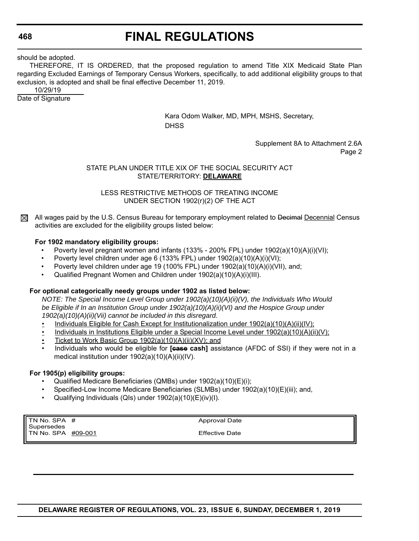should be adopted.

THEREFORE, IT IS ORDERED, that the proposed regulation to amend Title XIX Medicaid State Plan regarding Excluded Earnings of Temporary Census Workers, specifically, to add additional eligibility groups to that exclusion*,* is adopted and shall be final effective December 11, 2019.

 10/29/19 Date of Signature

> Kara Odom Walker, MD, MPH, MSHS, Secretary, **DHSS**

> > Supplement 8A to Attachment 2.6A Page 2

## STATE PLAN UNDER TITLE XIX OF THE SOCIAL SECURITY ACT STATE/TERRITORY: **DELAWARE**

LESS RESTRICTIVE METHODS OF TREATING INCOME UNDER SECTION 1902(r)(2) OF THE ACT

All wages paid by the U.S. Census Bureau for temporary employment related to Decimal Decennial Census  $\boxtimes$ activities are excluded for the eligibility groups listed below:

## **For 1902 mandatory eligibility groups:**

- Poverty level pregnant women and infants (133% 200% FPL) under  $1902(a)(10)(A)(i)(V1);$
- Poverty level children under age 6 (133% FPL) under 1902(a)(10)(A)(i)(VI);
- Poverty level children under age 19 (100% FPL) under 1902(a)(10)(A)(i)(VII), and;
- Qualified Pregnant Women and Children under 1902(a)(10)(A)(i)(III).

## **For optional categorically needy groups under 1902 as listed below:**

*NOTE: The Special Income Level Group under 1902(a)(10)(A)(ii)(V), the Individuals Who Would be Eligible if In an Institution Group under 1902(a)(10)(A)(ii)(VI) and the Hospice Group under 1902(a)(10)(A)(ii)(Vii) cannot be included in this disregard.*

- Individuals Eligible for Cash Except for Institutionalization under 1902(a)(10)(A)(ii)(IV);
- Individuals in Institutions Eligible under a Special Income Level under 1902(a)(10)(A)(ii)(V);
- Ticket to Work Basic Group 1902(a)(10)(A)(ii)(XV); and
- Individuals who would be eligible for **[case cash]** assistance (AFDC of SSI) if they were not in a medical institution under 1902(a)(10)(A)(ii)(IV).

### **For 1905(p) eligibility groups:**

- Qualified Medicare Beneficiaries (QMBs) under 1902(a)(10)(E)(i);
- Specified-Low Income Medicare Beneficiaries (SLMBs) under 1902(a)(10)(E)(iii); and,
- Qualifying Individuals (QIs) under 1902(a)(10)(E)(iv)(I).

TN No.  $SPA$  # Supersedes TN No. SPA #09-001 Approval Date

Effective Date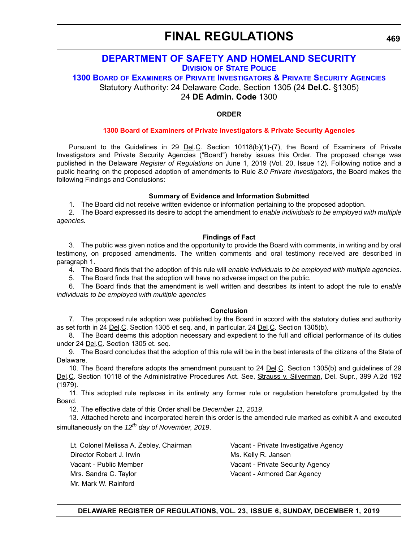## **[DEPARTMENT OF SAFETY AND HOMELAND SECURITY](https://dshs.delaware.gov/)**

**DIVISION [OF STATE POLICE](https://dsp.delaware.gov/)**

**1300 BOARD OF EXAMINERS [OF PRIVATE INVESTIGATORS & PRIVATE SECURITY AGENCIES](https://dsp.delaware.gov/professional-licensing/)** Statutory Authority: 24 Delaware Code, Section 1305 (24 **Del.C.** §1305)

24 **DE Admin. Code** 1300

## **ORDER**

## **[1300 Board of Examiners of Private Investigators & Private Security Agencies](#page-4-0)**

Pursuant to the Guidelines in 29 **Del.C.** Section  $10118(b)(1)-(7)$ , the Board of Examiners of Private Investigators and Private Security Agencies ("Board") hereby issues this Order. The proposed change was published in the Delaware *Register of Regulations* on June 1, 2019 (Vol. 20, Issue 12). Following notice and a public hearing on the proposed adoption of amendments to Rule *8.0 Private Investigators*, the Board makes the following Findings and Conclusions:

## **Summary of Evidence and Information Submitted**

1. The Board did not receive written evidence or information pertaining to the proposed adoption.

2. The Board expressed its desire to adopt the amendment to *enable individuals to be employed with multiple agencies.*

## **Findings of Fact**

3. The public was given notice and the opportunity to provide the Board with comments, in writing and by oral testimony, on proposed amendments. The written comments and oral testimony received are described in paragraph 1.

4. The Board finds that the adoption of this rule will *enable individuals to be employed with multiple agencies*.

5. The Board finds that the adoption will have no adverse impact on the public.

6. The Board finds that the amendment is well written and describes its intent to adopt the rule to *enable individuals to be employed with multiple agencies*

### **Conclusion**

7. The proposed rule adoption was published by the Board in accord with the statutory duties and authority as set forth in 24 Del.C. Section 1305 et seq. and, in particular, 24 Del.C. Section 1305(b).

8. The Board deems this adoption necessary and expedient to the full and official performance of its duties under 24 Del.C. Section 1305 et. seq.

9. The Board concludes that the adoption of this rule will be in the best interests of the citizens of the State of Delaware.

10. The Board therefore adopts the amendment pursuant to 24 Del.C. Section 1305(b) and guidelines of 29 Del.C. Section 10118 of the Administrative Procedures Act. See, Strauss v. Silverman, Del. Supr., 399 A.2d 192 (1979).

11. This adopted rule replaces in its entirety any former rule or regulation heretofore promulgated by the Board.

12. The effective date of this Order shall be *December 11, 2019*.

13. Attached hereto and incorporated herein this order is the amended rule marked as exhibit A and executed simultaneously on the *12th day of November, 2019*.

Lt. Colonel Melissa A. Zebley, Chairman Vacant - Private Investigative Agency Director Robert J. Irwin Ms. Kelly R. Jansen Vacant - Public Member Vacant - Private Security Agency Mrs. Sandra C. Taylor **Vacant - Armored Car Agency** Mr. Mark W. Rainford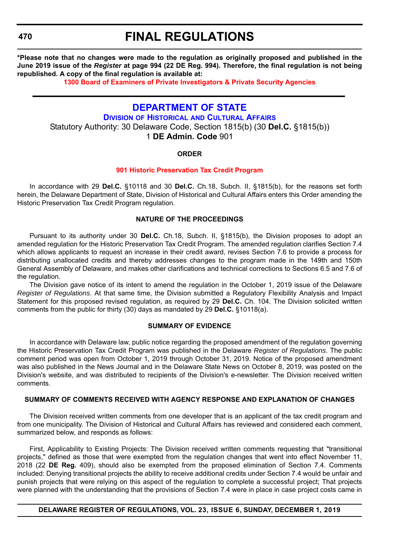## **FINAL REGULATIONS**

**\*Please note that no changes were made to the regulation as originally proposed and published in the June 2019 issue of the** *Register* **at page 994 (22 DE Reg. 994). Therefore, the final regulation is not being republished. A copy of the final regulation is available at:**

**[1300 Board of Examiners of Private Investigators & Private Security Agencies](http://regulations.delaware.gov/register/december2019/final/23 DE Reg 469 12-01-19.htm)**

## **[DEPARTMENT OF STATE](https://sos.delaware.gov/)**

**DIVISION OF HISTORICAL [AND CULTURAL AFFAIRS](https://history.delaware.gov/)** Statutory Authority: 30 Delaware Code, Section 1815(b) (30 **Del.C.** §1815(b)) 1 **DE Admin. Code** 901

## **ORDER**

## **[901 Historic Preservation Tax Credit Program](#page-4-0)**

In accordance with 29 **Del.C.** §10118 and 30 **Del.C.** Ch.18, Subch. II, §1815(b), for the reasons set forth herein, the Delaware Department of State, Division of Historical and Cultural Affairs enters this Order amending the Historic Preservation Tax Credit Program regulation.

## **NATURE OF THE PROCEEDINGS**

Pursuant to its authority under 30 **Del.C.** Ch.18, Subch. II, §1815(b), the Division proposes to adopt an amended regulation for the Historic Preservation Tax Credit Program. The amended regulation clarifies Section 7.4 which allows applicants to request an increase in their credit award, revises Section 7.6 to provide a process for distributing unallocated credits and thereby addresses changes to the program made in the 149th and 150th General Assembly of Delaware, and makes other clarifications and technical corrections to Sections 6.5 and 7.6 of the regulation.

The Division gave notice of its intent to amend the regulation in the October 1, 2019 issue of the Delaware *Register of Regulations*. At that same time, the Division submitted a Regulatory Flexibility Analysis and Impact Statement for this proposed revised regulation, as required by 29 **Del.C.** Ch. 104. The Division solicited written comments from the public for thirty (30) days as mandated by 29 **Del.C.** §10118(a).

### **SUMMARY OF EVIDENCE**

In accordance with Delaware law, public notice regarding the proposed amendment of the regulation governing the Historic Preservation Tax Credit Program was published in the Delaware *Register of Regulations*. The public comment period was open from October 1, 2019 through October 31, 2019. Notice of the proposed amendment was also published in the News Journal and in the Delaware State News on October 8, 2019, was posted on the Division's website, and was distributed to recipients of the Division's e-newsletter. The Division received written comments.

## **SUMMARY OF COMMENTS RECEIVED WITH AGENCY RESPONSE AND EXPLANATION OF CHANGES**

The Division received written comments from one developer that is an applicant of the tax credit program and from one municipality. The Division of Historical and Cultural Affairs has reviewed and considered each comment, summarized below, and responds as follows:

First, Applicability to Existing Projects: The Division received written comments requesting that "transitional projects," defined as those that were exempted from the regulation changes that went into effect November 11, 2018 (22 **DE Reg.** 409), should also be exempted from the proposed elimination of Section 7.4. Comments included: Denying transitional projects the ability to receive additional credits under Section 7.4 would be unfair and punish projects that were relying on this aspect of the regulation to complete a successful project; That projects were planned with the understanding that the provisions of Section 7.4 were in place in case project costs came in

## **DELAWARE REGISTER OF REGULATIONS, VOL. 23, ISSUE 6, SUNDAY, DECEMBER 1, 2019**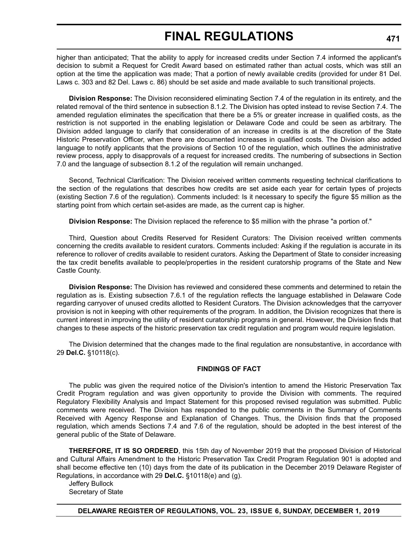higher than anticipated; That the ability to apply for increased credits under Section 7.4 informed the applicant's decision to submit a Request for Credit Award based on estimated rather than actual costs, which was still an option at the time the application was made; That a portion of newly available credits (provided for under 81 Del. Laws c. 303 and 82 Del. Laws c. 86) should be set aside and made available to such transitional projects.

**Division Response:** The Division reconsidered eliminating Section 7.4 of the regulation in its entirety, and the related removal of the third sentence in subsection 8.1.2. The Division has opted instead to revise Section 7.4. The amended regulation eliminates the specification that there be a 5% or greater increase in qualified costs, as the restriction is not supported in the enabling legislation or Delaware Code and could be seen as arbitrary. The Division added language to clarify that consideration of an increase in credits is at the discretion of the State Historic Preservation Officer, when there are documented increases in qualified costs. The Division also added language to notify applicants that the provisions of Section 10 of the regulation, which outlines the administrative review process, apply to disapprovals of a request for increased credits. The numbering of subsections in Section 7.0 and the language of subsection 8.1.2 of the regulation will remain unchanged.

Second, Technical Clarification: The Division received written comments requesting technical clarifications to the section of the regulations that describes how credits are set aside each year for certain types of projects (existing Section 7.6 of the regulation). Comments included: Is it necessary to specify the figure \$5 million as the starting point from which certain set-asides are made, as the current cap is higher.

**Division Response:** The Division replaced the reference to \$5 million with the phrase "a portion of."

Third, Question about Credits Reserved for Resident Curators: The Division received written comments concerning the credits available to resident curators. Comments included: Asking if the regulation is accurate in its reference to rollover of credits available to resident curators. Asking the Department of State to consider increasing the tax credit benefits available to people/properties in the resident curatorship programs of the State and New Castle County.

**Division Response:** The Division has reviewed and considered these comments and determined to retain the regulation as is. Existing subsection 7.6.1 of the regulation reflects the language established in Delaware Code regarding carryover of unused credits allotted to Resident Curators. The Division acknowledges that the carryover provision is not in keeping with other requirements of the program. In addition, the Division recognizes that there is current interest in improving the utility of resident curatorship programs in general. However, the Division finds that changes to these aspects of the historic preservation tax credit regulation and program would require legislation.

The Division determined that the changes made to the final regulation are nonsubstantive, in accordance with 29 **Del.C.** §10118(c).

## **FINDINGS OF FACT**

The public was given the required notice of the Division's intention to amend the Historic Preservation Tax Credit Program regulation and was given opportunity to provide the Division with comments. The required Regulatory Flexibility Analysis and Impact Statement for this proposed revised regulation was submitted. Public comments were received. The Division has responded to the public comments in the Summary of Comments Received with Agency Response and Explanation of Changes. Thus, the Division finds that the proposed regulation, which amends Sections 7.4 and 7.6 of the regulation, should be adopted in the best interest of the general public of the State of Delaware.

**THEREFORE, IT IS SO ORDERED**, this 15th day of November 2019 that the proposed Division of Historical and Cultural Affairs Amendment to the Historic Preservation Tax Credit Program Regulation 901 is adopted and shall become effective ten (10) days from the date of its publication in the December 2019 Delaware Register of Regulations, in accordance with 29 **Del.C.** §10118(e) and (g).

Jeffery Bullock Secretary of State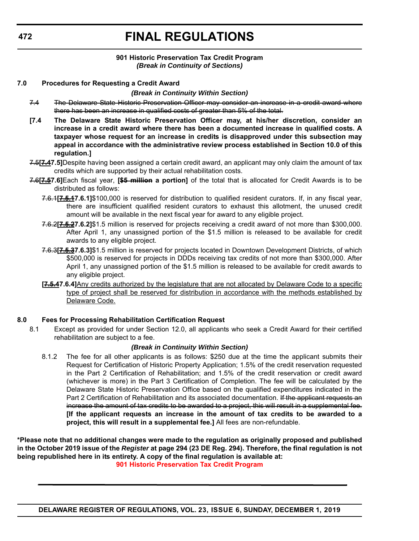### **901 Historic Preservation Tax Credit Program** *(Break in Continuity of Sections)*

## **7.0 Procedures for Requesting a Credit Award**

## *(Break in Continuity Within Section)*

- 7.4 The Delaware State Historic Preservation Officer may consider an increase in a credit award where there has been an increase in qualified costs of greater than 5% of the total.
- **[7.4 The Delaware State Historic Preservation Officer may, at his/her discretion, consider an increase in a credit award where there has been a documented increase in qualified costs. A taxpayer whose request for an increase in credits is disapproved under this subsection may appeal in accordance with the administrative review process established in Section 10.0 of this regulation.]**
- 7.5**[7.47.5]**Despite having been assigned a certain credit award, an applicant may only claim the amount of tax credits which are supported by their actual rehabilitation costs.
- 7.6**[7.57.6]**Each fiscal year, **[\$5 million a portion]** of the total that is allocated for Credit Awards is to be distributed as follows:
	- 7.6.1**[7.5.17.6.1]**\$100,000 is reserved for distribution to qualified resident curators. If, in any fiscal year, there are insufficient qualified resident curators to exhaust this allotment, the unused credit amount will be available in the next fiscal year for award to any eligible project.
	- 7.6.2**[7.5.27.6.2]**\$1.5 million is reserved for projects receiving a credit award of not more than \$300,000. After April 1, any unassigned portion of the \$1.5 million is released to be available for credit awards to any eligible project.
	- 7.6.3**[7.5.37.6.3]**\$1.5 million is reserved for projects located in Downtown Development Districts, of which \$500,000 is reserved for projects in DDDs receiving tax credits of not more than \$300,000. After April 1, any unassigned portion of the \$1.5 million is released to be available for credit awards to any eligible project.
	- **[7.5.47.6.4]**Any credits authorized by the legislature that are not allocated by Delaware Code to a specific type of project shall be reserved for distribution in accordance with the methods established by Delaware Code.

### **8.0 Fees for Processing Rehabilitation Certification Request**

8.1 Except as provided for under Section 12.0, all applicants who seek a Credit Award for their certified rehabilitation are subject to a fee.

### *(Break in Continuity Within Section)*

8.1.2 The fee for all other applicants is as follows: \$250 due at the time the applicant submits their Request for Certification of Historic Property Application; 1.5% of the credit reservation requested in the Part 2 Certification of Rehabilitation; and 1.5% of the credit reservation or credit award (whichever is more) in the Part 3 Certification of Completion. The fee will be calculated by the Delaware State Historic Preservation Office based on the qualified expenditures indicated in the Part 2 Certification of Rehabilitation and its associated documentation. If the applicant requests an increase the amount of tax credits to be awarded to a project, this will result in a supplemental fee. **[If the applicant requests an increase in the amount of tax credits to be awarded to a project, this will result in a supplemental fee.]** All fees are non-refundable.

**\*Please note that no additional changes were made to the regulation as originally proposed and published in the October 2019 issue of the** *Register* **at page 294 (23 DE Reg. 294). Therefore, the final regulation is not being republished here in its entirety. A copy of the final regulation is available at: [901 Historic Preservation Tax Credit Program](http://regulations.delaware.gov/register/december2019/final/23 DE Reg 470 12-01-19.htm)**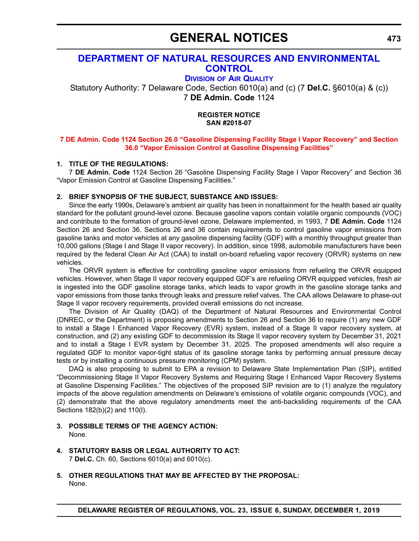## **GENERAL NOTICES**

## **[DEPARTMENT OF NATURAL RESOURCES AND ENVIRONMENTAL](https://dnrec.alpha.delaware.gov/)  CONTROL**

**DIVISION [OF AIR QUALITY](https://dnrec.alpha.delaware.gov/air/ )**

Statutory Authority: 7 Delaware Code, Section 6010(a) and (c) (7 **Del.C.** §6010(a) & (c)) 7 **DE Admin. Code** 1124

> **REGISTER NOTICE SAN #2018-07**

## **[7 DE Admin. Code 1124 Section 26.0 "Gasoline Dispensing Facility Stage I Vapor Recovery" and Section](#page-4-0)  36.0 "Vapor Emission Control at Gasoline Dispensing Facilities"**

## **1. TITLE OF THE REGULATIONS:**

7 **DE Admin. Code** 1124 Section 26 "Gasoline Dispensing Facility Stage I Vapor Recovery" and Section 36 "Vapor Emission Control at Gasoline Dispensing Facilities."

## **2. BRIEF SYNOPSIS OF THE SUBJECT, SUBSTANCE AND ISSUES:**

Since the early 1990s, Delaware's ambient air quality has been in nonattainment for the health based air quality standard for the pollutant ground-level ozone. Because gasoline vapors contain volatile organic compounds (VOC) and contribute to the formation of ground-level ozone, Delaware implemented, in 1993, 7 **DE Admin. Code** 1124 Section 26 and Section 36. Sections 26 and 36 contain requirements to control gasoline vapor emissions from gasoline tanks and motor vehicles at any gasoline dispensing facility (GDF) with a monthly throughput greater than 10,000 gallons (Stage I and Stage II vapor recovery). In addition, since 1998, automobile manufacturers have been required by the federal Clean Air Act (CAA) to install on-board refueling vapor recovery (ORVR) systems on new vehicles.

The ORVR system is effective for controlling gasoline vapor emissions from refueling the ORVR equipped vehicles. However, when Stage II vapor recovery equipped GDF's are refueling ORVR equipped vehicles, fresh air is ingested into the GDF gasoline storage tanks, which leads to vapor growth in the gasoline storage tanks and vapor emissions from those tanks through leaks and pressure relief valves. The CAA allows Delaware to phase-out Stage II vapor recovery requirements, provided overall emissions do not increase.

The Division of Air Quality (DAQ) of the Department of Natural Resources and Environmental Control (DNREC, or the Department) is proposing amendments to Section 26 and Section 36 to require (1) any new GDF to install a Stage I Enhanced Vapor Recovery (EVR) system, instead of a Stage II vapor recovery system, at construction, and (2) any existing GDF to decommission its Stage II vapor recovery system by December 31, 2021 and to install a Stage I EVR system by December 31, 2025. The proposed amendments will also require a regulated GDF to monitor vapor-tight status of its gasoline storage tanks by performing annual pressure decay tests or by installing a continuous pressure monitoring (CPM) system.

DAQ is also proposing to submit to EPA a revision to Delaware State Implementation Plan (SIP), entitled "Decommissioning Stage II Vapor Recovery Systems and Requiring Stage I Enhanced Vapor Recovery Systems at Gasoline Dispensing Facilities." The objectives of the proposed SIP revision are to (1) analyze the regulatory impacts of the above regulation amendments on Delaware's emissions of volatile organic compounds (VOC), and (2) demonstrate that the above regulatory amendments meet the anti-backsliding requirements of the CAA Sections 182(b)(2) and 110(l).

- **3. POSSIBLE TERMS OF THE AGENCY ACTION:** None.
- **4. STATUTORY BASIS OR LEGAL AUTHORITY TO ACT:** 7 **Del.C.** Ch. 60, Sections 6010(a) and 6010(c).
- **5. OTHER REGULATIONS THAT MAY BE AFFECTED BY THE PROPOSAL:** None.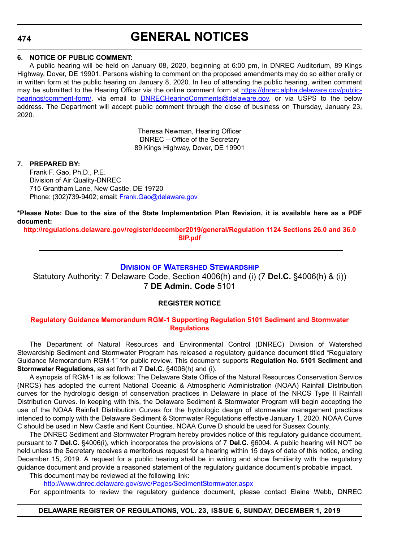## **GENERAL NOTICES**

## **6. NOTICE OF PUBLIC COMMENT:**

A public hearing will be held on January 08, 2020, beginning at 6:00 pm, in DNREC Auditorium, 89 Kings Highway, Dover, DE 19901. Persons wishing to comment on the proposed amendments may do so either orally or in written form at the public hearing on January 8, 2020. In lieu of attending the public hearing, written comment may be submitted to the Hearing Officer via the online comment form at [https://dnrec.alpha.delaware.gov/public](https://dnrec.alpha.delaware.gov/public-hearings/comment-form/)[hearings/comment-form/,](https://dnrec.alpha.delaware.gov/public-hearings/comment-form/) via email to [DNRECHearingComments@delaware.gov,](mailto:DNRECHearingComments@delaware.gov) or via USPS to the below address. The Department will accept public comment through the close of business on Thursday, January 23, 2020.

> Theresa Newman, Hearing Officer DNREC – Office of the Secretary 89 Kings Highway, Dover, DE 19901

## **7. PREPARED BY:**

Frank F. Gao, Ph.D., P.E. Division of Air Quality-DNREC 715 Grantham Lane, New Castle, DE 19720 Phone: (302)739-9402; email: [Frank.Gao@delaware.gov](mailto:Frank.Gao@delaware.gov)

**\*Please Note: Due to the size of the State Implementation Plan Revision, it is available here as a PDF document:**

**[http://regulations.delaware.gov/register/december2019/general/Regulation 1124 Sections 26.0 and 36.0](http://regulations.delaware.gov/register/december2019/general/Regulation 1124 Sections 26.0 and 36.0 SIP.pdf)  SIP.pdf**

## **DIVISION [OF WATERSHED STEWARDSHIP](https://dnrec.alpha.delaware.gov/watershed-stewardship/ )**

Statutory Authority: 7 Delaware Code, Section 4006(h) and (i) (7 **Del.C.** §4006(h) & (i)) 7 **DE Admin. Code** 5101

### **REGISTER NOTICE**

## **[Regulatory Guidance Memorandum RGM-1 Supporting Regulation 5101 Sediment and Stormwater](#page-4-0)  Regulations**

The Department of Natural Resources and Environmental Control (DNREC) Division of Watershed Stewardship Sediment and Stormwater Program has released a regulatory guidance document titled "Regulatory Guidance Memorandum RGM-1" for public review. This document supports **Regulation No. 5101 Sediment and Stormwater Regulations**, as set forth at 7 **Del.C.** §4006(h) and (i).

A synopsis of RGM-1 is as follows: The Delaware State Office of the Natural Resources Conservation Service (NRCS) has adopted the current National Oceanic & Atmospheric Administration (NOAA) Rainfall Distribution curves for the hydrologic design of conservation practices in Delaware in place of the NRCS Type II Rainfall Distribution Curves. In keeping with this, the Delaware Sediment & Stormwater Program will begin accepting the use of the NOAA Rainfall Distribution Curves for the hydrologic design of stormwater management practices intended to comply with the Delaware Sediment & Stormwater Regulations effective January 1, 2020. NOAA Curve C should be used in New Castle and Kent Counties. NOAA Curve D should be used for Sussex County.

The DNREC Sediment and Stormwater Program hereby provides notice of this regulatory guidance document, pursuant to 7 **Del.C.** §4006(i), which incorporates the provisions of 7 **Del.C.** §6004. A public hearing will NOT be held unless the Secretary receives a meritorious request for a hearing within 15 days of date of this notice, ending December 15, 2019. A request for a public hearing shall be in writing and show familiarity with the regulatory guidance document and provide a reasoned statement of the regulatory guidance document's probable impact. This document may be reviewed at the following link:

<http://www.dnrec.delaware.gov/swc/Pages/SedimentStormwater.aspx> For appointments to review the regulatory guidance document, please contact Elaine Webb, DNREC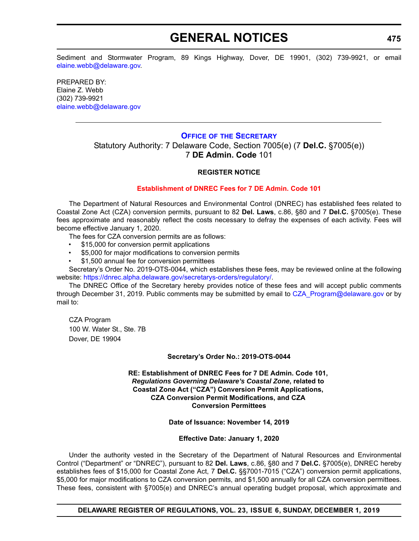## **GENERAL NOTICES**

Sediment and Stormwater Program, 89 Kings Highway, Dover, DE 19901, (302) 739-9921, or email [elaine.webb@delaware.gov.](mailto:elaine.webb@delaware.gov)

PREPARED BY: Elaine Z. Webb (302) 739-9921 [elaine.webb@delaware.gov](mailto:elaine.webb@delaware.gov)

## **OFFICE OF [THE SECRETARY](https://dnrec.alpha.delaware.gov/office-of-the-secretary/)**

Statutory Authority: 7 Delaware Code, Section 7005(e) (7 **Del.C.** §7005(e)) 7 **DE Admin. Code** 101

## **REGISTER NOTICE**

## **[Establishment of DNREC Fees for 7 DE Admin. Code 101](#page-4-0)**

The Department of Natural Resources and Environmental Control (DNREC) has established fees related to Coastal Zone Act (CZA) conversion permits, pursuant to 82 **Del. Laws**, c.86, §80 and 7 **Del.C.** §7005(e). These fees approximate and reasonably reflect the costs necessary to defray the expenses of each activity. Fees will become effective January 1, 2020.

The fees for CZA conversion permits are as follows:

- \$15,000 for conversion permit applications
- \$5,000 for major modifications to conversion permits
- \$1,500 annual fee for conversion permittees

Secretary's Order No. 2019-OTS-0044, which establishes these fees, may be reviewed online at the following website: [https://dnrec.alpha.delaware.gov/secretarys-orders/regulatory/.](https://dnrec.alpha.delaware.gov/secretarys-orders/regulatory/)

The DNREC Office of the Secretary hereby provides notice of these fees and will accept public comments through December 31, 2019. Public comments may be submitted by email to CZA Program@delaware.gov or by mail to:

CZA Program 100 W. Water St., Ste. 7B Dover, DE 19904

### **Secretary's Order No.: 2019-OTS-0044**

### **RE: Establishment of DNREC Fees for 7 DE Admin. Code 101,**  *Regulations Governing Delaware's Coastal Zone***, related to Coastal Zone Act ("CZA") Conversion Permit Applications, CZA Conversion Permit Modifications, and CZA Conversion Permittees**

### **Date of Issuance: November 14, 2019**

### **Effective Date: January 1, 2020**

Under the authority vested in the Secretary of the Department of Natural Resources and Environmental Control ("Department" or "DNREC"), pursuant to 82 **Del. Laws**, c.86, §80 and 7 **Del.C.** §7005(e), DNREC hereby establishes fees of \$15,000 for Coastal Zone Act, 7 **Del.C.** §§7001-7015 ("CZA") conversion permit applications, \$5,000 for major modifications to CZA conversion permits, and \$1,500 annually for all CZA conversion permittees. These fees, consistent with §7005(e) and DNREC's annual operating budget proposal, which approximate and

**475**

**DELAWARE REGISTER OF REGULATIONS, VOL. 23, ISSUE 6, SUNDAY, DECEMBER 1, 2019**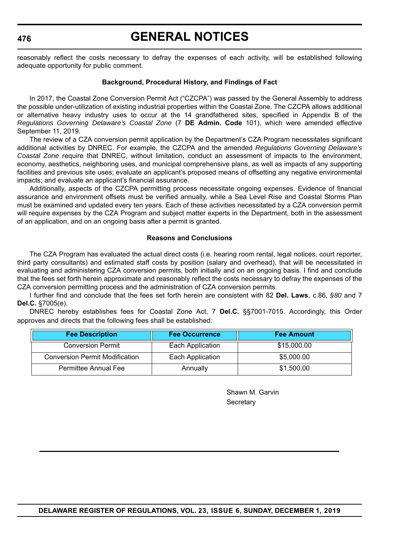## **GENERAL NOTICES**

reasonably reflect the costs necessary to defray the expenses of each activity, will be established following adequate opportunity for public comment.

#### **Background, Procedural History, and Findings of Fact**

In 2017, the Coastal Zone Conversion Permit Act ("CZCPA") was passed by the General Assembly to address the possible under-utilization of existing industrial properties within the Coastal Zone. The CZCPA allows additional or alternative heavy industry uses to occur at the 14 grandfathered sites, specified in Appendix B of the *Regulations Governing Delaware's Coastal Zone* (7 **DE Admin. Code** 101), which were amended effective September 11, 2019.

The review of a CZA conversion permit application by the Department's CZA Program necessitates significant additional activities by DNREC. For example, the CZCPA and the amended *Regulations Governing Delaware's Coastal Zone* require that DNREC, without limitation, conduct an assessment of impacts to the environment, economy, aesthetics, neighboring uses, and municipal comprehensive plans, as well as impacts of any supporting facilities and previous site uses; evaluate an applicant's proposed means of offsetting any negative environmental impacts; and evaluate an applicant's financial assurance.

Additionally, aspects of the CZCPA permitting process necessitate ongoing expenses. Evidence of financial assurance and environment offsets must be verified annually, while a Sea Level Rise and Coastal Storms Plan must be examined and updated every ten years. Each of these activities necessitated by a CZA conversion permit will require expenses by the CZA Program and subject matter experts in the Department, both in the assessment of an application, and on an ongoing basis after a permit is granted.

#### **Reasons and Conclusions**

The CZA Program has evaluated the actual direct costs (i.e. hearing room rental, legal notices, court reporter, third party consultants) and estimated staff costs by position (salary and overhead), that will be necessitated in evaluating and administering CZA conversion permits, both initially and on an ongoing basis. I find and conclude that the fees set forth herein approximate and reasonably reflect the costs necessary to defray the expenses of the CZA conversion permitting process and the administration of CZA conversion permits.

I further find and conclude that the fees set forth herein are consistent with 82 **Del. Laws**, c.86*, §80* and 7 **Del.C.** §7005(e).

DNREC hereby establishes fees for Coastal Zone Act, 7 **Del.C.** §§7001-7015. Accordingly, this Order approves and directs that the following fees shall be established:

| <b>Fee Description</b>                | <b>Fee Occurrence</b> | <b>Fee Amount</b> |
|---------------------------------------|-----------------------|-------------------|
| <b>Conversion Permit</b>              | Each Application      | \$15,000.00       |
| <b>Conversion Permit Modification</b> | Each Application      | \$5,000.00        |
| Permittee Annual Fee                  | Annually              | \$1,500.00        |

Shawn M. Garvin **Secretary**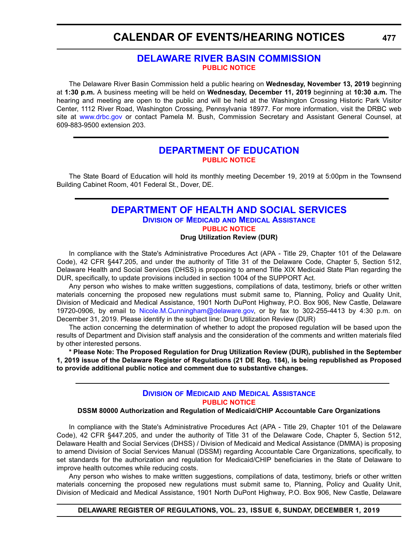## **CALENDAR OF EVENTS/HEARING NOTICES**

## **[DELAWARE RIVER BASIN COMMISSION](https://www.state.nj.us/drbc/) [PUBLIC NOTICE](#page-4-0)**

The Delaware River Basin Commission held a public hearing on **Wednesday, November 13, 2019** beginning at **1:30 p.m.** A business meeting will be held on **Wednesday, December 11, 2019** beginning at **10:30 a.m.** The hearing and meeting are open to the public and will be held at the Washington Crossing Historic Park Visitor Center, 1112 River Road, Washington Crossing, Pennsylvania 18977. For more information, visit the DRBC web site at [www.drbc.gov](https://www.drbc.gov) or contact Pamela M. Bush, Commission Secretary and Assistant General Counsel, at 609-883-9500 extension 203.

## **[DEPARTMENT OF EDUCATION](https://www.doe.k12.de.us/) [PUBLIC NOTICE](#page-4-0)**

The State Board of Education will hold its monthly meeting December 19, 2019 at 5:00pm in the Townsend Building Cabinet Room, 401 Federal St., Dover, DE.

## **[DEPARTMENT OF HEALTH AND SOCIAL SERVICES](https://www.dhss.delaware.gov/dhss/index.html) DIVISION OF MEDICAID [AND MEDICAL ASSISTANCE](https://www.dhss.delaware.gov/dhss/dmma/) [PUBLIC NOTICE](#page-4-0) Drug Utilization Review (DUR)**

In compliance with the State's Administrative Procedures Act (APA - Title 29, Chapter 101 of the Delaware Code), 42 CFR §447.205, and under the authority of Title 31 of the Delaware Code, Chapter 5, Section 512, Delaware Health and Social Services (DHSS) is proposing to amend Title XIX Medicaid State Plan regarding the DUR, specifically, to update provisions included in section 1004 of the SUPPORT Act.

Any person who wishes to make written suggestions, compilations of data, testimony, briefs or other written materials concerning the proposed new regulations must submit same to, Planning, Policy and Quality Unit, Division of Medicaid and Medical Assistance, 1901 North DuPont Highway, P.O. Box 906, New Castle, Delaware 19720-0906, by email to [Nicole.M.Cunningham@delaware.gov,](mailto:Nicole.M.Cunningham@delaware.gov) or by fax to 302-255-4413 by 4:30 p.m. on December 31, 2019. Please identify in the subject line: Drug Utilization Review (DUR)

The action concerning the determination of whether to adopt the proposed regulation will be based upon the results of Department and Division staff analysis and the consideration of the comments and written materials filed by other interested persons.

**\* Please Note: The Proposed Regulation for Drug Utilization Review (DUR), published in the September 1, 2019 issue of the Delaware Register of Regulations (21 DE Reg. 184), is being republished as Proposed to provide additional public notice and comment due to substantive changes.**

## **DIVISION OF MEDICAID [AND MEDICAL ASSISTANCE](https://www.dhss.delaware.gov/dhss/dmma/) [PUBLIC NOTICE](#page-4-0)**

## **DSSM 80000 Authorization and Regulation of Medicaid/CHIP Accountable Care Organizations**

In compliance with the State's Administrative Procedures Act (APA - Title 29, Chapter 101 of the Delaware Code), 42 CFR §447.205, and under the authority of Title 31 of the Delaware Code, Chapter 5, Section 512, Delaware Health and Social Services (DHSS) / Division of Medicaid and Medical Assistance (DMMA) is proposing to amend Division of Social Services Manual (DSSM) regarding Accountable Care Organizations, specifically, to set standards for the authorization and regulation for Medicaid/CHIP beneficiaries in the State of Delaware to improve health outcomes while reducing costs.

Any person who wishes to make written suggestions, compilations of data, testimony, briefs or other written materials concerning the proposed new regulations must submit same to, Planning, Policy and Quality Unit, Division of Medicaid and Medical Assistance, 1901 North DuPont Highway, P.O. Box 906, New Castle, Delaware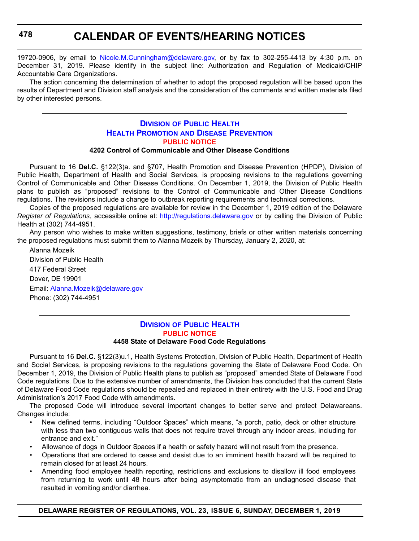## **CALENDAR OF EVENTS/HEARING NOTICES**

19720-0906, by email to [Nicole.M.Cunningham@delaware.gov,](mailto:Nicole.M.Cunningham@delaware.gov) or by fax to 302-255-4413 by 4:30 p.m. on December 31, 2019. Please identify in the subject line: Authorization and Regulation of Medicaid/CHIP Accountable Care Organizations.

The action concerning the determination of whether to adopt the proposed regulation will be based upon the results of Department and Division staff analysis and the consideration of the comments and written materials filed by other interested persons.

## **DIVISION [OF PUBLIC HEALTH](https://www.dhss.delaware.gov/dhss/dph/index.html) HEALTH PROMOTION [AND DISEASE PREVENTION](https://dhss.delaware.gov/dhss/dph/dpc/dpcsection.html ) [PUBLIC NOTICE](#page-4-0)**

## **4202 Control of Communicable and Other Disease Conditions**

Pursuant to 16 **Del.C.** §122(3)a. and §707, Health Promotion and Disease Prevention (HPDP), Division of Public Health, Department of Health and Social Services, is proposing revisions to the regulations governing Control of Communicable and Other Disease Conditions. On December 1, 2019, the Division of Public Health plans to publish as "proposed" revisions to the Control of Communicable and Other Disease Conditions regulations. The revisions include a change to outbreak reporting requirements and technical corrections.

Copies of the proposed regulations are available for review in the December 1, 2019 edition of the Delaware *Register of Regulations*, accessible online at: <http://regulations.delaware.gov> or by calling the Division of Public Health at (302) 744-4951.

Any person who wishes to make written suggestions, testimony, briefs or other written materials concerning the proposed regulations must submit them to Alanna Mozeik by Thursday, January 2, 2020, at:

Alanna Mozeik Division of Public Health 417 Federal Street Dover, DE 19901 Email: [Alanna.Mozeik@delaware.gov](mailto:Alanna.Mozeik@delaware.gov) Phone: (302) 744-4951

## **DIVISION [OF PUBLIC HEALTH](https://www.dhss.delaware.gov/dhss/dph/index.html) [PUBLIC NOTICE](#page-4-0) 4458 State of Delaware Food Code Regulations**

Pursuant to 16 **Del.C.** §122(3)u.1, Health Systems Protection, Division of Public Health, Department of Health and Social Services, is proposing revisions to the regulations governing the State of Delaware Food Code. On December 1, 2019, the Division of Public Health plans to publish as "proposed" amended State of Delaware Food Code regulations. Due to the extensive number of amendments, the Division has concluded that the current State of Delaware Food Code regulations should be repealed and replaced in their entirety with the U.S. Food and Drug Administration's 2017 Food Code with amendments.

The proposed Code will introduce several important changes to better serve and protect Delawareans. Changes include:

- New defined terms, including "Outdoor Spaces" which means, "a porch, patio, deck or other structure with less than two contiguous walls that does not require travel through any indoor areas, including for entrance and exit."
- Allowance of dogs in Outdoor Spaces if a health or safety hazard will not result from the presence.
- Operations that are ordered to cease and desist due to an imminent health hazard will be required to remain closed for at least 24 hours.
- Amending food employee health reporting, restrictions and exclusions to disallow ill food employees from returning to work until 48 hours after being asymptomatic from an undiagnosed disease that resulted in vomiting and/or diarrhea.

**DELAWARE REGISTER OF REGULATIONS, VOL. 23, ISSUE 6, SUNDAY, DECEMBER 1, 2019**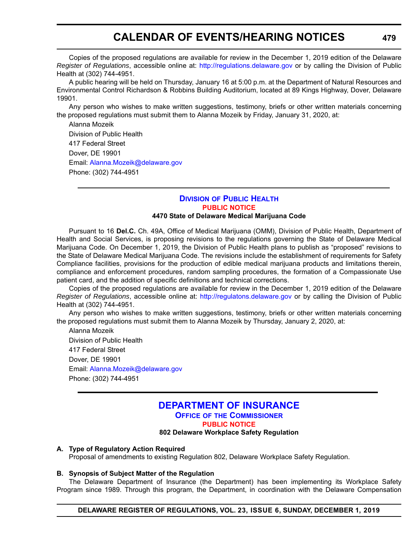# **CALENDAR OF EVENTS/HEARING NOTICES**

Copies of the proposed regulations are available for review in the December 1, 2019 edition of the Delaware *Register of Regulations*, accessible online at: <http://regulations.delaware.gov>or by calling the Division of Public Health at (302) 744-4951.

A public hearing will be held on Thursday, January 16 at 5:00 p.m. at the Department of Natural Resources and Environmental Control Richardson & Robbins Building Auditorium, located at 89 Kings Highway, Dover, Delaware 19901.

Any person who wishes to make written suggestions, testimony, briefs or other written materials concerning the proposed regulations must submit them to Alanna Mozeik by Friday, January 31, 2020, at:

Alanna Mozeik Division of Public Health 417 Federal Street Dover, DE 19901 Email: [Alanna.Mozeik@delaware.gov](mailto:Alanna.Mozeik@delaware.gov) Phone: (302) 744-4951

#### **DIVISION [OF PUBLIC HEALTH](https://www.dhss.delaware.gov/dhss/dph/index.html) [PUBLIC NOTICE](#page-4-0) 4470 State of Delaware Medical Marijuana Code**

Pursuant to 16 **Del.C.** Ch. 49A, Office of Medical Marijuana (OMM), Division of Public Health, Department of Health and Social Services, is proposing revisions to the regulations governing the State of Delaware Medical Marijuana Code. On December 1, 2019, the Division of Public Health plans to publish as "proposed" revisions to the State of Delaware Medical Marijuana Code. The revisions include the establishment of requirements for Safety Compliance facilities, provisions for the production of edible medical marijuana products and limitations therein,

compliance and enforcement procedures, random sampling procedures, the formation of a Compassionate Use patient card, and the addition of specific definitions and technical corrections. Copies of the proposed regulations are available for review in the December 1, 2019 edition of the Delaware *Register of Regulations*, accessible online at: <http://regulatons.delaware.gov> or by calling the Division of Public

Health at (302) 744-4951. Any person who wishes to make written suggestions, testimony, briefs or other written materials concerning

the proposed regulations must submit them to Alanna Mozeik by Thursday, January 2, 2020, at: Alanna Mozeik Division of Public Health 417 Federal Street Dover, DE 19901

Email: [Alanna.Mozeik@delaware.gov](mailto:Alanna.Mozeik@delaware.gov) Phone: (302) 744-4951

### **[DEPARTMENT OF INSURANCE](https://insurance.delaware.gov/) OFFICE OF [THE COMMISSIONER](https://insurance.delaware.gov/bio/)**

**[PUBLIC NOTICE](#page-4-0)**

#### **802 Delaware Workplace Safety Regulation**

#### **A. Type of Regulatory Action Required**

Proposal of amendments to existing Regulation 802, Delaware Workplace Safety Regulation.

### **B. Synopsis of Subject Matter of the Regulation**

The Delaware Department of Insurance (the Department) has been implementing its Workplace Safety Program since 1989. Through this program, the Department, in coordination with the Delaware Compensation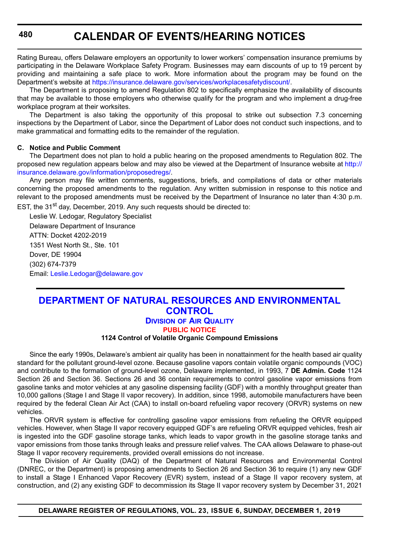Rating Bureau, offers Delaware employers an opportunity to lower workers' compensation insurance premiums by participating in the Delaware Workplace Safety Program. Businesses may earn discounts of up to 19 percent by providing and maintaining a safe place to work. More information about the program may be found on the Department's website at <https://insurance.delaware.gov/services/workplacesafetydiscount/>.

The Department is proposing to amend Regulation 802 to specifically emphasize the availability of discounts that may be available to those employers who otherwise qualify for the program and who implement a drug-free workplace program at their worksites.

The Department is also taking the opportunity of this proposal to strike out subsection 7.3 concerning inspections by the Department of Labor, since the Department of Labor does not conduct such inspections, and to make grammatical and formatting edits to the remainder of the regulation.

#### **C. Notice and Public Comment**

The Department does not plan to hold a public hearing on the proposed amendments to Regulation 802. The proposed new regulation appears below and may also be viewed at the Department of Insurance website at [http://](http://insurance.delaware.gov/information/proposedregs/) [insurance.delaware.gov/information/proposedregs/.](http://insurance.delaware.gov/information/proposedregs/)

Any person may file written comments, suggestions, briefs, and compilations of data or other materials concerning the proposed amendments to the regulation. Any written submission in response to this notice and relevant to the proposed amendments must be received by the Department of Insurance no later than 4:30 p.m. EST, the 31<sup>st</sup> day, December, 2019. Any such requests should be directed to:

Leslie W. Ledogar, Regulatory Specialist Delaware Department of Insurance ATTN: Docket 4202-2019 1351 West North St., Ste. 101 Dover, DE 19904 (302) 674-7379 Email: [Leslie.Ledogar@delaware.gov](mailto:Leslie.Ledogar@delaware.gov)

## **[DEPARTMENT OF NATURAL RESOURCES AND ENVIRONMENTAL](https://dnrec.alpha.delaware.gov/)  CONTROL**

**DIVISION [OF AIR QUALITY](https://dnrec.alpha.delaware.gov/air/ )**

**[PUBLIC NOTICE](#page-4-0)**

### **1124 Control of Volatile Organic Compound Emissions**

Since the early 1990s, Delaware's ambient air quality has been in nonattainment for the health based air quality standard for the pollutant ground-level ozone. Because gasoline vapors contain volatile organic compounds (VOC) and contribute to the formation of ground-level ozone, Delaware implemented, in 1993, 7 **DE Admin. Code** 1124 Section 26 and Section 36. Sections 26 and 36 contain requirements to control gasoline vapor emissions from gasoline tanks and motor vehicles at any gasoline dispensing facility (GDF) with a monthly throughput greater than 10,000 gallons (Stage I and Stage II vapor recovery). In addition, since 1998, automobile manufacturers have been required by the federal Clean Air Act (CAA) to install on-board refueling vapor recovery (ORVR) systems on new vehicles.

The ORVR system is effective for controlling gasoline vapor emissions from refueling the ORVR equipped vehicles. However, when Stage II vapor recovery equipped GDF's are refueling ORVR equipped vehicles, fresh air is ingested into the GDF gasoline storage tanks, which leads to vapor growth in the gasoline storage tanks and vapor emissions from those tanks through leaks and pressure relief valves. The CAA allows Delaware to phase-out Stage II vapor recovery requirements, provided overall emissions do not increase.

The Division of Air Quality (DAQ) of the Department of Natural Resources and Environmental Control (DNREC, or the Department) is proposing amendments to Section 26 and Section 36 to require (1) any new GDF to install a Stage I Enhanced Vapor Recovery (EVR) system, instead of a Stage II vapor recovery system, at construction, and (2) any existing GDF to decommission its Stage II vapor recovery system by December 31, 2021

**DELAWARE REGISTER OF REGULATIONS, VOL. 23, ISSUE 6, SUNDAY, DECEMBER 1, 2019**

**480**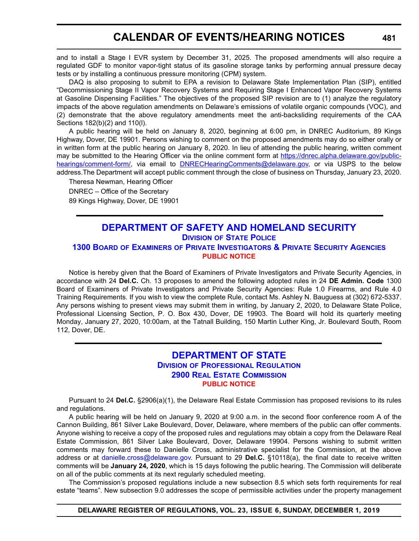# **CALENDAR OF EVENTS/HEARING NOTICES**

and to install a Stage I EVR system by December 31, 2025. The proposed amendments will also require a regulated GDF to monitor vapor-tight status of its gasoline storage tanks by performing annual pressure decay tests or by installing a continuous pressure monitoring (CPM) system.

DAQ is also proposing to submit to EPA a revision to Delaware State Implementation Plan (SIP), entitled "Decommissioning Stage II Vapor Recovery Systems and Requiring Stage I Enhanced Vapor Recovery Systems at Gasoline Dispensing Facilities." The objectives of the proposed SIP revision are to (1) analyze the regulatory impacts of the above regulation amendments on Delaware's emissions of volatile organic compounds (VOC), and (2) demonstrate that the above regulatory amendments meet the anti-backsliding requirements of the CAA Sections 182(b)(2) and 110(l).

A public hearing will be held on January 8, 2020, beginning at 6:00 pm, in DNREC Auditorium, 89 Kings Highway, Dover, DE 19901. Persons wishing to comment on the proposed amendments may do so either orally or in written form at the public hearing on January 8, 2020. In lieu of attending the public hearing, written comment may be submitted to the Hearing Officer via the online comment form at [https://dnrec.alpha.delaware.gov/public](https://dnrec.alpha.delaware.gov/public-hearings/comment-form/)[hearings/comment-form/](https://dnrec.alpha.delaware.gov/public-hearings/comment-form/), via email to [DNRECHearingComments@delaware.gov,](mailto:DNRECHearingComments@delaware.gov) or via USPS to the below address.The Department will accept public comment through the close of business on Thursday, January 23, 2020.

Theresa Newman, Hearing Officer DNREC – Office of the Secretary 89 Kings Highway, Dover, DE 19901

### **[DEPARTMENT OF SAFETY AND HOMELAND SECURITY](https://dshs.delaware.gov/) DIVISION [OF STATE POLICE](https://dsp.delaware.gov/) 1300 BOARD OF EXAMINERS [OF PRIVATE INVESTIGATORS & PRIVATE SECURITY AGENCIES](https://dsp.delaware.gov/professional-licensing/) [PUBLIC NOTICE](#page-4-0)**

Notice is hereby given that the Board of Examiners of Private Investigators and Private Security Agencies, in accordance with 24 **Del.C.** Ch. 13 proposes to amend the following adopted rules in 24 **DE Admin. Code** 1300 Board of Examiners of Private Investigators and Private Security Agencies: Rule 1.0 Firearms, and Rule 4.0 Training Requirements. If you wish to view the complete Rule, contact Ms. Ashley N. Bauguess at (302) 672-5337. Any persons wishing to present views may submit them in writing, by January 2, 2020, to Delaware State Police, Professional Licensing Section, P. O. Box 430, Dover, DE 19903. The Board will hold its quarterly meeting Monday, January 27, 2020, 10:00am, at the Tatnall Building, 150 Martin Luther King, Jr. Boulevard South, Room 112, Dover, DE.

### **[DEPARTMENT OF STATE](https://sos.delaware.gov/) DIVISION [OF PROFESSIONAL REGULATION](https://dpr.delaware.gov/) [2900 REAL ESTATE COMMISSION](https://dpr.delaware.gov/boards/realestate/ ) [PUBLIC NOTICE](#page-4-0)**

Pursuant to 24 **Del.C.** §2906(a)(1), the Delaware Real Estate Commission has proposed revisions to its rules and regulations.

A public hearing will be held on January 9, 2020 at 9:00 a.m. in the second floor conference room A of the Cannon Building, 861 Silver Lake Boulevard, Dover, Delaware, where members of the public can offer comments. Anyone wishing to receive a copy of the proposed rules and regulations may obtain a copy from the Delaware Real Estate Commission, 861 Silver Lake Boulevard, Dover, Delaware 19904. Persons wishing to submit written comments may forward these to Danielle Cross, administrative specialist for the Commission, at the above address or at [danielle.cross@delaware.gov.](mailto:danielle.cross@delaware.gov) Pursuant to 29 **Del.C.** §10118(a), the final date to receive written comments will be **January 24, 2020**, which is 15 days following the public hearing. The Commission will deliberate on all of the public comments at its next regularly scheduled meeting.

The Commission's proposed regulations include a new subsection 8.5 which sets forth requirements for real estate "teams". New subsection 9.0 addresses the scope of permissible activities under the property management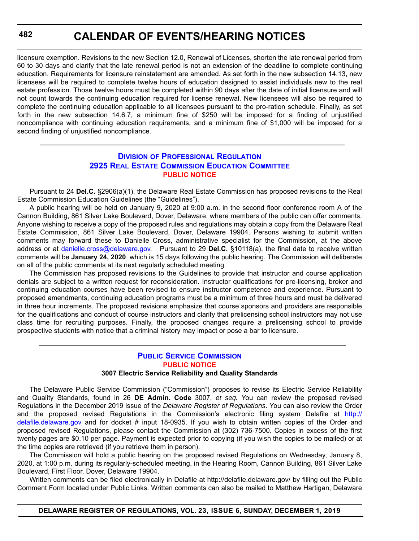**482**

# **CALENDAR OF EVENTS/HEARING NOTICES**

licensure exemption. Revisions to the new Section 12.0, Renewal of Licenses, shorten the late renewal period from 60 to 30 days and clarify that the late renewal period is not an extension of the deadline to complete continuing education. Requirements for licensure reinstatement are amended. As set forth in the new subsection 14.13, new licensees will be required to complete twelve hours of education designed to assist individuals new to the real estate profession. Those twelve hours must be completed within 90 days after the date of initial licensure and will not count towards the continuing education required for license renewal. New licensees will also be required to complete the continuing education applicable to all licensees pursuant to the pro-ration schedule. Finally, as set forth in the new subsection 14.6.7, a minimum fine of \$250 will be imposed for a finding of unjustified noncompliance with continuing education requirements, and a minimum fine of \$1,000 will be imposed for a second finding of unjustified noncompliance.

### **DIVISION [OF PROFESSIONAL REGULATION](https://dpr.delaware.gov/) [2925 REAL ESTATE COMMISSION EDUCATION COMMITTEE](https://dpr.delaware.gov/boards/realestate/committee_members/) [PUBLIC NOTICE](#page-4-0)**

Pursuant to 24 **Del.C.** §2906(a)(1), the Delaware Real Estate Commission has proposed revisions to the Real Estate Commission Education Guidelines (the "Guidelines").

A public hearing will be held on January 9, 2020 at 9:00 a.m. in the second floor conference room A of the Cannon Building, 861 Silver Lake Boulevard, Dover, Delaware, where members of the public can offer comments. Anyone wishing to receive a copy of the proposed rules and regulations may obtain a copy from the Delaware Real Estate Commission, 861 Silver Lake Boulevard, Dover, Delaware 19904. Persons wishing to submit written comments may forward these to Danielle Cross, administrative specialist for the Commission, at the above address or at [danielle.cross@delaware.gov.](mailto:danielle.cross@delaware.gov) Pursuant to 29 **Del.C.** §10118(a), the final date to receive written comments will be **January 24, 2020**, which is 15 days following the public hearing. The Commission will deliberate on all of the public comments at its next regularly scheduled meeting.

The Commission has proposed revisions to the Guidelines to provide that instructor and course application denials are subject to a written request for reconsideration. Instructor qualifications for pre-licensing, broker and continuing education courses have been revised to ensure instructor competence and experience. Pursuant to proposed amendments, continuing education programs must be a minimum of three hours and must be delivered in three hour increments. The proposed revisions emphasize that course sponsors and providers are responsible for the qualifications and conduct of course instructors and clarify that prelicensing school instructors may not use class time for recruiting purposes. Finally, the proposed changes require a prelicensing school to provide prospective students with notice that a criminal history may impact or pose a bar to licensure.

## **[PUBLIC SERVICE COMMISSION](https://depsc.delaware.gov/) [PUBLIC NOTICE](#page-4-0)**

### **3007 Electric Service Reliability and Quality Standards**

The Delaware Public Service Commission ("Commission") proposes to revise its Electric Service Reliability and Quality Standards, found in 26 **DE Admin. Code** 3007, *et seq.* You can review the proposed revised Regulations in the December 2019 issue of the *Delaware Register of Regulations*. You can also review the Order and the proposed revised Regulations in the Commission's electronic filing system Delafile at [http://](http://delafile.delaware.gov) [delafile.delaware.gov](http://delafile.delaware.gov) and for docket # input 18-0935. If you wish to obtain written copies of the Order and proposed revised Regulations, please contact the Commission at (302) 736-7500. Copies in excess of the first twenty pages are \$0.10 per page. Payment is expected prior to copying (if you wish the copies to be mailed) or at the time copies are retrieved (if you retrieve them in person).

The Commission will hold a public hearing on the proposed revised Regulations on Wednesday, January 8, 2020, at 1:00 p.m. during its regularly-scheduled meeting, in the Hearing Room, Cannon Building, 861 Silver Lake Boulevard, First Floor, Dover, Delaware 19904.

Written comments can be filed electronically in Delafile at http://delafile.delaware.gov/ by filling out the Public Comment Form located under Public Links. Written comments can also be mailed to Matthew Hartigan, Delaware